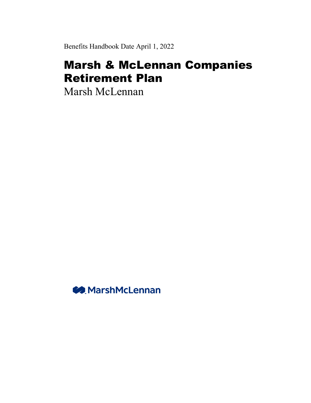Benefits Handbook Date April 1, 2022

# Marsh & McLennan Companies Retirement Plan

Marsh McLennan

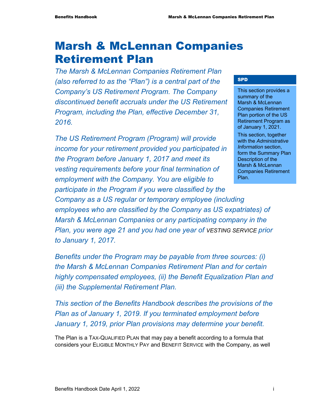# Marsh & McLennan Companies Retirement Plan

*The Marsh & McLennan Companies Retirement Plan (also referred to as the "Plan") is a central part of the Company's US Retirement Program. The Company discontinued benefit accruals under the US Retirement Program, including the Plan, effective December 31, 2016.* 

*The US Retirement Program (Program) will provide income for your retirement provided you participated in the Program before January 1, 2017 and meet its vesting requirements before your final termination of employment with the Company. You are eligible to* 

### SPD

This section provides a summary of the Marsh & McLennan Companies Retirement Plan portion of the US Retirement Program as of January 1, 2021. This section, together with the *Administrative Information* section, form the Summary Plan Description of the Marsh & McLennan Companies Retirement Plan.

*participate in the Program if you were classified by the Company as a US regular or temporary employee (including employees who are classified by the Company as US expatriates) of Marsh & McLennan Companies or any participating company in the Plan, you were age 21 and you had one year of VESTING SERVICE prior to January 1, 2017.* 

*Benefits under the Program may be payable from three sources: (i) the Marsh & McLennan Companies Retirement Plan and for certain highly compensated employees, (ii) the Benefit Equalization Plan and (iii) the Supplemental Retirement Plan.* 

*This section of the Benefits Handbook describes the provisions of the Plan as of January 1, 2019. If you terminated employment before January 1, 2019, prior Plan provisions may determine your benefit.* 

The Plan is a TAX-QUALIFIED PLAN that may pay a benefit according to a formula that considers your ELIGIBLE MONTHLY PAY and BENEFIT SERVICE with the Company, as well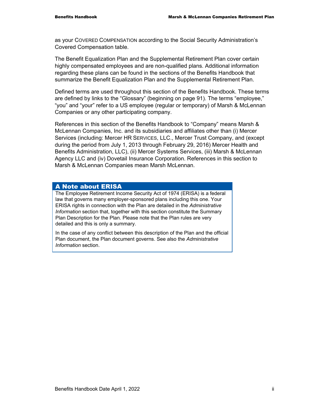as your COVERED COMPENSATION according to the Social Security Administration's Covered Compensation table.

The Benefit Equalization Plan and the Supplemental Retirement Plan cover certain highly compensated employees and are non-qualified plans. Additional information regarding these plans can be found in the sections of the Benefits Handbook that summarize the Benefit Equalization Plan and the Supplemental Retirement Plan.

Defined terms are used throughout this section of the Benefits Handbook. These terms are defined by links to the "Glossary" (beginning on page 91). The terms "employee," "you" and "your" refer to a US employee (regular or temporary) of Marsh & McLennan Companies or any other participating company.

References in this section of the Benefits Handbook to "Company" means Marsh & McLennan Companies, Inc. and its subsidiaries and affiliates other than (i) Mercer Services (including: Mercer HR SERVICES, LLC., Mercer Trust Company, and (except during the period from July 1, 2013 through February 29, 2016) Mercer Health and Benefits Administration, LLC), (ii) Mercer Systems Services, (iii) Marsh & McLennan Agency LLC and (iv) Dovetail Insurance Corporation. References in this section to Marsh & McLennan Companies mean Marsh McLennan.

### A Note about ERISA

The Employee Retirement Income Security Act of 1974 (ERISA) is a federal law that governs many employer-sponsored plans including this one. Your ERISA rights in connection with the Plan are detailed in the *Administrative Information* section that, together with this section constitute the Summary Plan Description for the Plan. Please note that the Plan rules are very detailed and this is only a summary.

In the case of any conflict between this description of the Plan and the official Plan document, the Plan document governs. See also the *Administrative Information* section.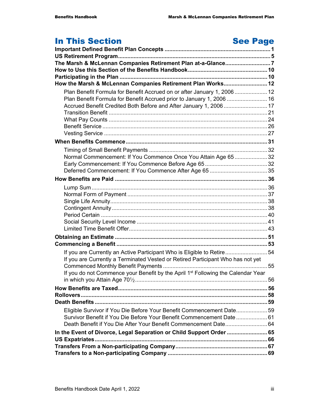### In This Section See Page **Important Defined Benefit Plan Concepts .................................................................... 1 US Retirement Program .................................................................................................. 5 The Marsh & McLennan Companies Retirement Plan at-a-Glance ............................. 7 How to Use this Section of the Benefits Handbook ................................................... 10 Participating in the Plan ............................................................................................... 10 How the Marsh & McLennan Companies Retirement Plan Works ............................ 12** Plan Benefit Formula for Benefit Accrued on or after January 1, 2006 ..................... 12 Plan Benefit Formula for Benefit Accrued prior to January 1, 2006 .......................... 16 Accrued Benefit Credited Both Before and After January 1, 2006 ............................ 17 Transition Benefit ...................................................................................................... 21 What Pay Counts ...................................................................................................... 24 Benefit Service .......................................................................................................... 26 Vesting Service ......................................................................................................... 27 **When Benefits Commence ........................................................................................... 31** Timing of Small Benefit Payments ............................................................................ 32 Normal Commencement: If You Commence Once You Attain Age 65 ..................... 32 Early Commencement: If You Commence Before Age 65 ........................................ 32 Deferred Commencement: If You Commence After Age 65 ..................................... 35 **How Benefits are Paid .................................................................................................. 36** Lump Sum ................................................................................................................. 36 Normal Form of Payment .......................................................................................... 37 Single Life Annuity ..................................................................................................... 38 Contingent Annuity .................................................................................................... 38 Period Certain ........................................................................................................... 40 Social Security Level Income .................................................................................... 41 Limited Time Benefit Offer ......................................................................................... 43 **Obtaining an Estimate .................................................................................................. 51 Commencing a Benefit ................................................................................................. 53** If you are Currently an Active Participant Who is Eligible to Retire ........................... 54 If you are Currently a Terminated Vested or Retired Participant Who has not yet Commenced Monthly Benefit Payments ................................................................... 55 If you do not Commence your Benefit by the April 1<sup>st</sup> Following the Calendar Year in which you Attain Age 701⁄2 ..................................................................................... 56 **How Benefits are Taxed ................................................................................................ 56 Rollovers ........................................................................................................................ 58 Death Benefits ............................................................................................................... 59** Eligible Survivor if You Die Before Your Benefit Commencement Date .................... 59 Survivor Benefit if You Die Before Your Benefit Commencement Date .................... 61 Death Benefit if You Die After Your Benefit Commencement Date ........................... 64 **In the Event of Divorce, Legal Separation or Child Support Order .......................... 65 US Expatriates ............................................................................................................... 66 Transfers From a Non-participating Company ........................................................... 67 Transfers to a Non-participating Company ................................................................ 69**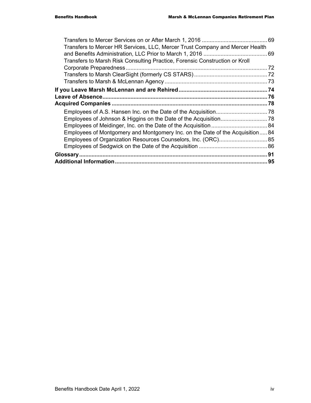| Transfers to Mercer HR Services, LLC, Mercer Trust Company and Mercer Health  |  |
|-------------------------------------------------------------------------------|--|
|                                                                               |  |
| Transfers to Marsh Risk Consulting Practice, Forensic Construction or Kroll   |  |
|                                                                               |  |
|                                                                               |  |
|                                                                               |  |
|                                                                               |  |
|                                                                               |  |
|                                                                               |  |
|                                                                               |  |
|                                                                               |  |
|                                                                               |  |
| Employees of Montgomery and Montgomery Inc. on the Date of the Acquisition 84 |  |
|                                                                               |  |
|                                                                               |  |
|                                                                               |  |
|                                                                               |  |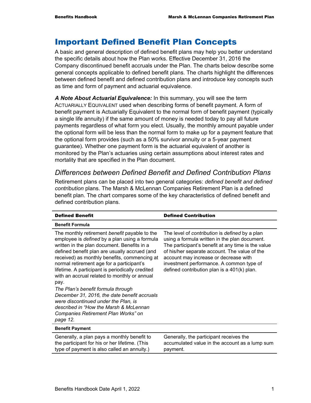# Important Defined Benefit Plan Concepts

A basic and general description of defined benefit plans may help you better understand the specific details about how the Plan works. Effective December 31, 2016 the Company discontinued benefit accruals under the Plan. The charts below describe some general concepts applicable to defined benefit plans. The charts highlight the differences between defined benefit and defined contribution plans and introduce key concepts such as time and form of payment and actuarial equivalence.

*A Note About Actuarial Equivalence:* In this summary, you will see the term ACTUARIALLY EQUIVALENT used when describing forms of benefit payment. A form of benefit payment is Actuarially Equivalent to the normal form of benefit payment (typically a single life annuity) if the same amount of money is needed today to pay all future payments regardless of what form you elect. Usually, the monthly amount payable under the optional form will be less than the normal form to make up for a payment feature that the optional form provides (such as a 50% survivor annuity or a 5-year payment guarantee). Whether one payment form is the actuarial equivalent of another is monitored by the Plan's actuaries using certain assumptions about interest rates and mortality that are specified in the Plan document.

# *Differences between Defined Benefit and Defined Contribution Plans*

Retirement plans can be placed into two general categories: *defined benefit and defined contribution* plans. The Marsh & McLennan Companies Retirement Plan is a defined benefit plan. The chart compares some of the key characteristics of defined benefit and defined contribution plans.

| <b>Defined Benefit</b>                                                                                                                                                                                                                                                                                                                                                                                                                                                                                                                                                                                                             | <b>Defined Contribution</b>                                                                                                                                                                                                                                                                                                                |
|------------------------------------------------------------------------------------------------------------------------------------------------------------------------------------------------------------------------------------------------------------------------------------------------------------------------------------------------------------------------------------------------------------------------------------------------------------------------------------------------------------------------------------------------------------------------------------------------------------------------------------|--------------------------------------------------------------------------------------------------------------------------------------------------------------------------------------------------------------------------------------------------------------------------------------------------------------------------------------------|
| <b>Benefit Formula</b>                                                                                                                                                                                                                                                                                                                                                                                                                                                                                                                                                                                                             |                                                                                                                                                                                                                                                                                                                                            |
| The monthly retirement benefit payable to the<br>employee is defined by a plan using a formula<br>written in the plan document. Benefits in a<br>defined benefit plan are usually accrued (and<br>received) as monthly benefits, commencing at<br>normal retirement age for a participant's<br>lifetime. A participant is periodically credited<br>with an accrual related to monthly or annual<br>pay.<br>The Plan's benefit formula through<br>December 31, 2016, the date benefit accruals<br>were discontinued under the Plan, is<br>described in "How the Marsh & McLennan<br>Companies Retirement Plan Works" on<br>page 12. | The level of contribution is defined by a plan<br>using a formula written in the plan document.<br>The participant's benefit at any time is the value<br>of his/her separate account. The value of the<br>account may increase or decrease with<br>investment performance. A common type of<br>defined contribution plan is a 401(k) plan. |
| <b>Benefit Payment</b>                                                                                                                                                                                                                                                                                                                                                                                                                                                                                                                                                                                                             |                                                                                                                                                                                                                                                                                                                                            |
| Generally, a plan pays a monthly benefit to<br>the participant for his or her lifetime. (This<br>type of payment is also called an annuity.)                                                                                                                                                                                                                                                                                                                                                                                                                                                                                       | Generally, the participant receives the<br>accumulated value in the account as a lump sum<br>payment.                                                                                                                                                                                                                                      |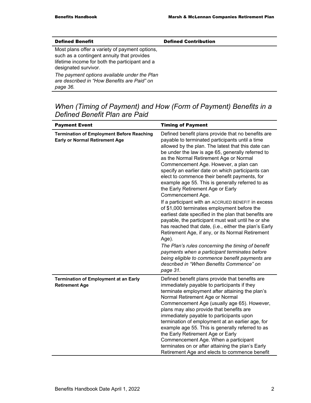| <b>Defined Benefit</b>                                                                                                                                                 | <b>Defined Contribution</b> |
|------------------------------------------------------------------------------------------------------------------------------------------------------------------------|-----------------------------|
| Most plans offer a variety of payment options,<br>such as a contingent annuity that provides<br>lifetime income for both the participant and a<br>designated survivor. |                             |
| The payment options available under the Plan<br>are described in "How Benefits are Paid" on<br>page 36.                                                                |                             |

### *When (Timing of Payment) and How (Form of Payment) Benefits in a Defined Benefit Plan are Paid*

| <b>Payment Event</b>                                                                      | <b>Timing of Payment</b>                                                                                                                                                                                                                                                                                                                                                                                                                                                                                                                                                                                                                                                                                                                                                                                                                                                                                                                                                                                                                                                           |
|-------------------------------------------------------------------------------------------|------------------------------------------------------------------------------------------------------------------------------------------------------------------------------------------------------------------------------------------------------------------------------------------------------------------------------------------------------------------------------------------------------------------------------------------------------------------------------------------------------------------------------------------------------------------------------------------------------------------------------------------------------------------------------------------------------------------------------------------------------------------------------------------------------------------------------------------------------------------------------------------------------------------------------------------------------------------------------------------------------------------------------------------------------------------------------------|
| <b>Termination of Employment Before Reaching</b><br><b>Early or Normal Retirement Age</b> | Defined benefit plans provide that no benefits are<br>payable to terminated participants until a time<br>allowed by the plan. The latest that this date can<br>be under the law is age 65, generally referred to<br>as the Normal Retirement Age or Normal<br>Commencement Age. However, a plan can<br>specify an earlier date on which participants can<br>elect to commence their benefit payments, for<br>example age 55. This is generally referred to as<br>the Early Retirement Age or Early<br>Commencement Age.<br>If a participant with an ACCRUED BENEFIT in excess<br>of \$1,000 terminates employment before the<br>earliest date specified in the plan that benefits are<br>payable, the participant must wait until he or she<br>has reached that date, (i.e., either the plan's Early<br>Retirement Age, if any, or its Normal Retirement<br>Age).<br>The Plan's rules concerning the timing of benefit<br>payments when a participant terminates before<br>being eligible to commence benefit payments are<br>described in "When Benefits Commence" on<br>page 31. |
| <b>Termination of Employment at an Early</b><br><b>Retirement Age</b>                     | Defined benefit plans provide that benefits are<br>immediately payable to participants if they<br>terminate employment after attaining the plan's<br>Normal Retirement Age or Normal<br>Commencement Age (usually age 65). However,<br>plans may also provide that benefits are<br>immediately payable to participants upon<br>termination of employment at an earlier age, for<br>example age 55. This is generally referred to as<br>the Early Retirement Age or Early<br>Commencement Age. When a participant<br>terminates on or after attaining the plan's Early<br>Retirement Age and elects to commence benefit                                                                                                                                                                                                                                                                                                                                                                                                                                                             |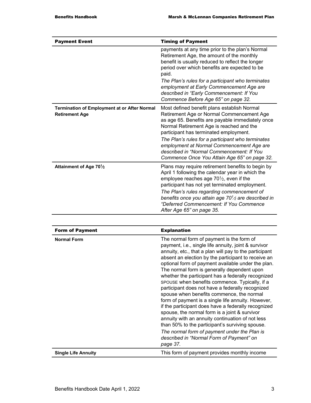| <b>Payment Event</b>                                                         | <b>Timing of Payment</b>                                                                                                                                                                                                                                                                                                                                                                                                          |
|------------------------------------------------------------------------------|-----------------------------------------------------------------------------------------------------------------------------------------------------------------------------------------------------------------------------------------------------------------------------------------------------------------------------------------------------------------------------------------------------------------------------------|
|                                                                              | payments at any time prior to the plan's Normal<br>Retirement Age, the amount of the monthly<br>benefit is usually reduced to reflect the longer<br>period over which benefits are expected to be<br>paid.<br>The Plan's rules for a participant who terminates<br>employment at Early Commencement Age are<br>described in "Early Commencement: If You<br>Commence Before Age 65" on page 32.                                    |
| <b>Termination of Employment at or After Normal</b><br><b>Retirement Age</b> | Most defined benefit plans establish Normal<br>Retirement Age or Normal Commencement Age<br>as age 65. Benefits are payable immediately once<br>Normal Retirement Age is reached and the<br>participant has terminated employment.<br>The Plan's rules for a participant who terminates<br>employment at Normal Commencement Age are<br>described in "Normal Commencement: If You<br>Commence Once You Attain Age 65" on page 32. |
| Attainment of Age 701/2                                                      | Plans may require retirement benefits to begin by<br>April 1 following the calendar year in which the<br>employee reaches age $70\frac{1}{2}$ , even if the<br>participant has not yet terminated employment.<br>The Plan's rules regarding commencement of<br>benefits once you attain age $70\frac{1}{2}$ are described in<br>"Deferred Commencement: If You Commence<br>After Age 65" on page 35.                              |

| <b>Form of Payment</b>     | <b>Explanation</b>                                                                                                                                                                                                                                                                                                                                                                                                                                                                                                                                                                                                                                                                                                                                                                                                                                                                                            |
|----------------------------|---------------------------------------------------------------------------------------------------------------------------------------------------------------------------------------------------------------------------------------------------------------------------------------------------------------------------------------------------------------------------------------------------------------------------------------------------------------------------------------------------------------------------------------------------------------------------------------------------------------------------------------------------------------------------------------------------------------------------------------------------------------------------------------------------------------------------------------------------------------------------------------------------------------|
| <b>Normal Form</b>         | The normal form of payment is the form of<br>payment, i.e., single life annuity, joint & survivor<br>annuity, etc., that a plan will pay to the participant<br>absent an election by the participant to receive an<br>optional form of payment available under the plan.<br>The normal form is generally dependent upon<br>whether the participant has a federally recognized<br>SPOUSE when benefits commence. Typically, if a<br>participant does not have a federally recognized<br>spouse when benefits commence, the normal<br>form of payment is a single life annuity. However,<br>if the participant does have a federally recognized<br>spouse, the normal form is a joint & survivor<br>annuity with an annuity continuation of not less<br>than 50% to the participant's surviving spouse.<br>The normal form of payment under the Plan is<br>described in "Normal Form of Payment" on<br>page 37. |
| <b>Single Life Annuity</b> | This form of payment provides monthly income                                                                                                                                                                                                                                                                                                                                                                                                                                                                                                                                                                                                                                                                                                                                                                                                                                                                  |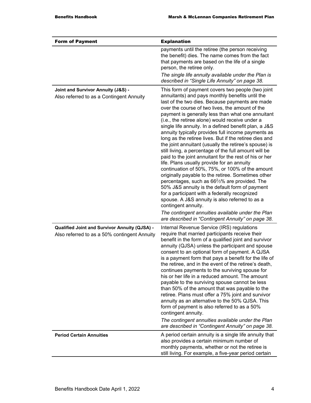| <b>Form of Payment</b>                                                                               | <b>Explanation</b>                                                                                                                                                                                                                                                                                                                                                                                                                                                                                                                                                                                                                                                                                                                                                                                                                                                                                                                                                                                                                                                                                                                                                  |
|------------------------------------------------------------------------------------------------------|---------------------------------------------------------------------------------------------------------------------------------------------------------------------------------------------------------------------------------------------------------------------------------------------------------------------------------------------------------------------------------------------------------------------------------------------------------------------------------------------------------------------------------------------------------------------------------------------------------------------------------------------------------------------------------------------------------------------------------------------------------------------------------------------------------------------------------------------------------------------------------------------------------------------------------------------------------------------------------------------------------------------------------------------------------------------------------------------------------------------------------------------------------------------|
|                                                                                                      | payments until the retiree (the person receiving<br>the benefit) dies. The name comes from the fact<br>that payments are based on the life of a single<br>person, the retiree only.                                                                                                                                                                                                                                                                                                                                                                                                                                                                                                                                                                                                                                                                                                                                                                                                                                                                                                                                                                                 |
|                                                                                                      | The single life annuity available under the Plan is<br>described in "Single Life Annuity" on page 38.                                                                                                                                                                                                                                                                                                                                                                                                                                                                                                                                                                                                                                                                                                                                                                                                                                                                                                                                                                                                                                                               |
| Joint and Survivor Annuity (J&S) -<br>Also referred to as a Contingent Annuity                       | This form of payment covers two people (two joint<br>annuitants) and pays monthly benefits until the<br>last of the two dies. Because payments are made<br>over the course of two lives, the amount of the<br>payment is generally less than what one annuitant<br>(i.e., the retiree alone) would receive under a<br>single life annuity. In a defined benefit plan, a J&S<br>annuity typically provides full income payments as<br>long as the retiree lives. But if the retiree dies and<br>the joint annuitant (usually the retiree's spouse) is<br>still living, a percentage of the full amount will be<br>paid to the joint annuitant for the rest of his or her<br>life. Plans usually provide for an annuity<br>continuation of 50%, 75%, or 100% of the amount<br>originally payable to the retiree. Sometimes other<br>percentages, such as 66%% are provided. The<br>50% J&S annuity is the default form of payment<br>for a participant with a federally recognized<br>spouse. A J&S annuity is also referred to as a<br>contingent annuity.<br>The contingent annuities available under the Plan<br>are described in "Contingent Annuity" on page 38. |
| <b>Qualified Joint and Survivor Annuity (QJSA) -</b><br>Also referred to as a 50% contingent Annuity | Internal Revenue Service (IRS) regulations<br>require that married participants receive their<br>benefit in the form of a qualified joint and survivor<br>annuity (QJSA) unless the participant and spouse<br>consent to an optional form of payment. A QJSA<br>is a payment form that pays a benefit for the life of<br>the retiree, and in the event of the retiree's death,<br>continues payments to the surviving spouse for<br>his or her life in a reduced amount. The amount<br>payable to the surviving spouse cannot be less<br>than 50% of the amount that was payable to the<br>retiree. Plans must offer a 75% joint and survivor<br>annuity as an alternative to the 50% QJSA. This<br>form of payment is also referred to as a 50%<br>contingent annuity.<br>The contingent annuities available under the Plan<br>are described in "Contingent Annuity" on page 38.                                                                                                                                                                                                                                                                                   |
| <b>Period Certain Annuities</b>                                                                      | A period certain annuity is a single life annuity that<br>also provides a certain minimum number of<br>monthly payments, whether or not the retiree is<br>still living. For example, a five-year period certain                                                                                                                                                                                                                                                                                                                                                                                                                                                                                                                                                                                                                                                                                                                                                                                                                                                                                                                                                     |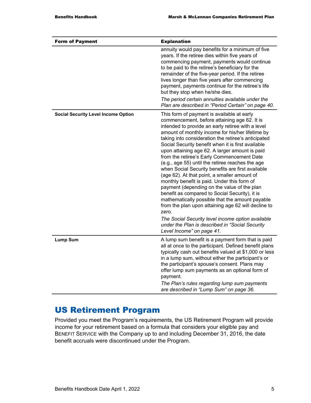| <b>Form of Payment</b>                     | <b>Explanation</b>                                                                                                                                                                                                                                                                                                                                                                                                                                                                                                                                                                                                                                                                                                                                                                                                                                                                                                                                                                |
|--------------------------------------------|-----------------------------------------------------------------------------------------------------------------------------------------------------------------------------------------------------------------------------------------------------------------------------------------------------------------------------------------------------------------------------------------------------------------------------------------------------------------------------------------------------------------------------------------------------------------------------------------------------------------------------------------------------------------------------------------------------------------------------------------------------------------------------------------------------------------------------------------------------------------------------------------------------------------------------------------------------------------------------------|
|                                            | annuity would pay benefits for a minimum of five<br>years. If the retiree dies within five years of<br>commencing payment, payments would continue<br>to be paid to the retiree's beneficiary for the<br>remainder of the five-year period. If the retiree<br>lives longer than five years after commencing<br>payment, payments continue for the retiree's life<br>but they stop when he/she dies.                                                                                                                                                                                                                                                                                                                                                                                                                                                                                                                                                                               |
|                                            | The period certain annuities available under the<br>Plan are described in "Period Certain" on page 40.                                                                                                                                                                                                                                                                                                                                                                                                                                                                                                                                                                                                                                                                                                                                                                                                                                                                            |
| <b>Social Security Level Income Option</b> | This form of payment is available at early<br>commencement, before attaining age 62. It is<br>intended to provide an early retiree with a level<br>amount of monthly income for his/her lifetime by<br>taking into consideration the retiree's anticipated<br>Social Security benefit when it is first available<br>upon attaining age 62. A larger amount is paid<br>from the retiree's Early Commencement Date<br>(e.g., age 55) until the retiree reaches the age<br>when Social Security benefits are first available<br>(age 62). At that point, a smaller amount of<br>monthly benefit is paid. Under this form of<br>payment (depending on the value of the plan<br>benefit as compared to Social Security), it is<br>mathematically possible that the amount payable<br>from the plan upon attaining age 62 will decline to<br>zero.<br>The Social Security level income option available<br>under the Plan is described in "Social Security<br>Level Income" on page 41. |
| <b>Lump Sum</b>                            | A lump sum benefit is a payment form that is paid<br>all at once to the participant. Defined benefit plans<br>typically cash out benefits valued at \$1,000 or less<br>in a lump sum, without either the participant's or<br>the participant's spouse's consent. Plans may<br>offer lump sum payments as an optional form of<br>payment.<br>The Plan's rules regarding lump sum payments<br>are described in "Lump Sum" on page 36.                                                                                                                                                                                                                                                                                                                                                                                                                                                                                                                                               |

# US Retirement Program

Provided you meet the Program's requirements, the US Retirement Program will provide income for your retirement based on a formula that considers your eligible pay and BENEFIT SERVICE with the Company up to and including December 31, 2016, the date benefit accruals were discontinued under the Program.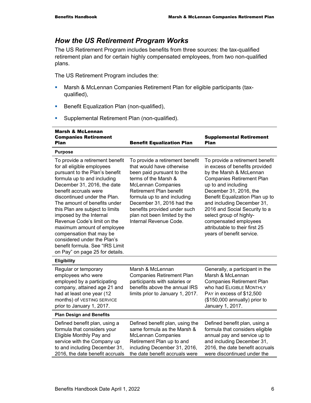### *How the US Retirement Program Works*

The US Retirement Program includes benefits from three sources: the tax-qualified retirement plan and for certain highly compensated employees, from two non-qualified plans.

The US Retirement Program includes the:

- Marsh & McLennan Companies Retirement Plan for eligible participants (taxqualified),
- **Benefit Equalization Plan (non-qualified),**
- **Supplemental Retirement Plan (non-qualified).**

| <b>Marsh &amp; McLennan</b><br><b>Companies Retirement</b><br><b>Plan</b>                                                                                                                                                                                                                                                                                                                                                                                                                                          | <b>Benefit Equalization Plan</b>                                                                                                                                                                                                                                                                                                       | <b>Supplemental Retirement</b><br>Plan                                                                                                                                                                                                                                                                                                                                                                 |
|--------------------------------------------------------------------------------------------------------------------------------------------------------------------------------------------------------------------------------------------------------------------------------------------------------------------------------------------------------------------------------------------------------------------------------------------------------------------------------------------------------------------|----------------------------------------------------------------------------------------------------------------------------------------------------------------------------------------------------------------------------------------------------------------------------------------------------------------------------------------|--------------------------------------------------------------------------------------------------------------------------------------------------------------------------------------------------------------------------------------------------------------------------------------------------------------------------------------------------------------------------------------------------------|
| <b>Purpose</b>                                                                                                                                                                                                                                                                                                                                                                                                                                                                                                     |                                                                                                                                                                                                                                                                                                                                        |                                                                                                                                                                                                                                                                                                                                                                                                        |
| To provide a retirement benefit<br>for all eligible employees<br>pursuant to the Plan's benefit<br>formula up to and including<br>December 31, 2016, the date<br>benefit accruals were<br>discontinued under the Plan.<br>The amount of benefits under<br>this Plan are subject to limits<br>imposed by the Internal<br>Revenue Code's limit on the<br>maximum amount of employee<br>compensation that may be<br>considered under the Plan's<br>benefit formula. See "IRS Limit<br>on Pay" on page 25 for details. | To provide a retirement benefit<br>that would have otherwise<br>been paid pursuant to the<br>terms of the Marsh &<br><b>McLennan Companies</b><br><b>Retirement Plan benefit</b><br>formula up to and including<br>December 31, 2016 had the<br>benefits provided under such<br>plan not been limited by the<br>Internal Revenue Code. | To provide a retirement benefit<br>in excess of benefits provided<br>by the Marsh & McLennan<br><b>Companies Retirement Plan</b><br>up to and including<br>December 31, 2016, the<br>Benefit Equalization Plan up to<br>and including December 31,<br>2016 and Social Security to a<br>select group of highly-<br>compensated employees<br>attributable to their first 25<br>years of benefit service. |
| <b>Eligibility</b>                                                                                                                                                                                                                                                                                                                                                                                                                                                                                                 |                                                                                                                                                                                                                                                                                                                                        |                                                                                                                                                                                                                                                                                                                                                                                                        |
| Regular or temporary<br>employees who were<br>employed by a participating<br>company, attained age 21 and<br>had at least one year (12<br>months) of VESTING SERVICE<br>prior to January 1, 2017.                                                                                                                                                                                                                                                                                                                  | Marsh & McLennan<br><b>Companies Retirement Plan</b><br>participants with salaries or<br>benefits above the annual IRS<br>limits prior to January 1, 2017.                                                                                                                                                                             | Generally, a participant in the<br>Marsh & McLennan<br><b>Companies Retirement Plan</b><br>Who had ELIGIBLE MONTHLY<br>PAY in excess of \$12,500<br>(\$150,000 annually) prior to<br>January 1, 2017.                                                                                                                                                                                                  |
| <b>Plan Design and Benefits</b>                                                                                                                                                                                                                                                                                                                                                                                                                                                                                    |                                                                                                                                                                                                                                                                                                                                        |                                                                                                                                                                                                                                                                                                                                                                                                        |
| Defined benefit plan, using a<br>formula that considers your<br>Eligible Monthly Pay and<br>service with the Company up<br>to and including December 31,<br>2016, the date benefit accruals                                                                                                                                                                                                                                                                                                                        | Defined benefit plan, using the<br>same formula as the Marsh &<br><b>McLennan Companies</b><br>Retirement Plan up to and<br>including December 31, 2016,<br>the date benefit accruals were                                                                                                                                             | Defined benefit plan, using a<br>formula that considers eligible<br>annual pay and service up to<br>and including December 31,<br>2016, the date benefit accruals<br>were discontinued under the                                                                                                                                                                                                       |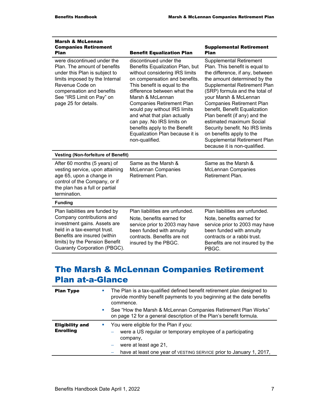| <b>Marsh &amp; McLennan</b><br><b>Companies Retirement</b><br><b>Plan</b>                                                                                                                                                           | <b>Benefit Equalization Plan</b>                                                                                                                                                                                                                                                                                                                                                                                                      | <b>Supplemental Retirement</b><br>Plan                                                                                                                                                                                                                                                                                                                                                                                                                                                          |  |  |
|-------------------------------------------------------------------------------------------------------------------------------------------------------------------------------------------------------------------------------------|---------------------------------------------------------------------------------------------------------------------------------------------------------------------------------------------------------------------------------------------------------------------------------------------------------------------------------------------------------------------------------------------------------------------------------------|-------------------------------------------------------------------------------------------------------------------------------------------------------------------------------------------------------------------------------------------------------------------------------------------------------------------------------------------------------------------------------------------------------------------------------------------------------------------------------------------------|--|--|
| were discontinued under the<br>Plan. The amount of benefits<br>under this Plan is subject to<br>limits imposed by the Internal<br>Revenue Code on<br>compensation and benefits<br>See "IRS Limit on Pay" on<br>page 25 for details. | discontinued under the<br>Benefits Equalization Plan, but<br>without considering IRS limits<br>on compensation and benefits.<br>This benefit is equal to the<br>difference between what the<br>Marsh & McLennan<br><b>Companies Retirement Plan</b><br>would pay without IRS limits<br>and what that plan actually<br>can pay. No IRS limits on<br>benefits apply to the Benefit<br>Equalization Plan because it is<br>non-qualified. | <b>Supplemental Retirement</b><br>Plan. This benefit is equal to<br>the difference, if any, between<br>the amount determined by the<br>Supplemental Retirement Plan<br>(SRP) formula and the total of<br>your Marsh & McLennan<br><b>Companies Retirement Plan</b><br>benefit, Benefit Equalization<br>Plan benefit (if any) and the<br>estimated maximum Social<br>Security benefit. No IRS limits<br>on benefits apply to the<br>Supplemental Retirement Plan<br>because it is non-qualified. |  |  |
|                                                                                                                                                                                                                                     | <b>Vesting (Non-forfeiture of Benefit)</b>                                                                                                                                                                                                                                                                                                                                                                                            |                                                                                                                                                                                                                                                                                                                                                                                                                                                                                                 |  |  |
| After 60 months (5 years) of<br>vesting service, upon attaining<br>age 65, upon a change in<br>control of the Company, or if<br>the plan has a full or partial<br>termination.                                                      | Same as the Marsh &<br><b>McLennan Companies</b><br>Retirement Plan.                                                                                                                                                                                                                                                                                                                                                                  | Same as the Marsh &<br><b>McLennan Companies</b><br>Retirement Plan.                                                                                                                                                                                                                                                                                                                                                                                                                            |  |  |
| <b>Funding</b>                                                                                                                                                                                                                      |                                                                                                                                                                                                                                                                                                                                                                                                                                       |                                                                                                                                                                                                                                                                                                                                                                                                                                                                                                 |  |  |
| Plan liabilities are funded by<br>Company contributions and<br>investment gains. Assets are<br>held in a tax-exempt trust.<br>Benefits are insured (within<br>limits) by the Pension Benefit<br>Guaranty Corporation (PBGC).        | Plan liabilities are unfunded.<br>Note, benefits earned for<br>service prior to 2003 may have<br>been funded with annuity<br>contracts. Benefits are not<br>insured by the PBGC.                                                                                                                                                                                                                                                      | Plan liabilities are unfunded.<br>Note, benefits earned for<br>service prior to 2003 may have<br>been funded with annuity<br>contracts or a rabbi trust.<br>Benefits are not insured by the<br>PBGC.                                                                                                                                                                                                                                                                                            |  |  |

# The Marsh & McLennan Companies Retirement Plan at-a-Glance

| <b>Plan Type</b>                           | The Plan is a tax-qualified defined benefit retirement plan designed to<br>provide monthly benefit payments to you beginning at the date benefits<br>commence.<br>See "How the Marsh & McLennan Companies Retirement Plan Works"<br>and the<br>on page 12 for a general description of the Plan's benefit formula. |  |
|--------------------------------------------|--------------------------------------------------------------------------------------------------------------------------------------------------------------------------------------------------------------------------------------------------------------------------------------------------------------------|--|
| <b>Eligibility and</b><br><b>Enrolling</b> | You were eligible for the Plan if you:<br>a.<br>were a US regular or temporary employee of a participating<br>company,<br>were at least age 21,<br>have at least one year of VESTING SERVICE prior to January 1, 2017,                                                                                             |  |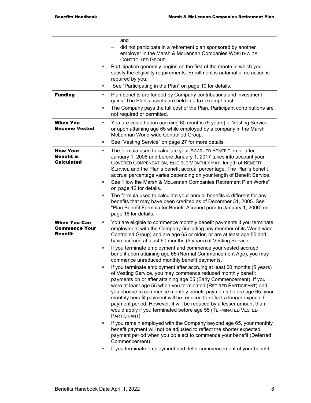|                                                               | and<br>did not participate in a retirement plan sponsored by another<br>employer in the Marsh & McLennan Companies WORLD-WIDE<br><b>CONTROLLED GROUP.</b><br>Participation generally begins on the first of the month in which you<br>satisfy the eligibility requirements. Enrollment is automatic; no action is                                                                                                                                                                                                                                                                            |  |
|---------------------------------------------------------------|----------------------------------------------------------------------------------------------------------------------------------------------------------------------------------------------------------------------------------------------------------------------------------------------------------------------------------------------------------------------------------------------------------------------------------------------------------------------------------------------------------------------------------------------------------------------------------------------|--|
|                                                               | required by you.<br>See "Participating in the Plan" on page 10 for details.                                                                                                                                                                                                                                                                                                                                                                                                                                                                                                                  |  |
| <b>Funding</b>                                                | Plan benefits are funded by Company contributions and investment<br>gains. The Plan's assets are held in a tax-exempt trust.                                                                                                                                                                                                                                                                                                                                                                                                                                                                 |  |
|                                                               | The Company pays the full cost of the Plan. Participant contributions are<br>not required or permitted.                                                                                                                                                                                                                                                                                                                                                                                                                                                                                      |  |
| <b>When You</b><br><b>Become Vested</b>                       | You are vested upon accruing 60 months (5 years) of Vesting Service,<br>or upon attaining age 65 while employed by a company in the Marsh<br>McLennan World-wide Controlled Group.<br>See "Vesting Service" on page 27 for more details.                                                                                                                                                                                                                                                                                                                                                     |  |
| <b>How Your</b><br><b>Benefit is</b><br>Calculated            | The formula used to calculate your ACCRUED BENEFIT on or after<br>January 1, 2006 and before January 1, 2017 takes into account your<br>COVERED COMPENSATION, ELIGIBLE MONTHLY PAY, length of BENEFIT<br>SERVICE and the Plan's benefit accrual percentage. The Plan's benefit<br>accrual percentage varies depending on your length of Benefit Service.<br>See "How the Marsh & McLennan Companies Retirement Plan Works"<br>on page 12 for details.                                                                                                                                        |  |
|                                                               | The formula used to calculate your annual benefits is different for any<br>benefits that may have been credited as of December 31, 2005. See<br>"Plan Benefit Formula for Benefit Accrued prior to January 1, 2006" on<br>page 16 for details.                                                                                                                                                                                                                                                                                                                                               |  |
| <b>When You Can</b><br><b>Commence Your</b><br><b>Benefit</b> | You are eligible to commence monthly benefit payments if you terminate<br>employment with the Company (including any member of its World-wide<br>Controlled Group) and are age 65 or older, or are at least age 55 and<br>have accrued at least 60 months (5 years) of Vesting Service.                                                                                                                                                                                                                                                                                                      |  |
|                                                               | If you terminate employment and commence your vested accrued<br>benefit upon attaining age 65 (Normal Commencement Age), you may<br>commence unreduced monthly benefit payments.                                                                                                                                                                                                                                                                                                                                                                                                             |  |
|                                                               | If you terminate employment after accruing at least 60 months (5 years)<br>of Vesting Service, you may commence reduced monthly benefit<br>payments on or after attaining age 55 (Early Commencement). If you<br>were at least age 55 when you terminated (RETIRED PARTICIPANT) and<br>you choose to commence monthly benefit payments before age 65, your<br>monthly benefit payment will be reduced to reflect a longer expected<br>payment period. However, it will be reduced by a lesser amount than<br>would apply if you terminated before age 55 (TERMINATED VESTED<br>PARTICIPANT). |  |
|                                                               | If you remain employed with the Company beyond age 65, your monthly<br>benefit payment will not be adjusted to reflect the shorter expected<br>payment period when you do elect to commence your benefit (Deferred<br>Commencement).                                                                                                                                                                                                                                                                                                                                                         |  |
|                                                               | If you terminate employment and defer commencement of your benefit                                                                                                                                                                                                                                                                                                                                                                                                                                                                                                                           |  |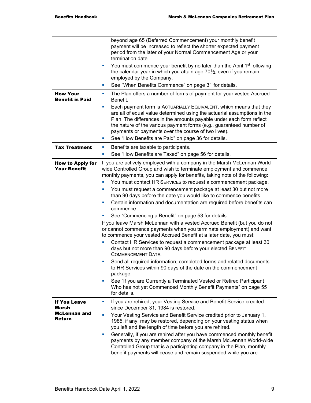|                                                | beyond age 65 (Deferred Commencement) your monthly benefit<br>payment will be increased to reflect the shorter expected payment<br>period from the later of your Normal Commencement Age or your<br>termination date.<br>You must commence your benefit by no later than the April 1 <sup>st</sup> following<br>×<br>the calendar year in which you attain age $70\frac{1}{2}$ , even if you remain<br>employed by the Company.<br>See "When Benefits Commence" on page 31 for details.<br>ш                                                                                                                                                                                                                                                                                                                                                                                                                                                                                                                                                                                                                                                                                                                                                                                                                         |
|------------------------------------------------|----------------------------------------------------------------------------------------------------------------------------------------------------------------------------------------------------------------------------------------------------------------------------------------------------------------------------------------------------------------------------------------------------------------------------------------------------------------------------------------------------------------------------------------------------------------------------------------------------------------------------------------------------------------------------------------------------------------------------------------------------------------------------------------------------------------------------------------------------------------------------------------------------------------------------------------------------------------------------------------------------------------------------------------------------------------------------------------------------------------------------------------------------------------------------------------------------------------------------------------------------------------------------------------------------------------------|
| <b>How Your</b><br><b>Benefit is Paid</b>      | The Plan offers a number of forms of payment for your vested Accrued<br>a.<br>Benefit.                                                                                                                                                                                                                                                                                                                                                                                                                                                                                                                                                                                                                                                                                                                                                                                                                                                                                                                                                                                                                                                                                                                                                                                                                               |
|                                                | Each payment form is ACTUARIALLY EQUIVALENT, which means that they<br>ш<br>are all of equal value determined using the actuarial assumptions in the<br>Plan. The differences in the amounts payable under each form reflect<br>the nature of the various payment forms (e.g., guaranteed number of<br>payments or payments over the course of two lives).<br>See "How Benefits are Paid" on page 36 for details.<br>ш                                                                                                                                                                                                                                                                                                                                                                                                                                                                                                                                                                                                                                                                                                                                                                                                                                                                                                |
| <b>Tax Treatment</b>                           | Benefits are taxable to participants.<br>ш                                                                                                                                                                                                                                                                                                                                                                                                                                                                                                                                                                                                                                                                                                                                                                                                                                                                                                                                                                                                                                                                                                                                                                                                                                                                           |
|                                                | See "How Benefits are Taxed" on page 56 for details.<br>×                                                                                                                                                                                                                                                                                                                                                                                                                                                                                                                                                                                                                                                                                                                                                                                                                                                                                                                                                                                                                                                                                                                                                                                                                                                            |
| <b>How to Apply for</b><br><b>Your Benefit</b> | If you are actively employed with a company in the Marsh McLennan World-<br>wide Controlled Group and wish to terminate employment and commence<br>monthly payments, you can apply for benefits, taking note of the following:<br>You must contact HR SERVICES to request a commencement package.<br>×<br>You must request a commencement package at least 30 but not more<br>than 90 days before the date you would like to commence benefits.<br>Certain information and documentation are required before benefits can<br>ш<br>commence.<br>See "Commencing a Benefit" on page 53 for details.<br>ш<br>If you leave Marsh McLennan with a vested Accrued Benefit (but you do not<br>or cannot commence payments when you terminate employment) and want<br>to commence your vested Accrued Benefit at a later date, you must:<br>Contact HR Services to request a commencement package at least 30<br>days but not more than 90 days before your elected BENEFIT<br><b>COMMENCEMENT DATE.</b><br>Send all required information, completed forms and related documents<br>ш<br>to HR Services within 90 days of the date on the commencement<br>package.<br>See "If you are Currently a Terminated Vested or Retired Participant<br>Who has not yet Commenced Monthly Benefit Payments" on page 55<br>for details. |
| <b>If You Leave</b><br><b>Marsh</b>            | If you are rehired, your Vesting Service and Benefit Service credited<br>ш<br>since December 31, 1984 is restored.                                                                                                                                                                                                                                                                                                                                                                                                                                                                                                                                                                                                                                                                                                                                                                                                                                                                                                                                                                                                                                                                                                                                                                                                   |
| <b>McLennan and</b><br>Return                  | Your Vesting Service and Benefit Service credited prior to January 1,<br>u,<br>1985, if any, may be restored, depending on your vesting status when<br>you left and the length of time before you are rehired.                                                                                                                                                                                                                                                                                                                                                                                                                                                                                                                                                                                                                                                                                                                                                                                                                                                                                                                                                                                                                                                                                                       |
|                                                | Generally, if you are rehired after you have commenced monthly benefit<br>u.<br>payments by any member company of the Marsh McLennan World-wide<br>Controlled Group that is a participating company in the Plan, monthly<br>benefit payments will cease and remain suspended while you are                                                                                                                                                                                                                                                                                                                                                                                                                                                                                                                                                                                                                                                                                                                                                                                                                                                                                                                                                                                                                           |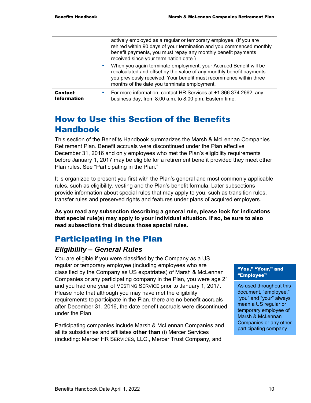|                                      | actively employed as a regular or temporary employee. (If you are<br>rehired within 90 days of your termination and you commenced monthly<br>benefit payments, you must repay any monthly benefit payments<br>received since your termination date.)            |
|--------------------------------------|-----------------------------------------------------------------------------------------------------------------------------------------------------------------------------------------------------------------------------------------------------------------|
|                                      | When you again terminate employment, your Accrued Benefit will be<br>recalculated and offset by the value of any monthly benefit payments<br>you previously received. Your benefit must recommence within three<br>months of the date you terminate employment. |
| <b>Contact</b><br><b>Information</b> | For more information, contact HR Services at +1 866 374 2662, any<br>business day, from 8:00 a.m. to 8:00 p.m. Eastern time.                                                                                                                                    |

# How to Use this Section of the Benefits Handbook

This section of the Benefits Handbook summarizes the Marsh & McLennan Companies Retirement Plan. Benefit accruals were discontinued under the Plan effective December 31, 2016 and only employees who met the Plan's eligibility requirements before January 1, 2017 may be eligible for a retirement benefit provided they meet other Plan rules. See "Participating in the Plan."

It is organized to present you first with the Plan's general and most commonly applicable rules, such as eligibility, vesting and the Plan's benefit formula. Later subsections provide information about special rules that may apply to you, such as transition rules, transfer rules and preserved rights and features under plans of acquired employers.

**As you read any subsection describing a general rule, please look for indications that special rule(s) may apply to your individual situation. If so, be sure to also read subsections that discuss those special rules.** 

# Participating in the Plan

### *Eligibility – General Rules*

You are eligible if you were classified by the Company as a US regular or temporary employee (including employees who are classified by the Company as US expatriates) of Marsh & McLennan Companies or any participating company in the Plan, you were age 21 and you had one year of VESTING SERVICE prior to January 1, 2017. Please note that although you may have met the eligibility requirements to participate in the Plan, there are no benefit accruals after December 31, 2016, the date benefit accruals were discontinued under the Plan.

Participating companies include Marsh & McLennan Companies and all its subsidiaries and affiliates **other than** (i) Mercer Services (including: Mercer HR SERVICES, LLC., Mercer Trust Company, and

#### "You," "Your," and "Employee"

As used throughout this document, "employee," "you" and "your" always mean a US regular or temporary employee of Marsh & McLennan Companies or any other participating company.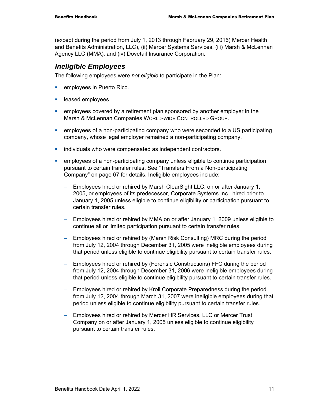(except during the period from July 1, 2013 through February 29, 2016) Mercer Health and Benefits Administration, LLC), (ii) Mercer Systems Services, (iii) Marsh & McLennan Agency LLC (MMA), and (iv) Dovetail Insurance Corporation.

### *Ineligible Employees*

The following employees were *not eligible* to participate in the Plan:

- **EXECUTE:** employees in Puerto Rico.
- **Leased employees.**
- **EXECT** employees covered by a retirement plan sponsored by another employer in the Marsh & McLennan Companies WORLD-WIDE CONTROLLED GROUP.
- employees of a non-participating company who were seconded to a US participating company, whose legal employer remained a non-participating company.
- **EXECT** individuals who were compensated as independent contractors.
- employees of a non-participating company unless eligible to continue participation pursuant to certain transfer rules. See "Transfers From a Non-participating Company" on page 67 for details. Ineligible employees include:
	- − Employees hired or rehired by Marsh ClearSight LLC, on or after January 1, 2005, or employees of its predecessor, Corporate Systems Inc., hired prior to January 1, 2005 unless eligible to continue eligibility or participation pursuant to certain transfer rules.
	- − Employees hired or rehired by MMA on or after January 1, 2009 unless eligible to continue all or limited participation pursuant to certain transfer rules.
	- − Employees hired or rehired by (Marsh Risk Consulting) MRC during the period from July 12, 2004 through December 31, 2005 were ineligible employees during that period unless eligible to continue eligibility pursuant to certain transfer rules.
	- − Employees hired or rehired by (Forensic Constructions) FFC during the period from July 12, 2004 through December 31, 2006 were ineligible employees during that period unless eligible to continue eligibility pursuant to certain transfer rules.
	- Employees hired or rehired by Kroll Corporate Preparedness during the period from July 12, 2004 through March 31, 2007 were ineligible employees during that period unless eligible to continue eligibility pursuant to certain transfer rules.
	- − Employees hired or rehired by Mercer HR Services, LLC or Mercer Trust Company on or after January 1, 2005 unless eligible to continue eligibility pursuant to certain transfer rules.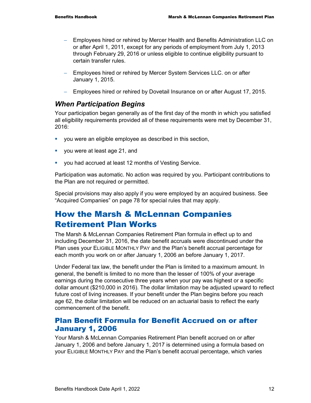- − Employees hired or rehired by Mercer Health and Benefits Administration LLC on or after April 1, 2011, except for any periods of employment from July 1, 2013 through February 29, 2016 or unless eligible to continue eligibility pursuant to certain transfer rules.
- − Employees hired or rehired by Mercer System Services LLC. on or after January 1, 2015.
- − Employees hired or rehired by Dovetail Insurance on or after August 17, 2015.

### *When Participation Begins*

Your participation began generally as of the first day of the month in which you satisfied all eligibility requirements provided all of these requirements were met by December 31, 2016:

- you were an eligible employee as described in this section,
- vou were at least age 21, and
- you had accrued at least 12 months of Vesting Service.

Participation was automatic. No action was required by you. Participant contributions to the Plan are not required or permitted.

Special provisions may also apply if you were employed by an acquired business. See "Acquired Companies" on page 78 for special rules that may apply.

# How the Marsh & McLennan Companies Retirement Plan Works

The Marsh & McLennan Companies Retirement Plan formula in effect up to and including December 31, 2016, the date benefit accruals were discontinued under the Plan uses your ELIGIBLE MONTHLY PAY and the Plan's benefit accrual percentage for each month you work on or after January 1, 2006 an before January 1, 2017.

Under Federal tax law, the benefit under the Plan is limited to a maximum amount. In general, the benefit is limited to no more than the lesser of 100% of your average earnings during the consecutive three years when your pay was highest or a specific dollar amount (\$210,000 in 2016). The dollar limitation may be adjusted upward to reflect future cost of living increases. If your benefit under the Plan begins before you reach age 62, the dollar limitation will be reduced on an actuarial basis to reflect the early commencement of the benefit.

### Plan Benefit Formula for Benefit Accrued on or after January 1, 2006

Your Marsh & McLennan Companies Retirement Plan benefit accrued on or after January 1, 2006 and before January 1, 2017 is determined using a formula based on your ELIGIBLE MONTHLY PAY and the Plan's benefit accrual percentage, which varies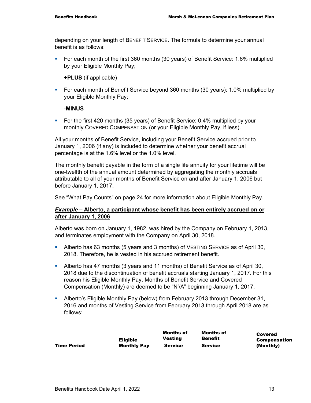depending on your length of BENEFIT SERVICE. The formula to determine your annual benefit is as follows:

 For each month of the first 360 months (30 years) of Benefit Service: 1.6% multiplied by your Eligible Monthly Pay;

**+PLUS** (if applicable)

• For each month of Benefit Service beyond 360 months (30 years): 1.0% multiplied by your Eligible Monthly Pay;

### -**MINUS**

 For the first 420 months (35 years) of Benefit Service: 0.4% multiplied by your monthly COVERED COMPENSATION (or your Eligible Monthly Pay, if less).

All your months of Benefit Service, including your Benefit Service accrued prior to January 1, 2006 (if any) is included to determine whether your benefit accrual percentage is at the 1.6% level or the 1.0% level.

The monthly benefit payable in the form of a single life annuity for your lifetime will be one-twelfth of the annual amount determined by aggregating the monthly accruals attributable to all of your months of Benefit Service on and after January 1, 2006 but before January 1, 2017.

See "What Pay Counts" on page 24 for more information about Eligible Monthly Pay.

### *Example –* **Alberto, a participant whose benefit has been entirely accrued on or after January 1, 2006**

Alberto was born on January 1, 1982, was hired by the Company on February 1, 2013, and terminates employment with the Company on April 30, 2018.

- Alberto has 63 months (5 years and 3 months) of VESTING SERVICE as of April 30, 2018. Therefore, he is vested in his accrued retirement benefit.
- Alberto has 47 months (3 years and 11 months) of Benefit Service as of April 30, 2018 due to the discontinuation of benefit accruals starting January 1, 2017. For this reason his Eligible Monthly Pay, Months of Benefit Service and Covered Compensation (Monthly) are deemed to be "N'/A" beginning January 1, 2017.
- Alberto's Eligible Monthly Pay (below) from February 2013 through December 31, 2016 and months of Vesting Service from February 2013 through April 2018 are as follows:

| <b>Eligible</b>    | <b>Months</b> of | Months of      | <b>Covered</b>      |
|--------------------|------------------|----------------|---------------------|
| <b>Time Period</b> | Vesting          | <b>Benefit</b> | <b>Compensation</b> |
| <b>Monthly Pay</b> | <b>Service</b>   | <b>Service</b> | (Monthly)           |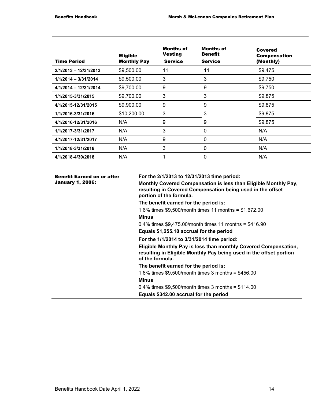| <b>Time Period</b>      | <b>Eligible</b><br><b>Monthly Pay</b> | <b>Months of</b><br>Vesting<br><b>Service</b> | Months of<br><b>Benefit</b><br><b>Service</b> | Covered<br><b>Compensation</b><br>(Monthly) |
|-------------------------|---------------------------------------|-----------------------------------------------|-----------------------------------------------|---------------------------------------------|
| $2/1/2013 - 12/31/2013$ | \$9,500,00                            | 11                                            | 11                                            | \$9,475                                     |
| $1/1/2014 - 3/31/2014$  | \$9,500.00                            | 3                                             | 3                                             | \$9,750                                     |
| 4/1/2014 - 12/31/2014   | \$9,700.00                            | 9                                             | 9                                             | \$9,750                                     |
| 1/1/2015-3/31/2015      | \$9,700.00                            | 3                                             | 3                                             | \$9,875                                     |
| 4/1/2015-12/31/2015     | \$9,900.00                            | 9                                             | 9                                             | \$9,875                                     |
| 1/1/2016-3/31/2016      | \$10,200.00                           | 3                                             | 3                                             | \$9,875                                     |
| 4/1/2016-12/31/2016     | N/A                                   | 9                                             | 9                                             | \$9,875                                     |
| 1/1/2017-3/31/2017      | N/A                                   | 3                                             | 0                                             | N/A                                         |
| 4/1/2017-12/31/2017     | N/A                                   | 9                                             | 0                                             | N/A                                         |
| 1/1/2018-3/31/2018      | N/A                                   | 3                                             | 0                                             | N/A                                         |
| 4/1/2018-4/30/2018      | N/A                                   |                                               | $\mathbf 0$                                   | N/A                                         |

| <b>Benefit Earned on or after</b><br><b>January 1, 2006:</b> | For the 2/1/2013 to 12/31/2013 time period:<br>Monthly Covered Compensation is less than Eligible Monthly Pay,<br>resulting in Covered Compensation being used in the offset<br>portion of the formula. |  |  |  |
|--------------------------------------------------------------|---------------------------------------------------------------------------------------------------------------------------------------------------------------------------------------------------------|--|--|--|
|                                                              | The benefit earned for the period is:                                                                                                                                                                   |  |  |  |
|                                                              | 1.6% times \$9,500/month times 11 months = $$1,672.00$                                                                                                                                                  |  |  |  |
|                                                              | <b>Minus</b>                                                                                                                                                                                            |  |  |  |
|                                                              | 0.4% times $$9,475.00/m$ onth times 11 months = $$416.90$                                                                                                                                               |  |  |  |
|                                                              | Equals \$1,255.10 accrual for the period                                                                                                                                                                |  |  |  |
|                                                              | For the 1/1/2014 to 3/31/2014 time period:                                                                                                                                                              |  |  |  |
|                                                              | Eligible Monthly Pay is less than monthly Covered Compensation,<br>resulting in Eligible Monthly Pay being used in the offset portion<br>of the formula.                                                |  |  |  |
|                                                              | The benefit earned for the period is:                                                                                                                                                                   |  |  |  |
|                                                              | 1.6% times $$9,500/m$ onth times 3 months = $$456.00$                                                                                                                                                   |  |  |  |
|                                                              | <b>Minus</b>                                                                                                                                                                                            |  |  |  |
|                                                              | 0.4% times $$9,500/m$ onth times 3 months = $$114.00$                                                                                                                                                   |  |  |  |
|                                                              | Equals \$342.00 accrual for the period                                                                                                                                                                  |  |  |  |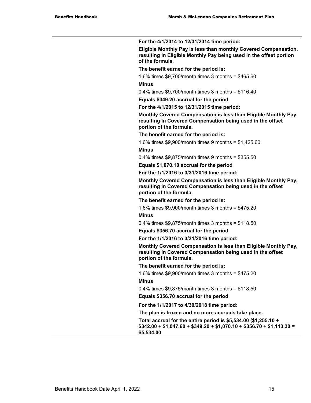**For the 4/1/2014 to 12/31/2014 time period:** 

**Eligible Monthly Pay is less than monthly Covered Compensation, resulting in Eligible Monthly Pay being used in the offset portion of the formula.** 

**The benefit earned for the period is:** 

1.6% times \$9,700/month times 3 months = \$465.60

#### **Minus**

0.4% times \$9,700/month times 3 months = \$116.40

**Equals \$349.20 accrual for the period** 

**For the 4/1/2015 to 12/31/2015 time period:** 

**Monthly Covered Compensation is less than Eligible Monthly Pay, resulting in Covered Compensation being used in the offset portion of the formula.** 

**The benefit earned for the period is:** 

1.6% times \$9,900/month times 9 months = \$1,425.60

#### **Minus**

0.4% times \$9,875/month times 9 months = \$355.50

**Equals \$1,070.10 accrual for the period** 

**For the 1/1/2016 to 3/31/2016 time period:** 

**Monthly Covered Compensation is less than Eligible Monthly Pay, resulting in Covered Compensation being used in the offset portion of the formula.** 

**The benefit earned for the period is:** 

1.6% times \$9,900/month times 3 months = \$475.20

#### **Minus**

0.4% times \$9,875/month times 3 months = \$118.50

**Equals \$356.70 accrual for the period** 

**For the 1/1/2016 to 3/31/2016 time period:** 

**Monthly Covered Compensation is less than Eligible Monthly Pay, resulting in Covered Compensation being used in the offset portion of the formula.** 

**The benefit earned for the period is:** 

1.6% times \$9,900/month times 3 months = \$475.20

#### **Minus**

0.4% times \$9,875/month times 3 months = \$118.50

**Equals \$356.70 accrual for the period**

**For the 1/1/2017 to 4/30/2018 time period:** 

**The plan is frozen and no more accruals take place.** 

**Total accrual for the entire period is \$5,534.00 (\$1,255.10 + \$342.00 + \$1,047.60 + \$349.20 + \$1,070.10 + \$356.70 + \$1,113.30 = \$5,534.00**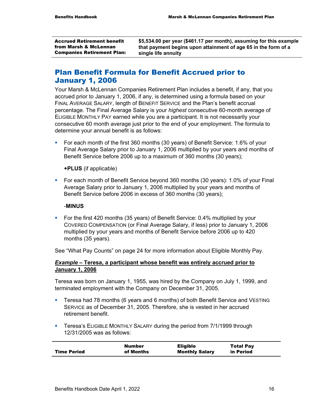| <b>Accrued Retirement benefit</b> | \$5,534.00 per year (\$461.17 per month), assuming for this example |
|-----------------------------------|---------------------------------------------------------------------|
| from Marsh & McLennan             | that payment begins upon attainment of age 65 in the form of a      |
| <b>Companies Retirement Plan:</b> | single life annuity                                                 |

# Plan Benefit Formula for Benefit Accrued prior to January 1, 2006

Your Marsh & McLennan Companies Retirement Plan includes a benefit, if any, that you accrued prior to January 1, 2006, if any, is determined using a formula based on your FINAL AVERAGE SALARY, length of BENEFIT SERVICE and the Plan's benefit accrual percentage. The Final Average Salary is your *highest* consecutive 60-month average of ELIGIBLE MONTHLY PAY earned while you are a participant. It is not necessarily your consecutive 60 month average just prior to the end of your employment. The formula to determine your annual benefit is as follows:

 For each month of the first 360 months (30 years) of Benefit Service: 1.6% of your Final Average Salary prior to January 1, 2006 multiplied by your years and months of Benefit Service before 2006 up to a maximum of 360 months (30 years);

**+PLUS** (if applicable)

 For each month of Benefit Service beyond 360 months (30 years): 1.0% of your Final Average Salary prior to January 1, 2006 multiplied by your years and months of Benefit Service before 2006 in excess of 360 months (30 years);

#### -**MINUS**

• For the first 420 months (35 years) of Benefit Service: 0.4% multiplied by your COVERED COMPENSATION (or Final Average Salary, if less) prior to January 1, 2006 multiplied by your years and months of Benefit Service before 2006 up to 420 months (35 years).

See "What Pay Counts" on page 24 for more information about Eligible Monthly Pay.

### *Example –* **Teresa, a participant whose benefit was entirely accrued prior to January 1, 2006**

Teresa was born on January 1, 1955, was hired by the Company on July 1, 1999, and terminated employment with the Company on December 31, 2005.

- Teresa had 78 months (6 years and 6 months) of both Benefit Service and VESTING SERVICE as of December 31, 2005. Therefore, she is vested in her accrued retirement benefit.
- **Teresa's ELIGIBLE MONTHLY SALARY during the period from 7/1/1999 through** 12/31/2005 was as follows:

|                    | <b>Number</b> | <b>Eligible</b>       | <b>Total Pay</b> |
|--------------------|---------------|-----------------------|------------------|
| <b>Time Period</b> | of Months     | <b>Monthly Salary</b> | in Period        |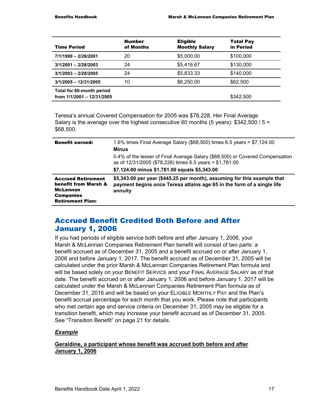| <b>Time Period</b>                                      | <b>Number</b><br>of Months | <b>Eligible</b><br><b>Monthly Salary</b> | <b>Total Pay</b><br>in Period |
|---------------------------------------------------------|----------------------------|------------------------------------------|-------------------------------|
| 7/1/1999 - 2/28/2001                                    | 20                         | \$5,000.00                               | \$100,000                     |
| $3/1/2001 - 2/28/2003$                                  | 24                         | \$5,416.67                               | \$130,000                     |
| $3/1/2003 - 2/28/2005$                                  | 24                         | \$5,833.33                               | \$140,000                     |
| $3/1/2005 - 12/31/2005$                                 | 10                         | \$6,250.00                               | \$62,500                      |
| Total for 60-month period<br>from 1/1/2001 - 12/31/2005 |                            |                                          | \$342,500                     |

Teresa's annual Covered Compensation for 2005 was \$78,228. Her Final Average Salary is the average over the highest consecutive 60 months (5 years):  $$342,500/5=$ \$68,500.

| <b>Benefit earned:</b>                                                                                              | 1.6% times Final Average Salary (\$68,500) times 6.5 years = \$7,124.00<br><b>Minus</b>                                                                                                      |
|---------------------------------------------------------------------------------------------------------------------|----------------------------------------------------------------------------------------------------------------------------------------------------------------------------------------------|
|                                                                                                                     | 0.4% of the lesser of Final Average Salary (\$68,500) or Covered Compensation<br>as of $12/31/2005$ (\$78,228) times 6.5 years = \$1,781.00<br>\$7,124.00 minus \$1,781.00 equals \$5,343.00 |
| <b>Accrued Retirement</b><br>benefit from Marsh &<br><b>McLennan</b><br><b>Companies</b><br><b>Retirement Plan:</b> | \$5,343.00 per year (\$445.25 per month), assuming for this example that<br>payment begins once Teresa attains age 65 in the form of a single life<br>annuity                                |

# Accrued Benefit Credited Both Before and After January 1, 2006

If you had periods of eligible service both before and after January 1, 2006, your Marsh & McLennan Companies Retirement Plan benefit will consist of two parts: a benefit accrued as of December 31, 2005 and a benefit accrued on or after January 1, 2006 and before January 1, 2017. The benefit accrued as of December 31, 2005 will be calculated under the prior Marsh & McLennan Companies Retirement Plan formula and will be based solely on your BENEFIT SERVICE and your FINAL AVERAGE SALARY as of that date. The benefit accrued on or after January 1, 2006 and before January 1, 2017 will be calculated under the Marsh & McLennan Companies Retirement Plan formula as of December 31, 2016 and will be based on your ELIGIBLE MONTHLY PAY and the Plan's benefit accrual percentage for each month that you work. Please note that participants who met certain age and service criteria on December 31, 2005 may be eligible for a transition benefit, which may increase your benefit accrued as of December 31, 2005. See "Transition Benefit" on page 21 for details.

### *Example*

### **Geraldine, a participant whose benefit was accrued both before and after January 1, 2006**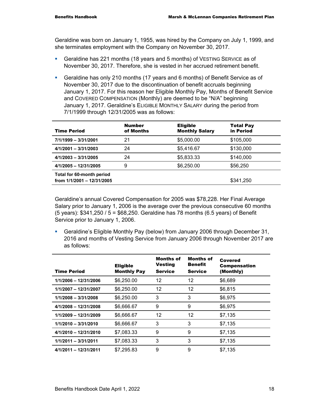Geraldine was born on January 1, 1955, was hired by the Company on July 1, 1999, and she terminates employment with the Company on November 30, 2017.

- Geraldine has 221 months (18 years and 5 months) of VESTING SERVICE as of November 30, 2017. Therefore, she is vested in her accrued retirement benefit.
- Geraldine has only 210 months (17 years and 6 months) of Benefit Service as of November 30, 2017 due to the discontinuation of benefit accruals beginning January 1, 2017. For this reason her Eligible Monthly Pay, Months of Benefit Service and COVERED COMPENSATION (Monthly) are deemed to be "N/A" beginning January 1, 2017. Geraldine's ELIGIBLE MONTHLY SALARY during the period from 7/1/1999 through 12/31/2005 was as follows:

| <b>Time Period</b>                                      | <b>Number</b><br>of Months | <b>Eligible</b><br><b>Monthly Salary</b> | <b>Total Pay</b><br>in Period |
|---------------------------------------------------------|----------------------------|------------------------------------------|-------------------------------|
| 7/1/1999 - 3/31/2001                                    | 21                         | \$5,000.00                               | \$105,000                     |
| $4/1/2001 - 3/31/2003$                                  | 24                         | \$5,416.67                               | \$130,000                     |
| $4/1/2003 - 3/31/2005$                                  | 24                         | \$5,833.33                               | \$140,000                     |
| 4/1/2005 - 12/31/2005                                   | 9                          | \$6,250.00                               | \$56,250                      |
| Total for 60-month period<br>from 1/1/2001 - 12/31/2005 |                            |                                          | \$341.250                     |

Geraldine's annual Covered Compensation for 2005 was \$78,228. Her Final Average Salary prior to January 1, 2006 is the average over the previous consecutive 60 months (5 years): \$341,250 / 5 = \$68,250. Geraldine has 78 months (6.5 years) of Benefit Service prior to January 1, 2006.

 Geraldine's Eligible Monthly Pay (below) from January 2006 through December 31, 2016 and months of Vesting Service from January 2006 through November 2017 are as follows:

| <b>Time Period</b>      | <b>Eligible</b><br><b>Monthly Pay</b> | Months of<br><b>Vesting</b><br><b>Service</b> | Months of<br><b>Benefit</b><br><b>Service</b> | Covered<br><b>Compensation</b><br>(Monthly) |
|-------------------------|---------------------------------------|-----------------------------------------------|-----------------------------------------------|---------------------------------------------|
| 1/1/2006 - 12/31/2006   | \$6,250,00                            | 12                                            | 12                                            | \$6.689                                     |
| 1/1/2007 - 12/31/2007   | \$6,250.00                            | 12                                            | 12                                            | \$6,815                                     |
| 1/1/2008 - 3/31/2008    | \$6,250.00                            | 3                                             | 3                                             | \$6,975                                     |
| $4/1/2008 - 12/31/2008$ | \$6,666.67                            | 9                                             | 9                                             | \$6,975                                     |
| 1/1/2009 - 12/31/2009   | \$6,666.67                            | 12                                            | 12                                            | \$7,135                                     |
| $1/1/2010 - 3/31/2010$  | \$6,666.67                            | 3                                             | 3                                             | \$7,135                                     |
| $4/1/2010 - 12/31/2010$ | \$7,083.33                            | 9                                             | 9                                             | \$7,135                                     |
| $1/1/2011 - 3/31/2011$  | \$7,083.33                            | 3                                             | 3                                             | \$7,135                                     |
| 4/1/2011 - 12/31/2011   | \$7,295.83                            | 9                                             | 9                                             | \$7.135                                     |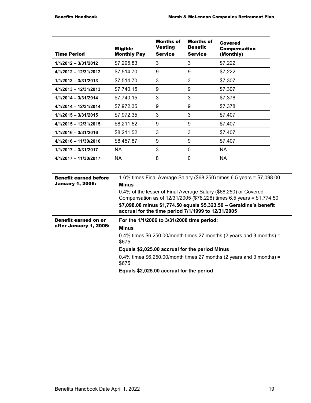| <b>Time Period</b>      | <b>Eligible</b><br><b>Monthly Pay</b> | <b>Months of</b><br>Vesting<br><b>Service</b> | <b>Months of</b><br><b>Benefit</b><br><b>Service</b> | Covered<br><b>Compensation</b><br>(Monthly) |
|-------------------------|---------------------------------------|-----------------------------------------------|------------------------------------------------------|---------------------------------------------|
| $1/1/2012 - 3/31/2012$  | \$7,295.83                            | 3                                             | 3                                                    | \$7,222                                     |
| 4/1/2012 - 12/31/2012   | \$7,514.70                            | 9                                             | 9                                                    | \$7,222                                     |
| $1/1/2013 - 3/31/2013$  | \$7,514.70                            | 3                                             | 3                                                    | \$7,307                                     |
| 4/1/2013 - 12/31/2013   | \$7,740.15                            | 9                                             | 9                                                    | \$7,307                                     |
| $1/1/2014 - 3/31/2014$  | \$7,740.15                            | 3                                             | 3                                                    | \$7,378                                     |
| 4/1/2014 - 12/31/2014   | \$7,972.35                            | 9                                             | 9                                                    | \$7,378                                     |
| $1/1/2015 - 3/31/2015$  | \$7,972.35                            | 3                                             | 3                                                    | \$7,407                                     |
| $4/1/2015 - 12/31/2015$ | \$8,211.52                            | 9                                             | 9                                                    | \$7,407                                     |
| $1/1/2016 - 3/31/2016$  | \$8,211.52                            | 3                                             | 3                                                    | \$7,407                                     |
| 4/1/2016 - 11/30/2016   | \$8,457.87                            | 9                                             | 9                                                    | \$7,407                                     |
| 1/1/2017 - 3/31/2017    | NA.                                   | 3                                             | 0                                                    | NA.                                         |
| 4/1/2017 - 11/30/2017   | NA.                                   | 8                                             | $\Omega$                                             | NA.                                         |

| <b>Benefit earned before</b><br><b>January 1, 2006:</b> | 1.6% times Final Average Salary (\$68,250) times 6.5 years = \$7,098.00<br><b>Minus</b>                                                   |
|---------------------------------------------------------|-------------------------------------------------------------------------------------------------------------------------------------------|
|                                                         | 0.4% of the lesser of Final Average Salary (\$68,250) or Covered<br>Compensation as of 12/31/2005 (\$78,228) times 6.5 years = \$1,774.50 |
|                                                         | \$7,098.00 minus \$1,774.50 equals \$5,323.50 - Geraldine's benefit<br>accrual for the time period 7/1/1999 to 12/31/2005                 |
| <b>Benefit earned on or</b><br>after January 1, 2006:   | For the 1/1/2006 to 3/31/2008 time period:                                                                                                |
|                                                         | <b>Minus</b>                                                                                                                              |
|                                                         | 0.4% times $$6,250.00/m$ onth times 27 months (2 years and 3 months) =<br>\$675                                                           |
|                                                         |                                                                                                                                           |
|                                                         | Equals \$2,025.00 accrual for the period Minus                                                                                            |
|                                                         | 0.4% times $$6,250.00/m$ onth times 27 months (2 years and 3 months) =<br>\$675                                                           |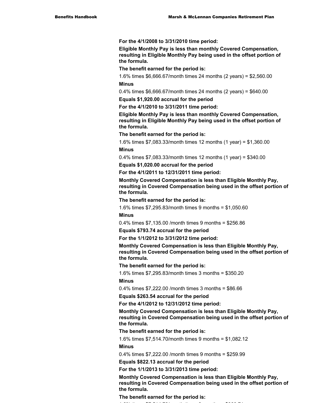**For the 4/1/2008 to 3/31/2010 time period:** 

**Eligible Monthly Pay is less than monthly Covered Compensation, resulting in Eligible Monthly Pay being used in the offset portion of the formula.** 

**The benefit earned for the period is:** 

1.6% times \$6,666.67/month times 24 months (2 years) = \$2,560.00 **Minus**

0.4% times \$6,666.67/month times 24 months (2 years) = \$640.00

**Equals \$1,920.00 accrual for the period** 

**For the 4/1/2010 to 3/31/2011 time period:** 

**Eligible Monthly Pay is less than monthly Covered Compensation, resulting in Eligible Monthly Pay being used in the offset portion of the formula.** 

**The benefit earned for the period is:** 

1.6% times \$7,083.33/month times 12 months (1 year) = \$1,360.00 **Minus**

0.4% times \$7,083.33/month times 12 months (1 year) = \$340.00

**Equals \$1,020.00 accrual for the period** 

**For the 4/1/2011 to 12/31/2011 time period:** 

**Monthly Covered Compensation is less than Eligible Monthly Pay, resulting in Covered Compensation being used in the offset portion of the formula.** 

**The benefit earned for the period is:** 

1.6% times \$7,295.83/month times 9 months = \$1,050.60

#### **Minus**

0.4% times \$7,135.00 /month times 9 months = \$256.86

**Equals \$793.74 accrual for the period** 

**For the 1/1/2012 to 3/31/2012 time period:** 

**Monthly Covered Compensation is less than Eligible Monthly Pay, resulting in Covered Compensation being used in the offset portion of the formula.** 

**The benefit earned for the period is:** 

1.6% times \$7,295.83/month times 3 months = \$350.20

#### **Minus**

0.4% times \$7,222.00 /month times 3 months = \$86.66

**Equals \$263.54 accrual for the period** 

**For the 4/1/2012 to 12/31/2012 time period:** 

**Monthly Covered Compensation is less than Eligible Monthly Pay, resulting in Covered Compensation being used in the offset portion of the formula.** 

**The benefit earned for the period is:** 

1.6% times \$7,514.70/month times 9 months = \$1,082.12

#### **Minus**

0.4% times \$7,222.00 /month times 9 months = \$259.99

**Equals \$822.13 accrual for the period** 

**For the 1/1/2013 to 3/31/2013 time period:** 

Benefits Handbook Date April 1, 2022 20 **the formula. Monthly Covered Compensation is less than Eligible Monthly Pay, resulting in Covered Compensation being used in the offset portion of** 

**The benefit earned for the period is:** 

1 6 ف 1 614 714 724 734 734 734 735 7360 737 738 739 731 732 734 735 7360 737 738 738 738 738 738 738 738 738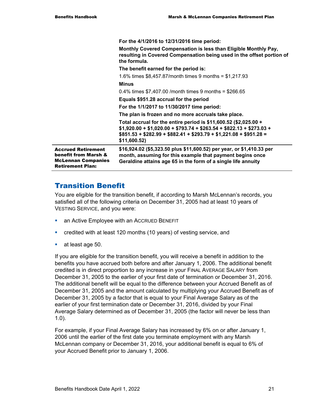|                                                                                                           | For the 4/1/2016 to 12/31/2016 time period:                                                                                                                                                                               |
|-----------------------------------------------------------------------------------------------------------|---------------------------------------------------------------------------------------------------------------------------------------------------------------------------------------------------------------------------|
|                                                                                                           | Monthly Covered Compensation is less than Eligible Monthly Pay,<br>resulting in Covered Compensation being used in the offset portion of<br>the formula.                                                                  |
|                                                                                                           | The benefit earned for the period is:                                                                                                                                                                                     |
|                                                                                                           | 1.6% times $$8,457.87/m$ onth times 9 months = $$1,217.93$                                                                                                                                                                |
|                                                                                                           | <b>Minus</b>                                                                                                                                                                                                              |
|                                                                                                           | 0.4% times $$7,407.00$ /month times 9 months = $$266.65$                                                                                                                                                                  |
|                                                                                                           | Equals \$951.28 accrual for the period                                                                                                                                                                                    |
|                                                                                                           | For the 1/1/2017 to 11/30/2017 time period:                                                                                                                                                                               |
|                                                                                                           | The plan is frozen and no more accruals take place.                                                                                                                                                                       |
|                                                                                                           | Total accrual for the entire period is $$11,600.52$ (\$2,025.00 +<br>$$1,920.00 + $1,020.00 + $793.74 + $263.54 + $822.13 + $273.03 +$<br>$$851.53 + $282.99 + $882.41 + $293.79 + $1,221.08 + $951.28 =$<br>\$11,600.52) |
| <b>Accrued Retirement</b><br>benefit from Marsh &<br><b>McLennan Companies</b><br><b>Retirement Plan:</b> | \$16,924.02 (\$5,323.50 plus \$11,600.52) per year, or \$1,410.33 per<br>month, assuming for this example that payment begins once<br>Geraldine attains age 65 in the form of a single life annuity                       |

# Transition Benefit

You are eligible for the transition benefit, if according to Marsh McLennan's records, you satisfied all of the following criteria on December 31, 2005 had at least 10 years of VESTING SERVICE, and you were:

- **an Active Employee with an ACCRUED BENEFIT**
- **•** credited with at least 120 months (10 years) of vesting service, and
- **at least age 50.**

If you are eligible for the transition benefit, you will receive a benefit in addition to the benefits you have accrued both before and after January 1, 2006. The additional benefit credited is in direct proportion to any increase in your FINAL AVERAGE SALARY from December 31, 2005 to the earlier of your first date of termination or December 31, 2016. The additional benefit will be equal to the difference between your Accrued Benefit as of December 31, 2005 and the amount calculated by multiplying your Accrued Benefit as of December 31, 2005 by a factor that is equal to your Final Average Salary as of the earlier of your first termination date or December 31, 2016, divided by your Final Average Salary determined as of December 31, 2005 (the factor will never be less than 1.0).

For example, if your Final Average Salary has increased by 6% on or after January 1, 2006 until the earlier of the first date you terminate employment with any Marsh McLennan company or December 31, 2016, your additional benefit is equal to 6% of your Accrued Benefit prior to January 1, 2006.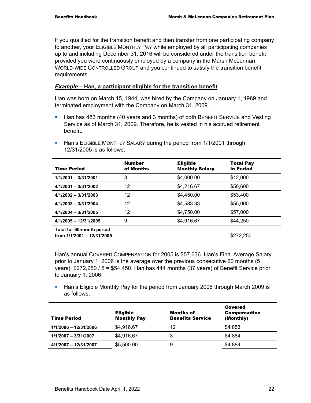If you qualified for the transition benefit and then transfer from one participating company to another, your ELIGIBLE MONTHLY PAY while employed by all participating companies up to and including December 31, 2016 will be considered under the transition benefit provided you were continuously employed by a company in the Marsh McLennan WORLD-WIDE CONTROLLED GROUP and you continued to satisfy the transition benefit requirements.

### *Example* **– Han, a participant eligible for the transition benefit**

Han was born on March 15, 1944, was hired by the Company on January 1, 1969 and terminated employment with the Company on March 31, 2009.

**Han has 483 months (40 years and 3 months) of both BENEFIT SERVICE and Vesting** Service as of March 31, 2009. Therefore, he is vested in his accrued retirement benefit.

| <b>Time Period</b>                                      | <b>Number</b><br>of Months | <b>Eligible</b><br><b>Monthly Salary</b> | <b>Total Pay</b><br>in Period |
|---------------------------------------------------------|----------------------------|------------------------------------------|-------------------------------|
| $1/1/2001 - 3/31/2001$                                  | 3                          | \$4,000.00                               | \$12,000                      |
| $4/1/2001 - 3/31/2002$                                  | 12                         | \$4,216.67                               | \$50,600                      |
| 4/1/2002 - 3/31/2003                                    | 12                         | \$4,450.00                               | \$53,400                      |
| $4/1/2003 - 3/31/2004$                                  | 12                         | \$4,583.33                               | \$55,000                      |
| 4/1/2004 - 3/31/2005                                    | 12                         | \$4,750.00                               | \$57,000                      |
| $4/1/2005 - 12/31/2005$                                 | 9                          | \$4,916.67                               | \$44,250                      |
| Total for 60-month period<br>from 1/1/2001 - 12/31/2005 |                            |                                          | \$272,250                     |

**Han's ELIGIBLE MONTHLY SALARY during the period from 1/1/2001 through** 12/31/2005 is as follows:

Han's annual COVERED COMPENSATION for 2005 is \$57,636. Han's Final Average Salary prior to January 1, 2006 is the average over the previous consecutive 60 months (5 years): \$272,250 / 5 = \$54,450. Han has 444 months (37 years) of Benefit Service prior to January 1, 2006.

 Han's Eligible Monthly Pay for the period from January 2006 through March 2009 is as follows:

| <b>Time Period</b>    | <b>Eligible</b><br><b>Monthly Pay</b> | Months of<br><b>Benefits Service</b> | <b>Covered</b><br><b>Compensation</b><br>(Monthly) |
|-----------------------|---------------------------------------|--------------------------------------|----------------------------------------------------|
| 1/1/2006 - 12/31/2006 | \$4,916.67                            | 12                                   | \$4,853                                            |
| 1/1/2007 - 3/31/2007  | \$4,916.67                            | 3                                    | \$4,884                                            |
| 4/1/2007 - 12/31/2007 | \$5,500.00                            | 9                                    | \$4,884                                            |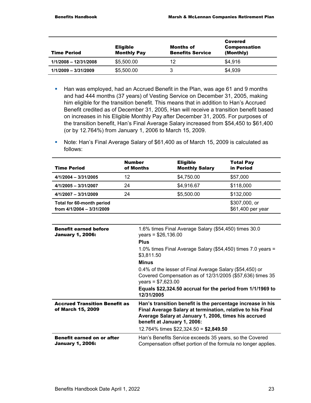| <b>Time Period</b>     | <b>Eligible</b><br><b>Monthly Pay</b> | Months of<br><b>Benefits Service</b> | <b>Covered</b><br><b>Compensation</b><br>(Monthly) |
|------------------------|---------------------------------------|--------------------------------------|----------------------------------------------------|
| 1/1/2008 - 12/31/2008  | \$5,500.00                            | 12                                   | \$4.916                                            |
| $1/1/2009 - 3/31/2009$ | \$5,500.00                            |                                      | \$4,939                                            |

- **Han was employed, had an Accrued Benefit in the Plan, was age 61 and 9 months** and had 444 months (37 years) of Vesting Service on December 31, 2005, making him eligible for the transition benefit. This means that in addition to Han's Accrued Benefit credited as of December 31, 2005, Han will receive a transition benefit based on increases in his Eligible Monthly Pay after December 31, 2005. For purposes of the transition benefit, Han's Final Average Salary increased from \$54,450 to \$61,400 (or by 12.764%) from January 1, 2006 to March 15, 2009.
- Note: Han's Final Average Salary of \$61,400 as of March 15, 2009 is calculated as follows:

| <b>Time Period</b>                                     | <b>Number</b><br>of Months | <b>Eligible</b><br><b>Monthly Salary</b> | <b>Total Pay</b><br>in Period      |
|--------------------------------------------------------|----------------------------|------------------------------------------|------------------------------------|
| $4/1/2004 - 3/31/2005$                                 | 12                         | \$4,750.00                               | \$57,000                           |
| $4/1/2005 - 3/31/2007$                                 | 24                         | \$4,916.67                               | \$118,000                          |
| $4/1/2007 - 3/31/2009$                                 | 24                         | \$5,500.00                               | \$132,000                          |
| Total for 60-month period<br>from 4/1/2004 - 3/31/2009 |                            |                                          | \$307,000, or<br>\$61,400 per year |

| <b>Benefit earned before</b><br><b>January 1, 2006:</b>      | 1.6% times Final Average Salary (\$54,450) times 30.0<br>$years = $26,136.00$                                                                                                                                   |
|--------------------------------------------------------------|-----------------------------------------------------------------------------------------------------------------------------------------------------------------------------------------------------------------|
|                                                              | <b>Plus</b>                                                                                                                                                                                                     |
|                                                              | 1.0% times Final Average Salary (\$54,450) times 7.0 years =<br>\$3,811.50                                                                                                                                      |
|                                                              | <b>Minus</b>                                                                                                                                                                                                    |
|                                                              | 0.4% of the lesser of Final Average Salary (\$54,450) or<br>Covered Compensation as of 12/31/2005 (\$57,636) times 35<br>$years = $7,623.00$                                                                    |
|                                                              | Equals \$22,324.50 accrual for the period from 1/1/1969 to<br>12/31/2005                                                                                                                                        |
| <b>Accrued Transition Benefit as</b><br>of March 15, 2009    | Han's transition benefit is the percentage increase in his<br>Final Average Salary at termination, relative to his Final<br>Average Salary at January 1, 2006, times his accrued<br>benefit at January 1, 2006: |
|                                                              | 12.764% times $$22,324.50 = $2,849.50$                                                                                                                                                                          |
| <b>Benefit earned on or after</b><br><b>January 1, 2006:</b> | Han's Benefits Service exceeds 35 years, so the Covered<br>Compensation offset portion of the formula no longer applies.                                                                                        |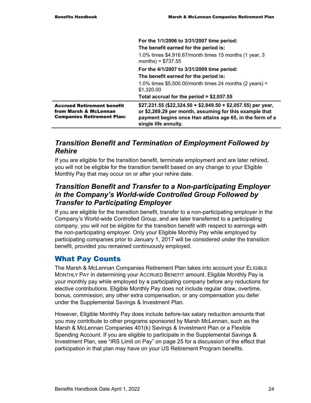|                                                                                                 | For the 1/1/2006 to 3/31/2007 time period:<br>The benefit earned for the period is:<br>1.0% times \$4,916.67/month times 15 months (1 year, 3<br>months) = $$737.55$                                          |
|-------------------------------------------------------------------------------------------------|---------------------------------------------------------------------------------------------------------------------------------------------------------------------------------------------------------------|
|                                                                                                 | For the 4/1/2007 to 3/31/2009 time period:                                                                                                                                                                    |
|                                                                                                 | The benefit earned for the period is:                                                                                                                                                                         |
|                                                                                                 | 1.0% times $$5,500.00/m$ onth times 24 months (2 years) =<br>\$1,320,00                                                                                                                                       |
|                                                                                                 | Total accrual for the period = $$2,057.55$                                                                                                                                                                    |
| <b>Accrued Retirement benefit</b><br>from Marsh & McLennan<br><b>Companies Retirement Plan:</b> | $$27,231.55$ (\$22,324.50 + \$2,849.50 + \$2,057.55) per year,<br>or \$2,269.29 per month, assuming for this example that<br>payment begins once Han attains age 65, in the form of a<br>single life annuity. |

### *Transition Benefit and Termination of Employment Followed by Rehire*

If you are eligible for the transition benefit, terminate employment and are later rehired, you will not be eligible for the transition benefit based on any change to your Eligible Monthly Pay that may occur on or after your rehire date.

# *Transition Benefit and Transfer to a Non-participating Employer in the Company's World-wide Controlled Group Followed by Transfer to Participating Employer*

If you are eligible for the transition benefit, transfer to a non-participating employer in the Company's World-wide Controlled Group, and are later transferred to a participating company, you will not be eligible for the transition benefit with respect to earnings with the non-participating employer. Only your Eligible Monthly Pay while employed by participating companies prior to January 1, 2017 will be considered under the transition benefit, provided you remained continuously employed.

# What Pay Counts

The Marsh & McLennan Companies Retirement Plan takes into account your ELIGIBLE MONTHLY PAY in determining your ACCRUED BENEFIT amount. Eligible Monthly Pay is your monthly pay while employed by a participating company before any reductions for elective contributions. Eligible Monthly Pay does not include regular draw, overtime, bonus, commission, any other extra compensation, or any compensation you defer under the Supplemental Savings & Investment Plan.

However, Eligible Monthly Pay does include before-tax salary reduction amounts that you may contribute to other programs sponsored by Marsh McLennan, such as the Marsh & McLennan Companies 401(k) Savings & Investment Plan or a Flexible Spending Account. If you are eligible to participate in the Supplemental Savings & Investment Plan, see "IRS Limit on Pay" on page 25 for a discussion of the effect that participation in that plan may have on your US Retirement Program benefits.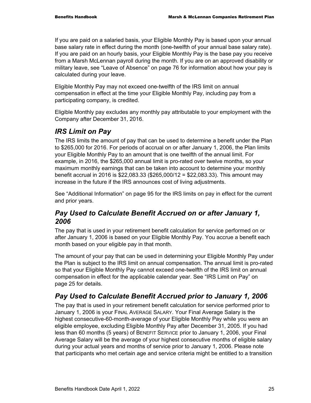If you are paid on a salaried basis, your Eligible Monthly Pay is based upon your annual base salary rate in effect during the month (one-twelfth of your annual base salary rate). If you are paid on an hourly basis, your Eligible Monthly Pay is the base pay you receive from a Marsh McLennan payroll during the month. If you are on an approved disability or military leave, see "Leave of Absence" on page 76 for information about how your pay is calculated during your leave.

Eligible Monthly Pay may not exceed one-twelfth of the IRS limit on annual compensation in effect at the time your Eligible Monthly Pay, including pay from a participating company, is credited.

Eligible Monthly pay excludes any monthly pay attributable to your employment with the Company after December 31, 2016.

# *IRS Limit on Pay*

The IRS limits the amount of pay that can be used to determine a benefit under the Plan to \$265,000 for 2016. For periods of accrual on or after January 1, 2006, the Plan limits your Eligible Monthly Pay to an amount that is one twelfth of the annual limit. For example, in 2016, the \$265,000 annual limit is pro-rated over twelve months, so your maximum monthly earnings that can be taken into account to determine your monthly benefit accrual in 2016 is \$22,083.33 (\$265,000/12 = \$22,083.33). This amount may increase in the future if the IRS announces cost of living adjustments.

See "Additional Information" on page 95 for the IRS limits on pay in effect for the current and prior years.

# *Pay Used to Calculate Benefit Accrued on or after January 1, 2006*

The pay that is used in your retirement benefit calculation for service performed on or after January 1, 2006 is based on your Eligible Monthly Pay. You accrue a benefit each month based on your eligible pay in that month.

The amount of your pay that can be used in determining your Eligible Monthly Pay under the Plan is subject to the IRS limit on annual compensation. The annual limit is pro-rated so that your Eligible Monthly Pay cannot exceed one-twelfth of the IRS limit on annual compensation in effect for the applicable calendar year. See "IRS Limit on Pay" on page 25 for details.

# *Pay Used to Calculate Benefit Accrued prior to January 1, 2006*

The pay that is used in your retirement benefit calculation for service performed prior to January 1, 2006 is your FINAL AVERAGE SALARY. Your Final Average Salary is the highest consecutive-60-month-average of your Eligible Monthly Pay while you were an eligible employee, excluding Eligible Monthly Pay after December 31, 2005. If you had less than 60 months (5 years) of BENEFIT SERVICE prior to January 1, 2006, your Final Average Salary will be the average of your highest consecutive months of eligible salary during your actual years and months of service prior to January 1, 2006. Please note that participants who met certain age and service criteria might be entitled to a transition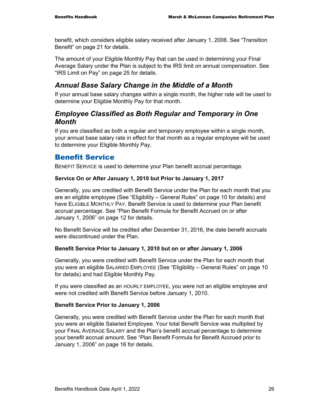benefit, which considers eligible salary received after January 1, 2006. See "Transition Benefit" on page 21 for details.

The amount of your Eligible Monthly Pay that can be used in determining your Final Average Salary under the Plan is subject to the IRS limit on annual compensation. See "IRS Limit on Pay" on page 25 for details.

# *Annual Base Salary Change in the Middle of a Month*

If your annual base salary changes within a single month, the higher rate will be used to determine your Eligible Monthly Pay for that month.

### *Employee Classified as Both Regular and Temporary in One Month*

If you are classified as both a regular and temporary employee within a single month, your annual base salary rate in effect for that month as a regular employee will be used to determine your Eligible Monthly Pay.

# Benefit Service

BENEFIT SERVICE is used to determine your Plan benefit accrual percentage.

### **Service On or After January 1, 2010 but Prior to January 1, 2017**

Generally, you are credited with Benefit Service under the Plan for each month that you are an eligible employee (See "Eligibility – General Rules" on page 10 for details) and have ELIGIBLE MONTHLY PAY. Benefit Service is used to determine your Plan benefit accrual percentage. See "Plan Benefit Formula for Benefit Accrued on or after January 1, 2006" on page 12 for details.

No Benefit Service will be credited after December 31, 2016, the date benefit accruals were discontinued under the Plan.

### **Benefit Service Prior to January 1, 2010 but on or after January 1, 2006**

Generally, you were credited with Benefit Service under the Plan for each month that you were an eligible SALARIED EMPLOYEE (See "Eligibility – General Rules" on page 10 for details) and had Eligible Monthly Pay.

If you were classified as an HOURLY EMPLOYEE, you were not an eligible employee and were not credited with Benefit Service before January 1, 2010.

### **Benefit Service Prior to January 1, 2006**

Generally, you were credited with Benefit Service under the Plan for each month that you were an eligible Salaried Employee. Your total Benefit Service was multiplied by your FINAL AVERAGE SALARY and the Plan's benefit accrual percentage to determine your benefit accrual amount. See "Plan Benefit Formula for Benefit Accrued prior to January 1, 2006" on page 16 for details.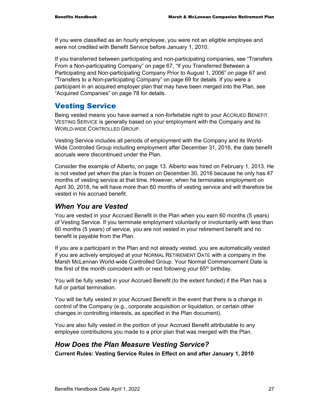If you were classified as an hourly employee, you were not an eligible employee and were not credited with Benefit Service before January 1, 2010.

If you transferred between participating and non-participating companies, see "Transfers From a Non-participating Company" on page 67, "If you Transferred Between a Participating and Non-participating Company Prior to August 1, 2006" on page 67 and "Transfers to a Non-participating Company" on page 69 for details. If you were a participant in an acquired employer plan that may have been merged into the Plan, see "Acquired Companies" on page 78 for details.

# Vesting Service

Being vested means you have earned a non-forfeitable right to your ACCRUED BENEFIT. VESTING SERVICE is generally based on your employment with the Company and its WORLD-WIDE CONTROLLED GROUP.

Vesting Service includes all periods of employment with the Company and its World-Wide Controlled Group including employment after December 31, 2016, the date benefit accruals were discontinued under the Plan.

Consider the example of Alberto, on page 13. Alberto was hired on February 1, 2013. He is not vested yet when the plan is frozen on December 30, 2016 because he only has 47 months of vesting service at that time. However, when he terminates employment on April 30, 2018, he will have more than 60 months of vesting service and will therefore be vested in his accrued benefit.

### *When You are Vested*

You are vested in your Accrued Benefit in the Plan when you earn 60 months (5 years) of Vesting Service. If you terminate employment voluntarily or involuntarily with less than 60 months (5 years) of service, you are not vested in your retirement benefit and no benefit is payable from the Plan.

If you are a participant in the Plan and not already vested, you are automatically vested if you are actively employed at your NORMAL RETIREMENT DATE with a company in the Marsh McLennan World-wide Controlled Group. Your Normal Commencement Date is the first of the month coincident with or next following your 65<sup>th</sup> birthday.

You will be fully vested in your Accrued Benefit (to the extent funded) if the Plan has a full or partial termination.

You will be fully vested in your Accrued Benefit in the event that there is a change in control of the Company (e.g., corporate acquisition or liquidation, or certain other changes in controlling interests, as specified in the Plan document).

You are also fully vested in the portion of your Accrued Benefit attributable to any employee contributions you made to a prior plan that was merged with the Plan.

### *How Does the Plan Measure Vesting Service?*

**Current Rules: Vesting Service Rules in Effect on and after January 1, 2010**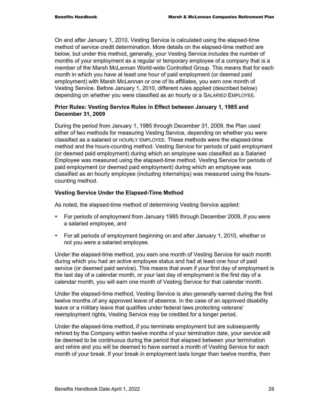On and after January 1, 2010, Vesting Service is calculated using the elapsed-time method of service credit determination. More details on the elapsed-time method are below, but under this method, generally, your Vesting Service includes the number of months of your employment as a regular or temporary employee of a company that is a member of the Marsh McLennan World-wide Controlled Group. This means that for each month in which you have at least one hour of paid employment (or deemed paid employment) with Marsh McLennan or one of its affiliates, you earn one month of Vesting Service. Before January 1, 2010, different rules applied (described below) depending on whether you were classified as an hourly or a SALARIED EMPLOYEE.

### **Prior Rules: Vesting Service Rules in Effect between January 1, 1985 and December 31, 2009**

During the period from January 1, 1985 through December 31, 2009, the Plan used either of two methods for measuring Vesting Service, depending on whether you were classified as a salaried or HOURLY EMPLOYEE. These methods were the elapsed-time method and the hours-counting method. Vesting Service for periods of paid employment (or deemed paid employment) during which an employee was classified as a Salaried Employee was measured using the elapsed-time method. Vesting Service for periods of paid employment (or deemed paid employment) during which an employee was classified as an hourly employee (including internships) was measured using the hourscounting method.

### **Vesting Service Under the Elapsed-Time Method**

As noted, the elapsed-time method of determining Vesting Service applied:

- For periods of employment from January 1985 through December 2009, if you were a salaried employee, and
- For all periods of employment beginning on and after January 1, 2010, whether or not you were a salaried employee.

Under the elapsed-time method, you earn one month of Vesting Service for each month during which you had an active employee status and had at least one hour of paid service (or deemed paid service). This means that even if your first day of employment is the last day of a calendar month, or your last day of employment is the first day of a calendar month, you will earn one month of Vesting Service for that calendar month.

Under the elapsed-time method, Vesting Service is also generally earned during the first twelve months of any approved leave of absence. In the case of an approved disability leave or a military leave that qualifies under federal laws protecting veterans' reemployment rights, Vesting Service may be credited for a longer period.

Under the elapsed-time method, if you terminate employment but are subsequently rehired by the Company within twelve months of your termination date, your service will be deemed to be continuous during the period that elapsed between your termination and rehire and you will be deemed to have earned a month of Vesting Service for each month of your break. If your break in employment lasts longer than twelve months, then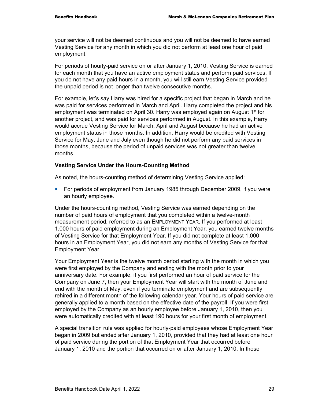your service will not be deemed continuous and you will not be deemed to have earned Vesting Service for any month in which you did not perform at least one hour of paid employment.

For periods of hourly-paid service on or after January 1, 2010, Vesting Service is earned for each month that you have an active employment status and perform paid services. If you do not have any paid hours in a month, you will still earn Vesting Service provided the unpaid period is not longer than twelve consecutive months.

For example, let's say Harry was hired for a specific project that began in March and he was paid for services performed in March and April. Harry completed the project and his employment was terminated on April 30. Harry was employed again on August 1<sup>st</sup> for another project, and was paid for services performed in August. In this example, Harry would accrue Vesting Service for March, April and August because he had an active employment status in those months. In addition, Harry would be credited with Vesting Service for May, June and July even though he did not perform any paid services in those months, because the period of unpaid services was not greater than twelve months.

### **Vesting Service Under the Hours-Counting Method**

As noted, the hours-counting method of determining Vesting Service applied:

 For periods of employment from January 1985 through December 2009, if you were an hourly employee.

Under the hours-counting method, Vesting Service was earned depending on the number of paid hours of employment that you completed within a twelve-month measurement period, referred to as an EMPLOYMENT YEAR. If you performed at least 1,000 hours of paid employment during an Employment Year, you earned twelve months of Vesting Service for that Employment Year. If you did not complete at least 1,000 hours in an Employment Year, you did not earn any months of Vesting Service for that Employment Year.

Your Employment Year is the twelve month period starting with the month in which you were first employed by the Company and ending with the month prior to your anniversary date. For example, if you first performed an hour of paid service for the Company on June 7, then your Employment Year will start with the month of June and end with the month of May, even if you terminate employment and are subsequently rehired in a different month of the following calendar year. Your hours of paid service are generally applied to a month based on the effective date of the payroll. If you were first employed by the Company as an hourly employee before January 1, 2010, then you were automatically credited with at least 190 hours for your first month of employment.

A special transition rule was applied for hourly-paid employees whose Employment Year began in 2009 but ended after January 1, 2010, provided that they had at least one hour of paid service during the portion of that Employment Year that occurred before January 1, 2010 and the portion that occurred on or after January 1, 2010. In those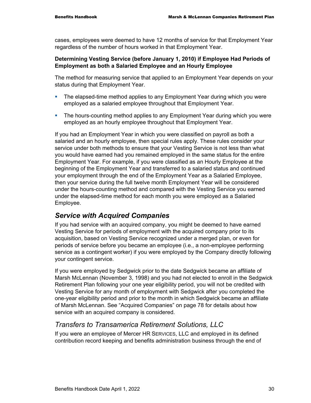cases, employees were deemed to have 12 months of service for that Employment Year regardless of the number of hours worked in that Employment Year.

### **Determining Vesting Service (before January 1, 2010) if Employee Had Periods of Employment as both a Salaried Employee and an Hourly Employee**

The method for measuring service that applied to an Employment Year depends on your status during that Employment Year.

- The elapsed-time method applies to any Employment Year during which you were employed as a salaried employee throughout that Employment Year.
- **The hours-counting method applies to any Employment Year during which you were** employed as an hourly employee throughout that Employment Year.

If you had an Employment Year in which you were classified on payroll as both a salaried and an hourly employee, then special rules apply. These rules consider your service under both methods to ensure that your Vesting Service is not less than what you would have earned had you remained employed in the same status for the entire Employment Year. For example, if you were classified as an Hourly Employee at the beginning of the Employment Year and transferred to a salaried status and continued your employment through the end of the Employment Year as a Salaried Employee, then your service during the full twelve month Employment Year will be considered under the hours-counting method and compared with the Vesting Service you earned under the elapsed-time method for each month you were employed as a Salaried Employee.

### *Service with Acquired Companies*

If you had service with an acquired company, you might be deemed to have earned Vesting Service for periods of employment with the acquired company prior to its acquisition, based on Vesting Service recognized under a merged plan, or even for periods of service before you became an employee (i.e., a non-employee performing service as a contingent worker) if you were employed by the Company directly following your contingent service.

If you were employed by Sedgwick prior to the date Sedgwick became an affiliate of Marsh McLennan (November 3, 1998) and you had not elected to enroll in the Sedgwick Retirement Plan following your one year eligibility period, you will not be credited with Vesting Service for any month of employment with Sedgwick after you completed the one-year eligibility period and prior to the month in which Sedgwick became an affiliate of Marsh McLennan. See "Acquired Companies" on page 78 for details about how service with an acquired company is considered.

### *Transfers to Transamerica Retirement Solutions, LLC*

If you were an employee of Mercer HR SERVICES, LLC and employed in its defined contribution record keeping and benefits administration business through the end of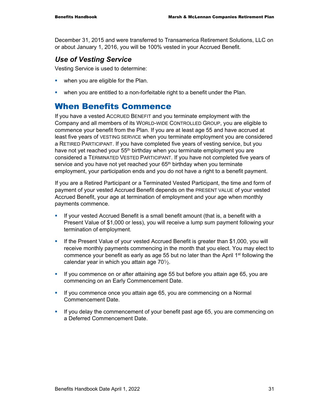December 31, 2015 and were transferred to Transamerica Retirement Solutions, LLC on or about January 1, 2016, you will be 100% vested in your Accrued Benefit.

### *Use of Vesting Service*

Vesting Service is used to determine:

- **•** when you are eligible for the Plan.
- when you are entitled to a non-forfeitable right to a benefit under the Plan.

# When Benefits Commence

If you have a vested ACCRUED BENEFIT and you terminate employment with the Company and all members of its WORLD-WIDE CONTROLLED GROUP, you are eligible to commence your benefit from the Plan. If you are at least age 55 and have accrued at least five years of VESTING SERVICE when you terminate employment you are considered a RETIRED PARTICIPANT. If you have completed five years of vesting service, but you have not yet reached your 55<sup>th</sup> birthday when you terminate employment you are considered a TERMINATED VESTED PARTICIPANT. If you have not completed five years of service and you have not yet reached your 65<sup>th</sup> birthday when you terminate employment, your participation ends and you do not have a right to a benefit payment.

If you are a Retired Participant or a Terminated Vested Participant, the time and form of payment of your vested Accrued Benefit depends on the PRESENT VALUE of your vested Accrued Benefit, your age at termination of employment and your age when monthly payments commence.

- **If your vested Accrued Benefit is a small benefit amount (that is, a benefit with a** Present Value of \$1,000 or less), you will receive a lump sum payment following your termination of employment.
- If the Present Value of your vested Accrued Benefit is greater than \$1,000, you will receive monthly payments commencing in the month that you elect. You may elect to commence your benefit as early as age 55 but no later than the April 1<sup>st</sup> following the calendar year in which you attain age  $70\frac{1}{2}$ .
- **If you commence on or after attaining age 55 but before you attain age 65, you are** commencing on an Early Commencement Date.
- If you commence once you attain age 65, you are commencing on a Normal Commencement Date.
- If you delay the commencement of your benefit past age 65, you are commencing on a Deferred Commencement Date.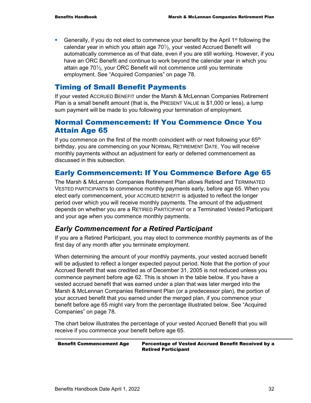Generally, if you do not elect to commence your benefit by the April 1<sup>st</sup> following the calendar year in which you attain age  $70\frac{1}{2}$ , your vested Accrued Benefit will automatically commence as of that date, even if you are still working. However, if you have an ORC Benefit and continue to work beyond the calendar year in which you attain age 701/<sub>2</sub>, your ORC Benefit will not commence until you terminate employment. See "Acquired Companies" on page 78.

### Timing of Small Benefit Payments

If your vested ACCRUED BENEFIT under the Marsh & McLennan Companies Retirement Plan is a small benefit amount (that is, the PRESENT VALUE is \$1,000 or less), a lump sum payment will be made to you following your termination of employment.

## Normal Commencement: If You Commence Once You Attain Age 65

If you commence on the first of the month coincident with or next following your  $65<sup>th</sup>$ birthday, you are commencing on your NORMAL RETIREMENT DATE. You will receive monthly payments without an adjustment for early or deferred commencement as discussed in this subsection.

# Early Commencement: If You Commence Before Age 65

The Marsh & McLennan Companies Retirement Plan allows Retired and TERMINATED VESTED PARTICIPANTs to commence monthly payments early, before age 65. When you elect early commencement, your ACCRUED BENEFIT is adjusted to reflect the longer period over which you will receive monthly payments. The amount of the adjustment depends on whether you are a RETIRED PARTICIPANT or a Terminated Vested Participant and your age when you commence monthly payments.

# *Early Commencement for a Retired Participant*

If you are a Retired Participant, you may elect to commence monthly payments as of the first day of any month after you terminate employment.

When determining the amount of your monthly payments, your vested accrued benefit will be adjusted to reflect a longer expected payout period. Note that the portion of your Accrued Benefit that was credited as of December 31, 2005 is not reduced unless you commence payment before age 62. This is shown in the table below. If you have a vested accrued benefit that was earned under a plan that was later merged into the Marsh & McLennan Companies Retirement Plan (or a predecessor plan), the portion of your accrued benefit that you earned under the merged plan, if you commence your benefit before age 65 might vary from the percentage illustrated below. See "Acquired Companies" on page 78.

The chart below illustrates the percentage of your vested Accrued Benefit that you will receive if you commence your benefit before age 65.

Benefit Commencement Age Percentage of Vested Accrued Benefit Received by a Retired Participant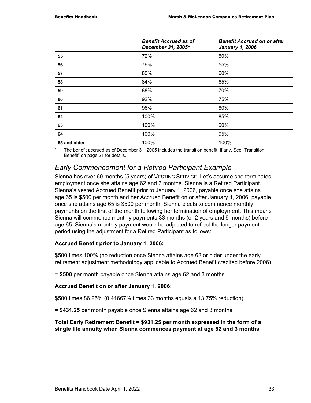|              | <b>Benefit Accrued as of</b><br>December 31, 2005* | <b>Benefit Accrued on or after</b><br><b>January 1, 2006</b> |
|--------------|----------------------------------------------------|--------------------------------------------------------------|
| 55           | 72%                                                | 50%                                                          |
| 56           | 76%                                                | 55%                                                          |
| 57           | 80%                                                | 60%                                                          |
| 58           | 84%                                                | 65%                                                          |
| 59           | 88%                                                | 70%                                                          |
| 60           | 92%                                                | 75%                                                          |
| 61           | 96%                                                | 80%                                                          |
| 62           | 100%                                               | 85%                                                          |
| 63           | 100%                                               | 90%                                                          |
| 64           | 100%                                               | 95%                                                          |
| 65 and older | 100%                                               | 100%                                                         |

The benefit accrued as of December 31, 2005 includes the transition benefit, if any. See "Transition Benefit" on page 21 for details.

# *Early Commencement for a Retired Participant Example*

Sienna has over 60 months (5 years) of VESTING SERVICE. Let's assume she terminates employment once she attains age 62 and 3 months. Sienna is a Retired Participant. Sienna's vested Accrued Benefit prior to January 1, 2006, payable once she attains age 65 is \$500 per month and her Accrued Benefit on or after January 1, 2006, payable once she attains age 65 is \$500 per month. Sienna elects to commence monthly payments on the first of the month following her termination of employment. This means Sienna will commence monthly payments 33 months (or 2 years and 9 months) before age 65. Sienna's monthly payment would be adjusted to reflect the longer payment period using the adjustment for a Retired Participant as follows:

### **Accrued Benefit prior to January 1, 2006:**

\$500 times 100% (no reduction once Sienna attains age 62 or older under the early retirement adjustment methodology applicable to Accrued Benefit credited before 2006)

= **\$500** per month payable once Sienna attains age 62 and 3 months

### **Accrued Benefit on or after January 1, 2006:**

\$500 times 86.25% (0.41667% times 33 months equals a 13.75% reduction)

= **\$431.25** per month payable once Sienna attains age 62 and 3 months

### **Total Early Retirement Benefit = \$931.25 per month expressed in the form of a single life annuity when Sienna commences payment at age 62 and 3 months**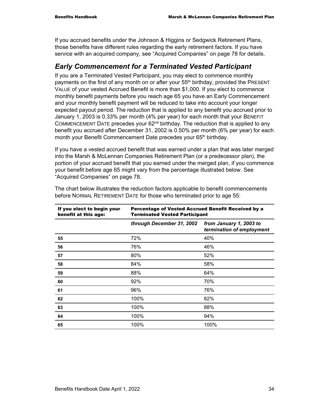If you accrued benefits under the Johnson & Higgins or Sedgwick Retirement Plans, those benefits have different rules regarding the early retirement factors. If you have service with an acquired company, see "Acquired Companies" on page 78 for details.

# *Early Commencement for a Terminated Vested Participant*

If you are a Terminated Vested Participant, you may elect to commence monthly payments on the first of any month on or after your 55<sup>th</sup> birthday, provided the PRESENT VALUE of your vested Accrued Benefit is more than \$1,000. If you elect to commence monthly benefit payments before you reach age 65 you have an Early Commencement and your monthly benefit payment will be reduced to take into account your longer expected payout period. The reduction that is applied to any benefit you accrued prior to January 1, 2003 is 0.33% per month (4% per year) for each month that your BENEFIT COMMENCEMENT DATE precedes your 62<sup>nd</sup> birthday. The reduction that is applied to any benefit you accrued after December 31, 2002 is 0.50% per month (6% per year) for each month your Benefit Commencement Date precedes your 65<sup>th</sup> birthday.

If you have a vested accrued benefit that was earned under a plan that was later merged into the Marsh & McLennan Companies Retirement Plan (or a predecessor plan), the portion of your accrued benefit that you earned under the merged plan, if you commence your benefit before age 65 might vary from the percentage illustrated below. See "Acquired Companies" on page 78.

| If you elect to begin your<br>benefit at this age: | <b>Percentage of Vested Accrued Benefit Received by a</b><br><b>Terminated Vested Participant</b> |                                                      |  |
|----------------------------------------------------|---------------------------------------------------------------------------------------------------|------------------------------------------------------|--|
|                                                    | through December 31, 2002                                                                         | from January 1, 2003 to<br>termination of employment |  |
| 55                                                 | 72%                                                                                               | 40%                                                  |  |
| 56                                                 | 76%                                                                                               | 46%                                                  |  |
| 57                                                 | 80%                                                                                               | 52%                                                  |  |
| 58                                                 | 84%                                                                                               | 58%                                                  |  |
| 59                                                 | 88%                                                                                               | 64%                                                  |  |
| 60                                                 | 92%                                                                                               | 70%                                                  |  |
| 61                                                 | 96%                                                                                               | 76%                                                  |  |
| 62                                                 | 100%                                                                                              | 82%                                                  |  |
| 63                                                 | 100%                                                                                              | 88%                                                  |  |
| 64                                                 | 100%                                                                                              | 94%                                                  |  |
| 65                                                 | 100%                                                                                              | 100%                                                 |  |

The chart below illustrates the reduction factors applicable to benefit commencements before NORMAL RETIREMENT DATE for those who terminated prior to age 55: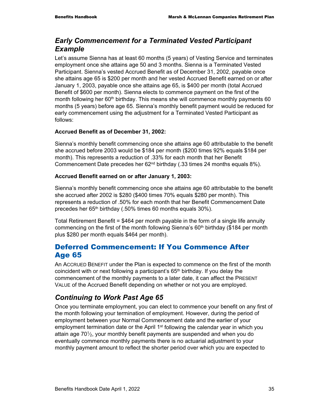# *Early Commencement for a Terminated Vested Participant Example*

Let's assume Sienna has at least 60 months (5 years) of Vesting Service and terminates employment once she attains age 50 and 3 months. Sienna is a Terminated Vested Participant. Sienna's vested Accrued Benefit as of December 31, 2002, payable once she attains age 65 is \$200 per month and her vested Accrued Benefit earned on or after January 1, 2003, payable once she attains age 65, is \$400 per month (total Accrued Benefit of \$600 per month). Sienna elects to commence payment on the first of the month following her  $60<sup>th</sup>$  birthday. This means she will commence monthly payments 60 months (5 years) before age 65. Sienna's monthly benefit payment would be reduced for early commencement using the adjustment for a Terminated Vested Participant as follows:

### **Accrued Benefit as of December 31, 2002:**

Sienna's monthly benefit commencing once she attains age 60 attributable to the benefit she accrued before 2003 would be \$184 per month (\$200 times 92% equals \$184 per month). This represents a reduction of .33% for each month that her Benefit Commencement Date precedes her 62nd birthday (.33 times 24 months equals 8%).

### **Accrued Benefit earned on or after January 1, 2003:**

Sienna's monthly benefit commencing once she attains age 60 attributable to the benefit she accrued after 2002 is \$280 (\$400 times 70% equals \$280 per month). This represents a reduction of .50% for each month that her Benefit Commencement Date precedes her 65<sup>th</sup> birthday (.50% times 60 months equals 30%).

Total Retirement Benefit = \$464 per month payable in the form of a single life annuity commencing on the first of the month following Sienna's  $60<sup>th</sup>$  birthday (\$184 per month plus \$280 per month equals \$464 per month).

## Deferred Commencement: If You Commence After Age 65

An ACCRUED BENEFIT under the Plan is expected to commence on the first of the month coincident with or next following a participant's  $65<sup>th</sup>$  birthday. If you delay the commencement of the monthly payments to a later date, it can affect the PRESENT VALUE of the Accrued Benefit depending on whether or not you are employed.

# *Continuing to Work Past Age 65*

Once you terminate employment, you can elect to commence your benefit on any first of the month following your termination of employment. However, during the period of employment between your Normal Commencement date and the earlier of your employment termination date or the April 1<sup>st</sup> following the calendar year in which you attain age 701/<sub>2</sub>, your monthly benefit payments are suspended and when you do eventually commence monthly payments there is no actuarial adjustment to your monthly payment amount to reflect the shorter period over which you are expected to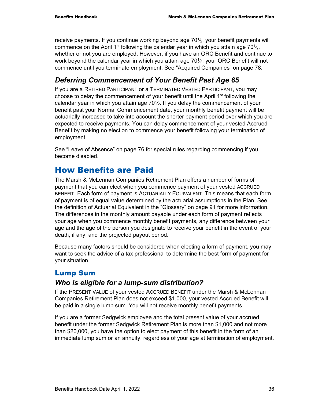receive payments. If you continue working beyond age  $70\frac{1}{2}$ , your benefit payments will commence on the April 1<sup>st</sup> following the calendar year in which you attain age  $70\frac{1}{2}$ , whether or not you are employed. However, if you have an ORC Benefit and continue to work beyond the calendar year in which you attain age  $70\frac{1}{2}$ , your ORC Benefit will not commence until you terminate employment. See "Acquired Companies" on page 78.

# *Deferring Commencement of Your Benefit Past Age 65*

If you are a RETIRED PARTICIPANT or a TERMINATED VESTED PARTICIPANT, you may choose to delay the commencement of your benefit until the April  $1<sup>st</sup>$  following the calendar year in which you attain age  $70\frac{1}{2}$ . If you delay the commencement of your benefit past your Normal Commencement date, your monthly benefit payment will be actuarially increased to take into account the shorter payment period over which you are expected to receive payments. You can delay commencement of your vested Accrued Benefit by making no election to commence your benefit following your termination of employment.

See "Leave of Absence" on page 76 for special rules regarding commencing if you become disabled.

# How Benefits are Paid

The Marsh & McLennan Companies Retirement Plan offers a number of forms of payment that you can elect when you commence payment of your vested ACCRUED BENEFIT. Each form of payment is ACTUARIALLY EQUIVALENT. This means that each form of payment is of equal value determined by the actuarial assumptions in the Plan. See the definition of Actuarial Equivalent in the "Glossary" on page 91 for more information. The differences in the monthly amount payable under each form of payment reflects your age when you commence monthly benefit payments, any difference between your age and the age of the person you designate to receive your benefit in the event of your death, if any, and the projected payout period.

Because many factors should be considered when electing a form of payment, you may want to seek the advice of a tax professional to determine the best form of payment for your situation.

### Lump Sum

### *Who is eligible for a lump-sum distribution?*

If the PRESENT VALUE of your vested ACCRUED BENEFIT under the Marsh & McLennan Companies Retirement Plan does not exceed \$1,000, your vested Accrued Benefit will be paid in a single lump sum. You will not receive monthly benefit payments.

If you are a former Sedgwick employee and the total present value of your accrued benefit under the former Sedgwick Retirement Plan is more than \$1,000 and not more than \$20,000, you have the option to elect payment of this benefit in the form of an immediate lump sum or an annuity, regardless of your age at termination of employment.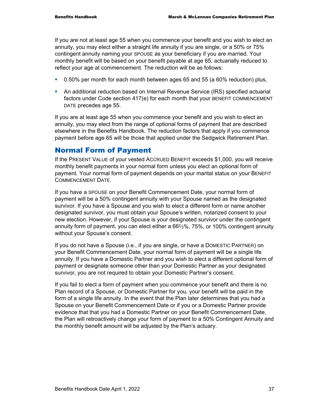If you are not at least age 55 when you commence your benefit and you wish to elect an annuity, you may elect either a straight life annuity if you are single, or a 50% or 75% contingent annuity naming your SPOUSE as your beneficiary if you are married. Your monthly benefit will be based on your benefit payable at age 65, actuarially reduced to reflect your age at commencement. The reduction will be as follows:

- 0.50% per month for each month between ages 65 and 55 (a 60% reduction) plus,
- An additional reduction based on Internal Revenue Service (IRS) specified actuarial factors under Code section 417(e) for each month that your BENEFIT COMMENCEMENT DATE precedes age 55.

If you are at least age 55 when you commence your benefit and you wish to elect an annuity, you may elect from the range of optional forms of payment that are described elsewhere in the Benefits Handbook. The reduction factors that apply if you commence payment before age 65 will be those that applied under the Sedgwick Retirement Plan.

### Normal Form of Payment

If the PRESENT VALUE of your vested ACCRUED BENEFIT exceeds \$1,000, you will receive monthly benefit payments in your normal form unless you elect an optional form of payment. Your normal form of payment depends on your marital status on your BENEFIT COMMENCEMENT DATE.

If you have a SPOUSE on your Benefit Commencement Date, your normal form of payment will be a 50% contingent annuity with your Spouse named as the designated survivor. If you have a Spouse and you wish to elect a different form or name another designated survivor, you must obtain your Spouse's written, notarized consent to your new election. However, if your Spouse is your designated survivor under the contingent annuity form of payment, you can elect either a  $66\frac{2}{3}\%$ , 75%, or 100% contingent annuity without your Spouse's consent.

If you do not have a Spouse (i.e., if you are single, or have a DOMESTIC PARTNER) on your Benefit Commencement Date, your normal form of payment will be a single life annuity. If you have a Domestic Partner and you wish to elect a different optional form of payment or designate someone other than your Domestic Partner as your designated survivor, you are not required to obtain your Domestic Partner's consent.

If you fail to elect a form of payment when you commence your benefit and there is no Plan record of a Spouse, or Domestic Partner for you, your benefit will be paid in the form of a single life annuity. In the event that the Plan later determines that you had a Spouse on your Benefit Commencement Date or if you or a Domestic Partner provide evidence that that you had a Domestic Partner on your Benefit Commencement Date, the Plan will retroactively change your form of payment to a 50% Contingent Annuity and the monthly benefit amount will be adjusted by the Plan's actuary.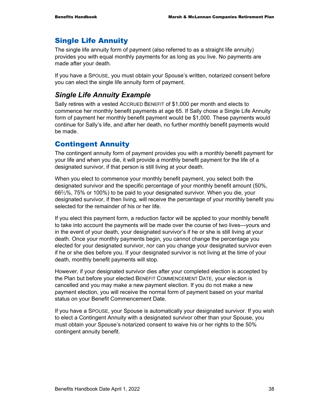## Single Life Annuity

The single life annuity form of payment (also referred to as a straight life annuity) provides you with equal monthly payments for as long as you live. No payments are made after your death.

If you have a SPOUSE, you must obtain your Spouse's written, notarized consent before you can elect the single life annuity form of payment.

# *Single Life Annuity Example*

Sally retires with a vested ACCRUED BENEFIT of \$1,000 per month and elects to commence her monthly benefit payments at age 65. If Sally chose a Single Life Annuity form of payment her monthly benefit payment would be \$1,000. These payments would continue for Sally's life, and after her death, no further monthly benefit payments would be made.

### Contingent Annuity

The contingent annuity form of payment provides you with a monthly benefit payment for your life and when you die, it will provide a monthly benefit payment for the life of a designated survivor, if that person is still living at your death.

When you elect to commence your monthly benefit payment, you select both the designated survivor and the specific percentage of your monthly benefit amount (50%, 662⁄3%, 75% or 100%) to be paid to your designated survivor. When you die, your designated survivor, if then living, will receive the percentage of your monthly benefit you selected for the remainder of his or her life.

If you elect this payment form, a reduction factor will be applied to your monthly benefit to take into account the payments will be made over the course of two lives—yours and in the event of your death, your designated survivor's if he or she is still living at your death. Once your monthly payments begin, you cannot change the percentage you elected for your designated survivor, nor can you change your designated survivor even if he or she dies before you. If your designated survivor is not living at the time of your death, monthly benefit payments will stop.

However, if your designated survivor dies after your completed election is accepted by the Plan but before your elected BENEFIT COMMENCEMENT DATE, your election is cancelled and you may make a new payment election. If you do not make a new payment election, you will receive the normal form of payment based on your marital status on your Benefit Commencement Date.

If you have a SPOUSE, your Spouse is automatically your designated survivor. If you wish to elect a Contingent Annuity with a designated survivor other than your Spouse, you must obtain your Spouse's notarized consent to waive his or her rights to the 50% contingent annuity benefit.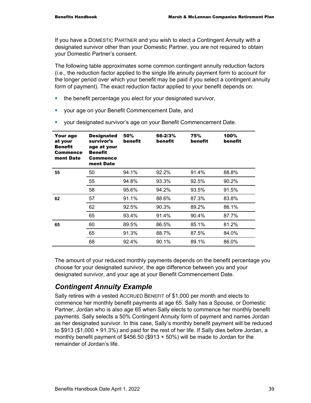If you have a DOMESTIC PARTNER and you wish to elect a Contingent Annuity with a designated survivor other than your Domestic Partner, you are not required to obtain your Domestic Partner's consent.

The following table approximates some common contingent annuity reduction factors (i.e., the reduction factor applied to the single life annuity payment form to account for the longer period over which your benefit may be paid if you select a contingent annuity form of payment). The exact reduction factor applied to your benefit depends on:

- the benefit percentage you elect for your designated survivor,
- your age on your Benefit Commencement Date, and

| Your age<br>at your<br><b>Benefit</b><br><b>Commence</b><br>ment Date | <b>Designated</b><br>survivor's<br>age at your<br><b>Benefit</b><br>Commence<br>ment Date | 50%<br>benefit | 66-2/3%<br>benefit | 75%<br>benefit | 100%<br>benefit |
|-----------------------------------------------------------------------|-------------------------------------------------------------------------------------------|----------------|--------------------|----------------|-----------------|
| 55                                                                    | 50                                                                                        | 94.1%          | 92.2%              | 91.4%          | 88.8%           |
|                                                                       | 55                                                                                        | 94.8%          | 93.3%              | 92.5%          | 90.2%           |
|                                                                       | 58                                                                                        | 95.6%          | 94.2%              | 93.5%          | 91.5%           |
| 62                                                                    | 57                                                                                        | 91.1%          | 88.6%              | 87.3%          | 83.8%           |
|                                                                       | 62                                                                                        | 92.5%          | 90.3%              | 89.2%          | 86.1%           |
|                                                                       | 65                                                                                        | 93.4%          | 91.4%              | 90.4%          | 87.7%           |
| 65                                                                    | 60                                                                                        | 89.5%          | 86.5%              | 85.1%          | 81.2%           |
|                                                                       | 65                                                                                        | 91.3%          | 88.7%              | 87.5%          | 84.0%           |
|                                                                       | 68                                                                                        | 92.4%          | 90.1%              | 89.1%          | 86.0%           |

your designated survivor's age on your Benefit Commencement Date.

The amount of your reduced monthly payments depends on the benefit percentage you choose for your designated survivor, the age difference between you and your designated survivor, and your age at your Benefit Commencement Date.

# *Contingent Annuity Example*

Sally retires with a vested ACCRUED BENEFIT of \$1,000 per month and elects to commence her monthly benefit payments at age 65. Sally has a Spouse, or Domestic Partner, Jordan who is also age 65 when Sally elects to commence her monthly benefit payments. Sally selects a 50% Contingent Annuity form of payment and names Jordan as her designated survivor. In this case, Sally's monthly benefit payment will be reduced to \$913 (\$1,000 × 91.3%) and paid for the rest of her life. If Sally dies before Jordan, a monthly benefit payment of  $$456.50$  ( $$913 \times 50\%$ ) will be made to Jordan for the remainder of Jordan's life.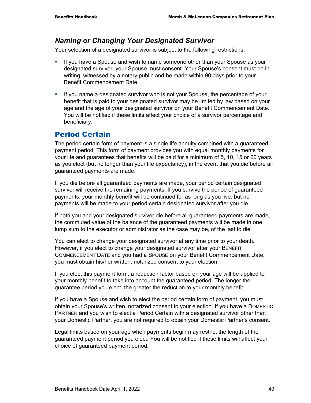# *Naming or Changing Your Designated Survivor*

Your selection of a designated survivor is subject to the following restrictions:

- If you have a Spouse and wish to name someone other than your Spouse as your designated survivor, your Spouse must consent. Your Spouse's consent must be in writing, witnessed by a notary public and be made within 90 days prior to your Benefit Commencement Date.
- If you name a designated survivor who is not your Spouse, the percentage of your benefit that is paid to your designated survivor may be limited by law based on your age and the age of your designated survivor on your Benefit Commencement Date. You will be notified if these limits affect your choice of a survivor percentage and beneficiary.

# Period Certain

The period certain form of payment is a single life annuity combined with a guaranteed payment period. This form of payment provides you with equal monthly payments for your life and guarantees that benefits will be paid for a minimum of 5, 10, 15 or 20 years as you elect (but no longer than your life expectancy), in the event that you die before all guaranteed payments are made.

If you die before all guaranteed payments are made, your period certain designated survivor will receive the remaining payments. If you survive the period of guaranteed payments, your monthly benefit will be continued for as long as you live, but no payments will be made to your period certain designated survivor after you die.

If both you and your designated survivor die before all guaranteed payments are made, the commuted value of the balance of the guaranteed payments will be made in one lump sum to the executor or administrator as the case may be, of the last to die.

You can elect to change your designated survivor at any time prior to your death. However, if you elect to change your designated survivor after your BENEFIT COMMENCEMENT DATE and you had a SPOUSE on your Benefit Commencement Date, you must obtain his/her written, notarized consent to your election.

If you elect this payment form, a reduction factor based on your age will be applied to your monthly benefit to take into account the guaranteed period. The longer the guarantee period you elect, the greater the reduction to your monthly benefit.

If you have a Spouse and wish to elect the period certain form of payment, you must obtain your Spouse's written, notarized consent to your election. If you have a DOMESTIC PARTNER and you wish to elect a Period Certain with a designated survivor other than your Domestic Partner, you are not required to obtain your Domestic Partner's consent.

Legal limits based on your age when payments begin may restrict the length of the guaranteed payment period you elect. You will be notified if these limits will affect your choice of guaranteed payment period.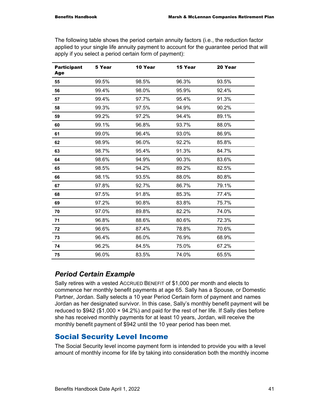| <b>Participant</b><br>Age | 5 Year | 10 Year | 15 Year | 20 Year |
|---------------------------|--------|---------|---------|---------|
| 55                        | 99.5%  | 98.5%   | 96.3%   | 93.5%   |
| 56                        | 99.4%  | 98.0%   | 95.9%   | 92.4%   |
| 57                        | 99.4%  | 97.7%   | 95.4%   | 91.3%   |
| 58                        | 99.3%  | 97.5%   | 94.9%   | 90.2%   |
| 59                        | 99.2%  | 97.2%   | 94.4%   | 89.1%   |
| 60                        | 99.1%  | 96.8%   | 93.7%   | 88.0%   |
| 61                        | 99.0%  | 96.4%   | 93.0%   | 86.9%   |
| 62                        | 98.9%  | 96.0%   | 92.2%   | 85.8%   |
| 63                        | 98.7%  | 95.4%   | 91.3%   | 84.7%   |
| 64                        | 98.6%  | 94.9%   | 90.3%   | 83.6%   |
| 65                        | 98.5%  | 94.2%   | 89.2%   | 82.5%   |
| 66                        | 98.1%  | 93.5%   | 88.0%   | 80.8%   |
| 67                        | 97.8%  | 92.7%   | 86.7%   | 79.1%   |
| 68                        | 97.5%  | 91.8%   | 85.3%   | 77.4%   |
| 69                        | 97.2%  | 90.8%   | 83.8%   | 75.7%   |
| 70                        | 97.0%  | 89.8%   | 82.2%   | 74.0%   |
| 71                        | 96.8%  | 88.6%   | 80.6%   | 72.3%   |
| 72                        | 96.6%  | 87.4%   | 78.8%   | 70.6%   |
| 73                        | 96.4%  | 86.0%   | 76.9%   | 68.9%   |
| 74                        | 96.2%  | 84.5%   | 75.0%   | 67.2%   |
| 75                        | 96.0%  | 83.5%   | 74.0%   | 65.5%   |

The following table shows the period certain annuity factors (i.e., the reduction factor applied to your single life annuity payment to account for the guarantee period that will apply if you select a period certain form of payment):

# *Period Certain Example*

Sally retires with a vested ACCRUED BENEFIT of \$1,000 per month and elects to commence her monthly benefit payments at age 65. Sally has a Spouse, or Domestic Partner, Jordan. Sally selects a 10 year Period Certain form of payment and names Jordan as her designated survivor. In this case, Sally's monthly benefit payment will be reduced to \$942 (\$1,000  $\times$  94.2%) and paid for the rest of her life. If Sally dies before she has received monthly payments for at least 10 years, Jordan, will receive the monthly benefit payment of \$942 until the 10 year period has been met.

# Social Security Level Income

The Social Security level income payment form is intended to provide you with a level amount of monthly income for life by taking into consideration both the monthly income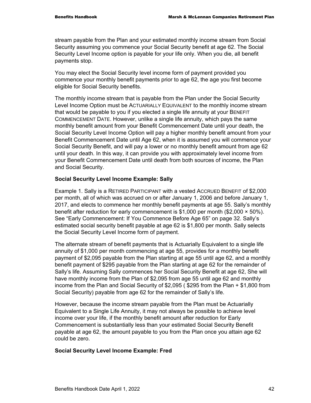stream payable from the Plan and your estimated monthly income stream from Social Security assuming you commence your Social Security benefit at age 62. The Social Security Level Income option is payable for your life only. When you die, all benefit payments stop.

You may elect the Social Security level income form of payment provided you commence your monthly benefit payments prior to age 62, the age you first become eligible for Social Security benefits.

The monthly income stream that is payable from the Plan under the Social Security Level Income Option must be ACTUARIALLY EQUIVALENT to the monthly income stream that would be payable to you if you elected a single life annuity at your BENEFIT COMMENCEMENT DATE. However, unlike a single life annuity, which pays the same monthly benefit amount from your Benefit Commencement Date until your death, the Social Security Level Income Option will pay a higher monthly benefit amount from your Benefit Commencement Date until Age 62, when it is assumed you will commence your Social Security Benefit, and will pay a lower or no monthly benefit amount from age 62 until your death. In this way, it can provide you with approximately level income from your Benefit Commencement Date until death from both sources of income, the Plan and Social Security.

### **Social Security Level Income Example: Sally**

Example 1. Sally is a RETIRED PARTICIPANT with a vested ACCRUED BENEFIT of \$2,000 per month, all of which was accrued on or after January 1, 2006 and before January 1, 2017, and elects to commence her monthly benefit payments at age 55. Sally's monthly benefit after reduction for early commencement is \$1,000 per month (\$2,000  $\times$  50%). See "Early Commencement: If You Commence Before Age 65" on page 32. Sally's estimated social security benefit payable at age 62 is \$1,800 per month. Sally selects the Social Security Level Income form of payment.

The alternate stream of benefit payments that is Actuarially Equivalent to a single life annuity of \$1,000 per month commencing at age 55, provides for a monthly benefit payment of \$2,095 payable from the Plan starting at age 55 until age 62, and a monthly benefit payment of \$295 payable from the Plan starting at age 62 for the remainder of Sally's life. Assuming Sally commences her Social Security Benefit at age 62, She will have monthly income from the Plan of \$2,095 from age 55 until age 62 and monthly income from the Plan and Social Security of \$2,095 ( \$295 from the Plan + \$1,800 from Social Security) payable from age 62 for the remainder of Sally's life.

However, because the income stream payable from the Plan must be Actuarially Equivalent to a Single Life Annuity, it may not always be possible to achieve level income over your life, if the monthly benefit amount after reduction for Early Commencement is substantially less than your estimated Social Security Benefit payable at age 62, the amount payable to you from the Plan once you attain age 62 could be zero.

#### **Social Security Level Income Example: Fred**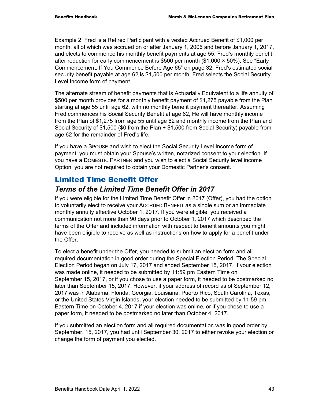Example 2. Fred is a Retired Participant with a vested Accrued Benefit of \$1,000 per month, all of which was accrued on or after January 1, 2006 and before January 1, 2017, and elects to commence his monthly benefit payments at age 55. Fred's monthly benefit after reduction for early commencement is \$500 per month (\$1,000 × 50%). See "Early Commencement: If You Commence Before Age 65" on page 32. Fred's estimated social security benefit payable at age 62 is \$1,500 per month. Fred selects the Social Security Level Income form of payment.

The alternate stream of benefit payments that is Actuarially Equivalent to a life annuity of \$500 per month provides for a monthly benefit payment of \$1,275 payable from the Plan starting at age 55 until age 62, with no monthly benefit payment thereafter. Assuming Fred commences his Social Security Benefit at age 62, He will have monthly income from the Plan of \$1,275 from age 55 until age 62 and monthly income from the Plan and Social Security of \$1,500 (\$0 from the Plan + \$1,500 from Social Security) payable from age 62 for the remainder of Fred's life.

If you have a SPOUSE and wish to elect the Social Security Level Income form of payment, you must obtain your Spouse's written, notarized consent to your election. If you have a DOMESTIC PARTNER and you wish to elect a Social Security level income Option, you are not required to obtain your Domestic Partner's consent.

# Limited Time Benefit Offer

# *Terms of the Limited Time Benefit Offer in 2017*

If you were eligible for the Limited Time Benefit Offer in 2017 (Offer), you had the option to voluntarily elect to receive your ACCRUED BENEFIT as a single sum or an immediate monthly annuity effective October 1, 2017. If you were eligible, you received a communication not more than 90 days prior to October 1, 2017 which described the terms of the Offer and included information with respect to benefit amounts you might have been eligible to receive as well as instructions on how to apply for a benefit under the Offer.

To elect a benefit under the Offer, you needed to submit an election form and all required documentation in good order during the Special Election Period. The Special Election Period began on July 17, 2017 and ended September 15, 2017. If your election was made online, it needed to be submitted by 11:59 pm Eastern Time on September 15, 2017, or if you chose to use a paper form, it needed to be postmarked no later than September 15, 2017. However, if your address of record as of September 12, 2017 was in Alabama, Florida, Georgia, Louisiana, Puerto Rico, South Carolina, Texas, or the United States Virgin Islands, your election needed to be submitted by 11:59 pm Eastern Time on October 4, 2017 if your election was online, or if you chose to use a paper form, it needed to be postmarked no later than October 4, 2017.

If you submitted an election form and all required documentation was in good order by September, 15, 2017, you had until September 30, 2017 to either revoke your election or change the form of payment you elected.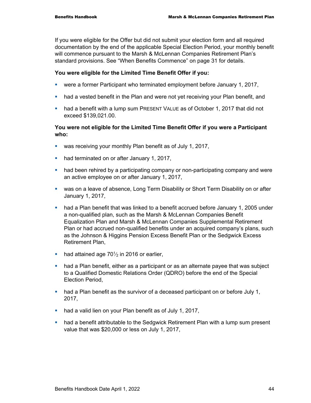If you were eligible for the Offer but did not submit your election form and all required documentation by the end of the applicable Special Election Period, your monthly benefit will commence pursuant to the Marsh & McLennan Companies Retirement Plan's standard provisions. See "When Benefits Commence" on page 31 for details.

### **You were eligible for the Limited Time Benefit Offer if you:**

- were a former Participant who terminated employment before January 1, 2017,
- had a vested benefit in the Plan and were not yet receiving your Plan benefit, and
- **had a benefit with a lump sum PRESENT VALUE as of October 1, 2017 that did not** exceed \$139,021.00.

### **You were not eligible for the Limited Time Benefit Offer if you were a Participant who:**

- was receiving your monthly Plan benefit as of July 1, 2017,
- had terminated on or after January 1, 2017,
- **had been rehired by a participating company or non-participating company and were** an active employee on or after January 1, 2017,
- was on a leave of absence, Long Term Disability or Short Term Disability on or after January 1, 2017,
- had a Plan benefit that was linked to a benefit accrued before January 1, 2005 under a non-qualified plan, such as the Marsh & McLennan Companies Benefit Equalization Plan and Marsh & McLennan Companies Supplemental Retirement Plan or had accrued non-qualified benefits under an acquired company's plans, such as the Johnson & Higgins Pension Excess Benefit Plan or the Sedgwick Excess Retirement Plan,
- had attained age  $70\frac{1}{2}$  in 2016 or earlier,
- had a Plan benefit, either as a participant or as an alternate payee that was subject to a Qualified Domestic Relations Order (QDRO) before the end of the Special Election Period,
- had a Plan benefit as the survivor of a deceased participant on or before July 1, 2017,
- had a valid lien on your Plan benefit as of July 1, 2017,
- had a benefit attributable to the Sedgwick Retirement Plan with a lump sum present value that was \$20,000 or less on July 1, 2017,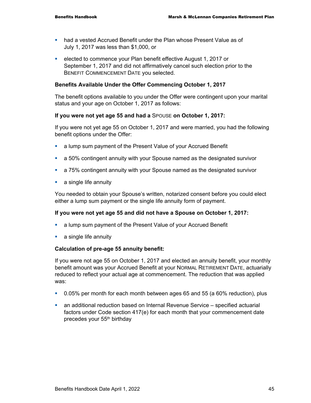- had a vested Accrued Benefit under the Plan whose Present Value as of July 1, 2017 was less than \$1,000, or
- **EXECTED FIRELY** elected to commence your Plan benefit effective August 1, 2017 or September 1, 2017 and did not affirmatively cancel such election prior to the BENEFIT COMMENCEMENT DATE you selected.

### **Benefits Available Under the Offer Commencing October 1, 2017**

The benefit options available to you under the Offer were contingent upon your marital status and your age on October 1, 2017 as follows:

### **If you were not yet age 55 and had a** SPOUSE **on October 1, 2017:**

If you were not yet age 55 on October 1, 2017 and were married, you had the following benefit options under the Offer:

- a lump sum payment of the Present Value of your Accrued Benefit
- a 50% contingent annuity with your Spouse named as the designated survivor
- a 75% contingent annuity with your Spouse named as the designated survivor
- **a** single life annuity

You needed to obtain your Spouse's written, notarized consent before you could elect either a lump sum payment or the single life annuity form of payment.

#### **If you were not yet age 55 and did not have a Spouse on October 1, 2017:**

- a lump sum payment of the Present Value of your Accrued Benefit
- **a** single life annuity

#### **Calculation of pre-age 55 annuity benefit:**

If you were not age 55 on October 1, 2017 and elected an annuity benefit, your monthly benefit amount was your Accrued Benefit at your NORMAL RETIREMENT DATE, actuarially reduced to reflect your actual age at commencement. The reduction that was applied was:

- 0.05% per month for each month between ages 65 and 55 (a 60% reduction), plus
- an additional reduction based on Internal Revenue Service specified actuarial factors under Code section 417(e) for each month that your commencement date precedes your 55th birthday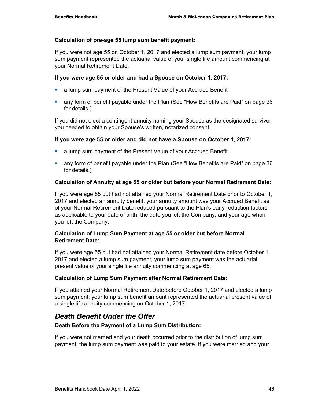### **Calculation of pre-age 55 lump sum benefit payment:**

If you were not age 55 on October 1, 2017 and elected a lump sum payment, your lump sum payment represented the actuarial value of your single life amount commencing at your Normal Retirement Date.

### **If you were age 55 or older and had a Spouse on October 1, 2017:**

- a lump sum payment of the Present Value of your Accrued Benefit
- any form of benefit payable under the Plan (See "How Benefits are Paid" on page 36 for details.)

If you did not elect a contingent annuity naming your Spouse as the designated survivor, you needed to obtain your Spouse's written, notarized consent.

### **If you were age 55 or older and did not have a Spouse on October 1, 2017:**

- a lump sum payment of the Present Value of your Accrued Benefit
- any form of benefit payable under the Plan (See "How Benefits are Paid" on page 36 for details.)

### **Calculation of Annuity at age 55 or older but before your Normal Retirement Date:**

If you were age 55 but had not attained your Normal Retirement Date prior to October 1, 2017 and elected an annuity benefit, your annuity amount was your Accrued Benefit as of your Normal Retirement Date reduced pursuant to the Plan's early reduction factors as applicable to your date of birth, the date you left the Company, and your age when you left the Company.

### **Calculation of Lump Sum Payment at age 55 or older but before Normal Retirement Date:**

If you were age 55 but had not attained your Normal Retirement date before October 1, 2017 and elected a lump sum payment, your lump sum payment was the actuarial present value of your single life annuity commencing at age 65.

#### **Calculation of Lump Sum Payment after Normal Retirement Date:**

If you attained your Normal Retirement Date before October 1, 2017 and elected a lump sum payment, your lump sum benefit amount represented the actuarial present value of a single life annuity commencing on October 1, 2017.

### *Death Benefit Under the Offer*

#### **Death Before the Payment of a Lump Sum Distribution:**

If you were not married and your death occurred prior to the distribution of lump sum payment, the lump sum payment was paid to your estate. If you were married and your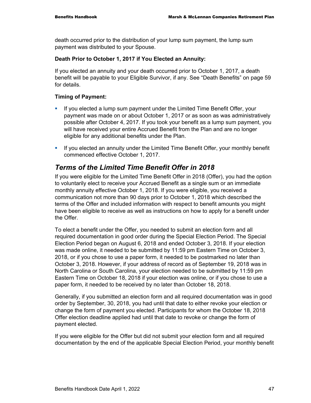death occurred prior to the distribution of your lump sum payment, the lump sum payment was distributed to your Spouse.

#### **Death Prior to October 1, 2017 if You Elected an Annuity:**

If you elected an annuity and your death occurred prior to October 1, 2017, a death benefit will be payable to your Eligible Survivor, if any. See "Death Benefits" on page 59 for details.

### **Timing of Payment:**

- If you elected a lump sum payment under the Limited Time Benefit Offer, your payment was made on or about October 1, 2017 or as soon as was administratively possible after October 4, 2017. If you took your benefit as a lump sum payment, you will have received your entire Accrued Benefit from the Plan and are no longer eligible for any additional benefits under the Plan.
- **If you elected an annuity under the Limited Time Benefit Offer, your monthly benefit** commenced effective October 1, 2017.

### *Terms of the Limited Time Benefit Offer in 2018*

If you were eligible for the Limited Time Benefit Offer in 2018 (Offer), you had the option to voluntarily elect to receive your Accrued Benefit as a single sum or an immediate monthly annuity effective October 1, 2018. If you were eligible, you received a communication not more than 90 days prior to October 1, 2018 which described the terms of the Offer and included information with respect to benefit amounts you might have been eligible to receive as well as instructions on how to apply for a benefit under the Offer.

To elect a benefit under the Offer, you needed to submit an election form and all required documentation in good order during the Special Election Period. The Special Election Period began on August 6, 2018 and ended October 3, 2018. If your election was made online, it needed to be submitted by 11:59 pm Eastern Time on October 3, 2018, or if you chose to use a paper form, it needed to be postmarked no later than October 3, 2018. However, if your address of record as of September 19, 2018 was in North Carolina or South Carolina, your election needed to be submitted by 11:59 pm Eastern Time on October 18, 2018 if your election was online, or if you chose to use a paper form, it needed to be received by no later than October 18, 2018.

Generally, if you submitted an election form and all required documentation was in good order by September, 30, 2018, you had until that date to either revoke your election or change the form of payment you elected. Participants for whom the October 18, 2018 Offer election deadline applied had until that date to revoke or change the form of payment elected.

If you were eligible for the Offer but did not submit your election form and all required documentation by the end of the applicable Special Election Period, your monthly benefit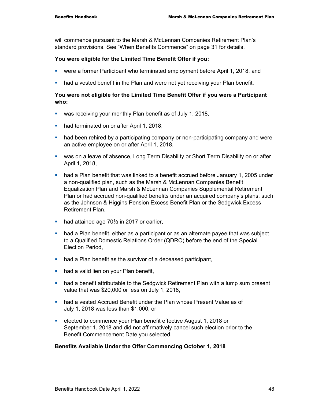will commence pursuant to the Marsh & McLennan Companies Retirement Plan's standard provisions. See "When Benefits Commence" on page 31 for details.

### **You were eligible for the Limited Time Benefit Offer if you:**

- were a former Participant who terminated employment before April 1, 2018, and
- **had a vested benefit in the Plan and were not yet receiving your Plan benefit.**

### **You were not eligible for the Limited Time Benefit Offer if you were a Participant who:**

- **was receiving your monthly Plan benefit as of July 1, 2018,**
- had terminated on or after April 1, 2018,
- **had been rehired by a participating company or non-participating company and were** an active employee on or after April 1, 2018,
- was on a leave of absence, Long Term Disability or Short Term Disability on or after April 1, 2018,
- had a Plan benefit that was linked to a benefit accrued before January 1, 2005 under a non-qualified plan, such as the Marsh & McLennan Companies Benefit Equalization Plan and Marsh & McLennan Companies Supplemental Retirement Plan or had accrued non-qualified benefits under an acquired company's plans, such as the Johnson & Higgins Pension Excess Benefit Plan or the Sedgwick Excess Retirement Plan,
- had attained age  $70\frac{1}{2}$  in 2017 or earlier,
- **had a Plan benefit, either as a participant or as an alternate payee that was subject** to a Qualified Domestic Relations Order (QDRO) before the end of the Special Election Period,
- had a Plan benefit as the survivor of a deceased participant,
- had a valid lien on your Plan benefit,
- had a benefit attributable to the Sedgwick Retirement Plan with a lump sum present value that was \$20,000 or less on July 1, 2018,
- had a vested Accrued Benefit under the Plan whose Present Value as of July 1, 2018 was less than \$1,000, or
- **EXECTED EXECTED EXECTED FIGHT** elected to commence your Plan benefit effective August 1, 2018 or September 1, 2018 and did not affirmatively cancel such election prior to the Benefit Commencement Date you selected.

#### **Benefits Available Under the Offer Commencing October 1, 2018**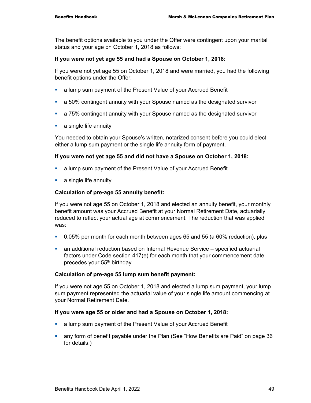The benefit options available to you under the Offer were contingent upon your marital status and your age on October 1, 2018 as follows:

### **If you were not yet age 55 and had a Spouse on October 1, 2018:**

If you were not yet age 55 on October 1, 2018 and were married, you had the following benefit options under the Offer:

- a lump sum payment of the Present Value of your Accrued Benefit
- a 50% contingent annuity with your Spouse named as the designated survivor
- a 75% contingent annuity with your Spouse named as the designated survivor
- **a** single life annuity

You needed to obtain your Spouse's written, notarized consent before you could elect either a lump sum payment or the single life annuity form of payment.

### **If you were not yet age 55 and did not have a Spouse on October 1, 2018:**

- a lump sum payment of the Present Value of your Accrued Benefit
- **a** single life annuity

### **Calculation of pre-age 55 annuity benefit:**

If you were not age 55 on October 1, 2018 and elected an annuity benefit, your monthly benefit amount was your Accrued Benefit at your Normal Retirement Date, actuarially reduced to reflect your actual age at commencement. The reduction that was applied was:

- 0.05% per month for each month between ages 65 and 55 (a 60% reduction), plus
- an additional reduction based on Internal Revenue Service specified actuarial factors under Code section 417(e) for each month that your commencement date precedes your 55<sup>th</sup> birthday

#### **Calculation of pre-age 55 lump sum benefit payment:**

If you were not age 55 on October 1, 2018 and elected a lump sum payment, your lump sum payment represented the actuarial value of your single life amount commencing at your Normal Retirement Date.

### **If you were age 55 or older and had a Spouse on October 1, 2018:**

- a lump sum payment of the Present Value of your Accrued Benefit
- any form of benefit payable under the Plan (See "How Benefits are Paid" on page 36 for details.)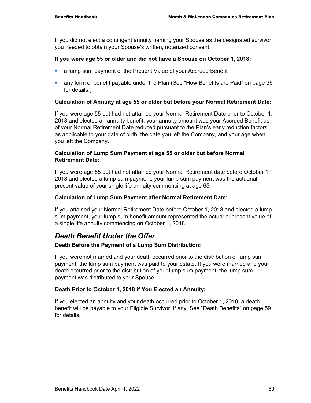If you did not elect a contingent annuity naming your Spouse as the designated survivor, you needed to obtain your Spouse's written, notarized consent.

### **If you were age 55 or older and did not have a Spouse on October 1, 2018:**

- a lump sum payment of the Present Value of your Accrued Benefit
- any form of benefit payable under the Plan (See "How Benefits are Paid" on page 36 for details.)

### **Calculation of Annuity at age 55 or older but before your Normal Retirement Date:**

If you were age 55 but had not attained your Normal Retirement Date prior to October 1, 2018 and elected an annuity benefit, your annuity amount was your Accrued Benefit as of your Normal Retirement Date reduced pursuant to the Plan's early reduction factors as applicable to your date of birth, the date you left the Company, and your age when you left the Company.

### **Calculation of Lump Sum Payment at age 55 or older but before Normal Retirement Date:**

If you were age 55 but had not attained your Normal Retirement date before October 1, 2018 and elected a lump sum payment, your lump sum payment was the actuarial present value of your single life annuity commencing at age 65.

### **Calculation of Lump Sum Payment after Normal Retirement Date:**

If you attained your Normal Retirement Date before October 1, 2018 and elected a lump sum payment, your lump sum benefit amount represented the actuarial present value of a single life annuity commencing on October 1, 2018.

# *Death Benefit Under the Offer*

### **Death Before the Payment of a Lump Sum Distribution:**

If you were not married and your death occurred prior to the distribution of lump sum payment, the lump sum payment was paid to your estate. If you were married and your death occurred prior to the distribution of your lump sum payment, the lump sum payment was distributed to your Spouse.

### **Death Prior to October 1, 2018 if You Elected an Annuity:**

If you elected an annuity and your death occurred prior to October 1, 2018, a death benefit will be payable to your Eligible Survivor, if any. See "Death Benefits" on page 59 for details.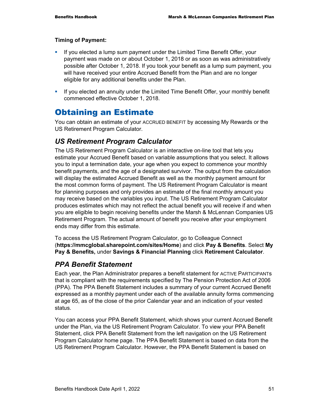### **Timing of Payment:**

- If you elected a lump sum payment under the Limited Time Benefit Offer, your payment was made on or about October 1, 2018 or as soon as was administratively possible after October 1, 2018. If you took your benefit as a lump sum payment, you will have received your entire Accrued Benefit from the Plan and are no longer eligible for any additional benefits under the Plan.
- **If you elected an annuity under the Limited Time Benefit Offer, your monthly benefit** commenced effective October 1, 2018.

# Obtaining an Estimate

You can obtain an estimate of your ACCRUED BENEFIT by accessing My Rewards or the US Retirement Program Calculator.

## *US Retirement Program Calculator*

The US Retirement Program Calculator is an interactive on-line tool that lets you estimate your Accrued Benefit based on variable assumptions that you select. It allows you to input a termination date, your age when you expect to commence your monthly benefit payments, and the age of a designated survivor. The output from the calculation will display the estimated Accrued Benefit as well as the monthly payment amount for the most common forms of payment. The US Retirement Program Calculator is meant for planning purposes and only provides an estimate of the final monthly amount you may receive based on the variables you input. The US Retirement Program Calculator produces estimates which may not reflect the actual benefit you will receive if and when you are eligible to begin receiving benefits under the Marsh & McLennan Companies US Retirement Program. The actual amount of benefit you receive after your employment ends may differ from this estimate.

To access the US Retirement Program Calculator, go to Colleague Connect (**https://mmcglobal.sharepoint.com/sites/Home**) and click **Pay & Benefits**. Select **My Pay & Benefits,** under **Savings & Financial Planning** click **Retirement Calculator**.

# *PPA Benefit Statement*

Each year, the Plan Administrator prepares a benefit statement for ACTIVE PARTICIPANTs that is compliant with the requirements specified by The Pension Protection Act of 2006 (PPA). The PPA Benefit Statement includes a summary of your current Accrued Benefit expressed as a monthly payment under each of the available annuity forms commencing at age 65, as of the close of the prior Calendar year and an indication of your vested status.

You can access your PPA Benefit Statement, which shows your current Accrued Benefit under the Plan, via the US Retirement Program Calculator. To view your PPA Benefit Statement, click PPA Benefit Statement from the left navigation on the US Retirement Program Calculator home page. The PPA Benefit Statement is based on data from the US Retirement Program Calculator. However, the PPA Benefit Statement is based on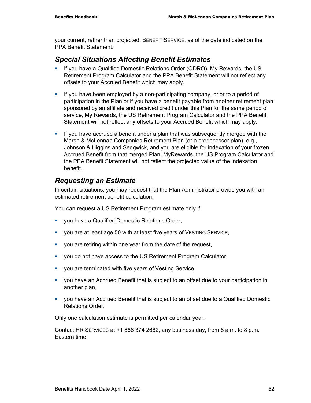your current, rather than projected, BENEFIT SERVICE, as of the date indicated on the PPA Benefit Statement.

# *Special Situations Affecting Benefit Estimates*

- If you have a Qualified Domestic Relations Order (QDRO), My Rewards, the US Retirement Program Calculator and the PPA Benefit Statement will not reflect any offsets to your Accrued Benefit which may apply.
- If you have been employed by a non-participating company, prior to a period of participation in the Plan or if you have a benefit payable from another retirement plan sponsored by an affiliate and received credit under this Plan for the same period of service, My Rewards, the US Retirement Program Calculator and the PPA Benefit Statement will not reflect any offsets to your Accrued Benefit which may apply.
- If you have accrued a benefit under a plan that was subsequently merged with the Marsh & McLennan Companies Retirement Plan (or a predecessor plan), e.g., Johnson & Higgins and Sedgwick, and you are eligible for indexation of your frozen Accrued Benefit from that merged Plan, MyRewards, the US Program Calculator and the PPA Benefit Statement will not reflect the projected value of the indexation benefit.

# *Requesting an Estimate*

In certain situations, you may request that the Plan Administrator provide you with an estimated retirement benefit calculation.

You can request a US Retirement Program estimate only if:

- **you have a Qualified Domestic Relations Order,**
- you are at least age 50 with at least five years of VESTING SERVICE,
- you are retiring within one year from the date of the request,
- you do not have access to the US Retirement Program Calculator,
- you are terminated with five years of Vesting Service,
- you have an Accrued Benefit that is subject to an offset due to your participation in another plan,
- you have an Accrued Benefit that is subject to an offset due to a Qualified Domestic Relations Order.

Only one calculation estimate is permitted per calendar year.

Contact HR SERVICES at +1 866 374 2662, any business day, from 8 a.m. to 8 p.m. Eastern time.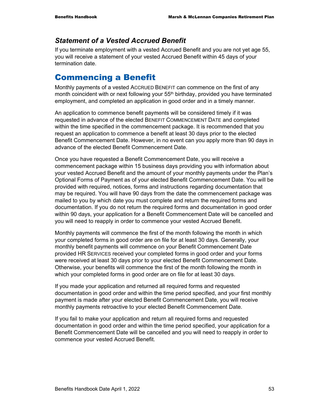### *Statement of a Vested Accrued Benefit*

If you terminate employment with a vested Accrued Benefit and you are not yet age 55, you will receive a statement of your vested Accrued Benefit within 45 days of your termination date.

# Commencing a Benefit

Monthly payments of a vested ACCRUED BENEFIT can commence on the first of any month coincident with or next following your 55<sup>th</sup> birthday, provided you have terminated employment, and completed an application in good order and in a timely manner.

An application to commence benefit payments will be considered timely if it was requested in advance of the elected BENEFIT COMMENCEMENT DATE and completed within the time specified in the commencement package. It is recommended that you request an application to commence a benefit at least 30 days prior to the elected Benefit Commencement Date. However, in no event can you apply more than 90 days in advance of the elected Benefit Commencement Date.

Once you have requested a Benefit Commencement Date, you will receive a commencement package within 15 business days providing you with information about your vested Accrued Benefit and the amount of your monthly payments under the Plan's Optional Forms of Payment as of your elected Benefit Commencement Date. You will be provided with required, notices, forms and instructions regarding documentation that may be required. You will have 90 days from the date the commencement package was mailed to you by which date you must complete and return the required forms and documentation. If you do not return the required forms and documentation in good order within 90 days, your application for a Benefit Commencement Date will be cancelled and you will need to reapply in order to commence your vested Accrued Benefit.

Monthly payments will commence the first of the month following the month in which your completed forms in good order are on file for at least 30 days. Generally, your monthly benefit payments will commence on your Benefit Commencement Date provided HR SERVICES received your completed forms in good order and your forms were received at least 30 days prior to your elected Benefit Commencement Date. Otherwise, your benefits will commence the first of the month following the month in which your completed forms in good order are on file for at least 30 days.

If you made your application and returned all required forms and requested documentation in good order and within the time period specified, and your first monthly payment is made after your elected Benefit Commencement Date, you will receive monthly payments retroactive to your elected Benefit Commencement Date.

If you fail to make your application and return all required forms and requested documentation in good order and within the time period specified, your application for a Benefit Commencement Date will be cancelled and you will need to reapply in order to commence your vested Accrued Benefit.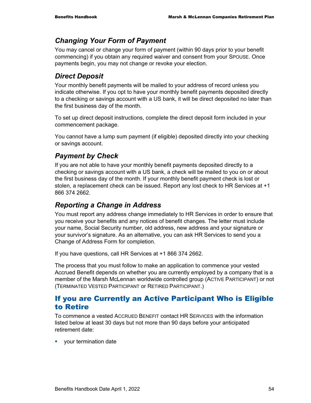## *Changing Your Form of Payment*

You may cancel or change your form of payment (within 90 days prior to your benefit commencing) if you obtain any required waiver and consent from your SPOUSE. Once payments begin, you may not change or revoke your election.

### *Direct Deposit*

Your monthly benefit payments will be mailed to your address of record unless you indicate otherwise. If you opt to have your monthly benefit payments deposited directly to a checking or savings account with a US bank, it will be direct deposited no later than the first business day of the month.

To set up direct deposit instructions, complete the direct deposit form included in your commencement package.

You cannot have a lump sum payment (if eligible) deposited directly into your checking or savings account.

# *Payment by Check*

If you are not able to have your monthly benefit payments deposited directly to a checking or savings account with a US bank, a check will be mailed to you on or about the first business day of the month. If your monthly benefit payment check is lost or stolen, a replacement check can be issued. Report any lost check to HR Services at +1 866 374 2662.

### *Reporting a Change in Address*

You must report any address change immediately to HR Services in order to ensure that you receive your benefits and any notices of benefit changes. The letter must include your name, Social Security number, old address, new address and your signature or your survivor's signature. As an alternative, you can ask HR Services to send you a Change of Address Form for completion.

If you have questions, call HR Services at +1 866 374 2662.

The process that you must follow to make an application to commence your vested Accrued Benefit depends on whether you are currently employed by a company that is a member of the Marsh McLennan worldwide controlled group (ACTIVE PARTICIPANT) or not (TERMINATED VESTED PARTICIPANT or RETIRED PARTICIPANT.)

### If you are Currently an Active Participant Who is Eligible to Retire

To commence a vested ACCRUED BENEFIT contact HR SERVICES with the information listed below at least 30 days but not more than 90 days before your anticipated retirement date:

**v** your termination date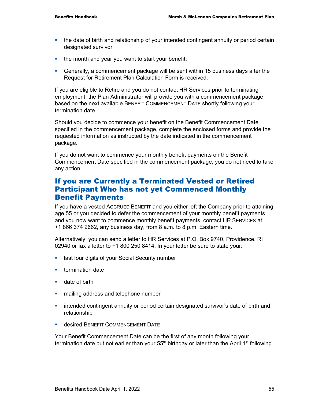- the date of birth and relationship of your intended contingent annuity or period certain designated survivor
- $\blacksquare$  the month and year you want to start your benefit.
- Generally, a commencement package will be sent within 15 business days after the Request for Retirement Plan Calculation Form is received.

If you are eligible to Retire and you do not contact HR Services prior to terminating employment, the Plan Administrator will provide you with a commencement package based on the next available BENEFIT COMMENCEMENT DATE shortly following your termination date.

Should you decide to commence your benefit on the Benefit Commencement Date specified in the commencement package, complete the enclosed forms and provide the requested information as instructed by the date indicated in the commencement package.

If you do not want to commence your monthly benefit payments on the Benefit Commencement Date specified in the commencement package, you do not need to take any action.

# If you are Currently a Terminated Vested or Retired Participant Who has not yet Commenced Monthly Benefit Payments

If you have a vested ACCRUED BENEFIT and you either left the Company prior to attaining age 55 or you decided to defer the commencement of your monthly benefit payments and you now want to commence monthly benefit payments, contact HR SERVICES at +1 866 374 2662, any business day, from 8 a.m. to 8 p.m. Eastern time.

Alternatively, you can send a letter to HR Services at P.O. Box 9740, Providence, RI 02940 or fax a letter to +1 800 250 8414. In your letter be sure to state your:

- **EXECUTE:** last four digits of your Social Security number
- $\blacksquare$  termination date
- **date of birth**
- **nailing address and telephone number**
- **EXECT** intended contingent annuity or period certain designated survivor's date of birth and relationship
- **desired BENEFIT COMMENCEMENT DATE.**

Your Benefit Commencement Date can be the first of any month following your termination date but not earlier than your  $55<sup>th</sup>$  birthday or later than the April 1<sup>st</sup> following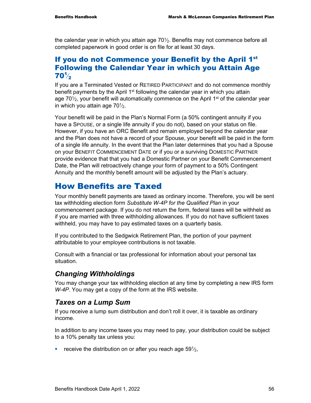the calendar year in which you attain age  $70\frac{1}{2}$ . Benefits may not commence before all completed paperwork in good order is on file for at least 30 days.

# If you do not Commence your Benefit by the April 1<sup>st</sup> Following the Calendar Year in which you Attain Age  $70\frac{1}{2}$

If you are a Terminated Vested or RETIRED PARTICIPANT and do not commence monthly benefit payments by the April  $1<sup>st</sup>$  following the calendar year in which you attain age 70 $\frac{1}{2}$ , your benefit will automatically commence on the April 1<sup>st</sup> of the calendar year in which you attain age  $70\frac{1}{2}$ .

Your benefit will be paid in the Plan's Normal Form (a 50% contingent annuity if you have a SPOUSE, or a single life annuity if you do not), based on your status on file. However, if you have an ORC Benefit and remain employed beyond the calendar year and the Plan does not have a record of your Spouse, your benefit will be paid in the form of a single life annuity. In the event that the Plan later determines that you had a Spouse on your BENEFIT COMMENCEMENT DATE or if you or a surviving DOMESTIC PARTNER provide evidence that that you had a Domestic Partner on your Benefit Commencement Date, the Plan will retroactively change your form of payment to a 50% Contingent Annuity and the monthly benefit amount will be adjusted by the Plan's actuary.

# How Benefits are Taxed

Your monthly benefit payments are taxed as ordinary income. Therefore, you will be sent tax withholding election form *Substitute W-4P for the Qualified Plan* in your commencement package. If you do not return the form, federal taxes will be withheld as if you are married with three withholding allowances. If you do not have sufficient taxes withheld, you may have to pay estimated taxes on a quarterly basis.

If you contributed to the Sedgwick Retirement Plan, the portion of your payment attributable to your employee contributions is not taxable.

Consult with a financial or tax professional for information about your personal tax situation.

# *Changing Withholdings*

You may change your tax withholding election at any time by completing a new IRS form *W-4P*. You may get a copy of the form at the IRS website.

# *Taxes on a Lump Sum*

If you receive a lump sum distribution and don't roll it over, it is taxable as ordinary income.

In addition to any income taxes you may need to pay, your distribution could be subject to a 10% penalty tax unless you:

**•** receive the distribution on or after you reach age  $59\frac{1}{2}$ ,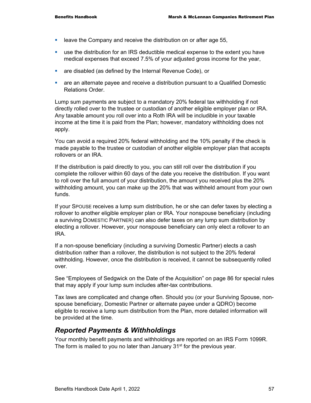- **EXECOM** I leave the Company and receive the distribution on or after age 55,
- use the distribution for an IRS deductible medical expense to the extent you have medical expenses that exceed 7.5% of your adjusted gross income for the year,
- **are disabled (as defined by the Internal Revenue Code), or**
- are an alternate payee and receive a distribution pursuant to a Qualified Domestic Relations Order.

Lump sum payments are subject to a mandatory 20% federal tax withholding if not directly rolled over to the trustee or custodian of another eligible employer plan or IRA. Any taxable amount you roll over into a Roth IRA will be includible in your taxable income at the time it is paid from the Plan; however, mandatory withholding does not apply.

You can avoid a required 20% federal withholding and the 10% penalty if the check is made payable to the trustee or custodian of another eligible employer plan that accepts rollovers or an IRA.

If the distribution is paid directly to you, you can still roll over the distribution if you complete the rollover within 60 days of the date you receive the distribution. If you want to roll over the full amount of your distribution, the amount you received plus the 20% withholding amount, you can make up the 20% that was withheld amount from your own funds.

If your SPOUSE receives a lump sum distribution, he or she can defer taxes by electing a rollover to another eligible employer plan or IRA. Your nonspouse beneficiary (including a surviving DOMESTIC PARTNER) can also defer taxes on any lump sum distribution by electing a rollover. However, your nonspouse beneficiary can only elect a rollover to an IRA.

If a non-spouse beneficiary (including a surviving Domestic Partner) elects a cash distribution rather than a rollover, the distribution is not subject to the 20% federal withholding. However, once the distribution is received, it cannot be subsequently rolled over.

See "Employees of Sedgwick on the Date of the Acquisition" on page 86 for special rules that may apply if your lump sum includes after-tax contributions.

Tax laws are complicated and change often. Should you (or your Surviving Spouse, nonspouse beneficiary, Domestic Partner or alternate payee under a QDRO) become eligible to receive a lump sum distribution from the Plan, more detailed information will be provided at the time.

### *Reported Payments & Withholdings*

Your monthly benefit payments and withholdings are reported on an IRS Form 1099R. The form is mailed to you no later than January 31<sup>st</sup> for the previous year.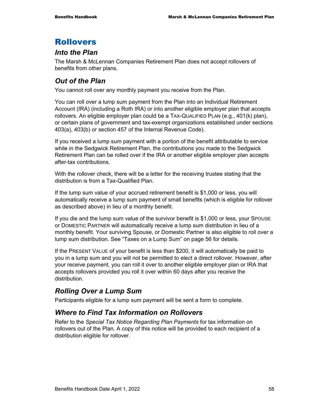# Rollovers

## *Into the Plan*

The Marsh & McLennan Companies Retirement Plan does not accept rollovers of benefits from other plans.

# *Out of the Plan*

You cannot roll over any monthly payment you receive from the Plan.

You can roll over a lump sum payment from the Plan into an Individual Retirement Account (IRA) (including a Roth IRA) or into another eligible employer plan that accepts rollovers. An eligible employer plan could be a TAX-QUALIFIED PLAN (e.g., 401(k) plan), or certain plans of government and tax-exempt organizations established under sections 403(a), 403(b) or section 457 of the Internal Revenue Code).

If you received a lump sum payment with a portion of the benefit attributable to service while in the Sedgwick Retirement Plan, the contributions you made to the Sedgwick Retirement Plan can be rolled over if the IRA or another eligible employer plan accepts after-tax contributions.

With the rollover check, there will be a letter for the receiving trustee stating that the distribution is from a Tax-Qualified Plan.

If the lump sum value of your accrued retirement benefit is \$1,000 or less, you will automatically receive a lump sum payment of small benefits (which is eligible for rollover as described above) in lieu of a monthly benefit.

If you die and the lump sum value of the survivor benefit is \$1,000 or less, your SPOUSE or DOMESTIC PARTNER will automatically receive a lump sum distribution in lieu of a monthly benefit. Your surviving Spouse, or Domestic Partner is also eligible to roll over a lump sum distribution. See "Taxes on a Lump Sum" on page 56 for details.

If the PRESENT VALUE of your benefit is less than \$200, it will automatically be paid to you in a lump sum and you will not be permitted to elect a direct rollover. However, after your receive payment, you can roll it over to another eligible employer plan or IRA that accepts rollovers provided you roll it over within 60 days after you receive the distribution.

# *Rolling Over a Lump Sum*

Participants eligible for a lump sum payment will be sent a form to complete.

# *Where to Find Tax Information on Rollovers*

Refer to the *Special Tax Notice Regarding Plan Payments* for tax information on rollovers out of the Plan. A copy of this notice will be provided to each recipient of a distribution eligible for rollover.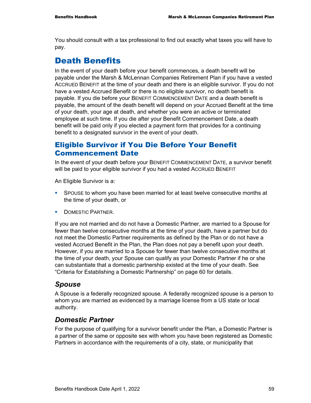You should consult with a tax professional to find out exactly what taxes you will have to pay.

# Death Benefits

In the event of your death before your benefit commences, a death benefit will be payable under the Marsh & McLennan Companies Retirement Plan if you have a vested ACCRUED BENEFIT at the time of your death and there is an eligible survivor. If you do not have a vested Accrued Benefit or there is no eligible survivor, no death benefit is payable. If you die before your BENEFIT COMMENCEMENT DATE and a death benefit is payable, the amount of the death benefit will depend on your Accrued Benefit at the time of your death, your age at death, and whether you were an active or terminated employee at such time. If you die after your Benefit Commencement Date, a death benefit will be paid only if you elected a payment form that provides for a continuing benefit to a designated survivor in the event of your death.

# Eligible Survivor if You Die Before Your Benefit Commencement Date

In the event of your death before your BENEFIT COMMENCEMENT DATE, a survivor benefit will be paid to your eligible survivor if you had a vested ACCRUED BENEFIT

An Eligible Survivor is a:

- SPOUSE to whom you have been married for at least twelve consecutive months at the time of your death, or
- **DOMESTIC PARTNER.**

If you are not married and do not have a Domestic Partner, are married to a Spouse for fewer than twelve consecutive months at the time of your death, have a partner but do not meet the Domestic Partner requirements as defined by the Plan or do not have a vested Accrued Benefit in the Plan, the Plan does not pay a benefit upon your death. However, if you are married to a Spouse for fewer than twelve consecutive months at the time of your death, your Spouse can qualify as your Domestic Partner if he or she can substantiate that a domestic partnership existed at the time of your death. See "Criteria for Establishing a Domestic Partnership" on page 60 for details.

### *Spouse*

A Spouse is a federally recognized spouse. A federally recognized spouse is a person to whom you are married as evidenced by a marriage license from a US state or local authority.

### *Domestic Partner*

For the purpose of qualifying for a survivor benefit under the Plan, a Domestic Partner is a partner of the same or opposite sex with whom you have been registered as Domestic Partners in accordance with the requirements of a city, state, or municipality that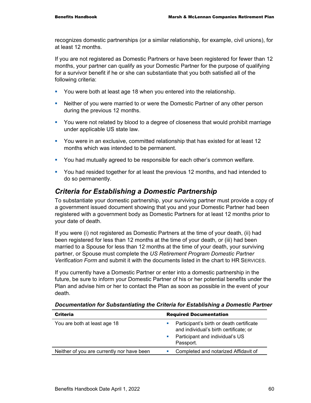recognizes domestic partnerships (or a similar relationship, for example, civil unions), for at least 12 months.

If you are not registered as Domestic Partners or have been registered for fewer than 12 months, your partner can qualify as your Domestic Partner for the purpose of qualifying for a survivor benefit if he or she can substantiate that you both satisfied all of the following criteria:

- You were both at least age 18 when you entered into the relationship.
- Neither of you were married to or were the Domestic Partner of any other person during the previous 12 months.
- You were not related by blood to a degree of closeness that would prohibit marriage under applicable US state law.
- You were in an exclusive, committed relationship that has existed for at least 12 months which was intended to be permanent.
- **You had mutually agreed to be responsible for each other's common welfare.**
- You had resided together for at least the previous 12 months, and had intended to do so permanently.

# *Criteria for Establishing a Domestic Partnership*

To substantiate your domestic partnership, your surviving partner must provide a copy of a government issued document showing that you and your Domestic Partner had been registered with a government body as Domestic Partners for at least 12 months prior to your date of death.

If you were (i) not registered as Domestic Partners at the time of your death, (ii) had been registered for less than 12 months at the time of your death, or (iii) had been married to a Spouse for less than 12 months at the time of your death, your surviving partner, or Spouse must complete the *US Retirement Program Domestic Partner Verification Form* and submit it with the documents listed in the chart to HR SERVICES.

If you currently have a Domestic Partner or enter into a domestic partnership in the future, be sure to inform your Domestic Partner of his or her potential benefits under the Plan and advise him or her to contact the Plan as soon as possible in the event of your death.

| Criteria                                   | <b>Required Documentation</b>                                                                                                             |
|--------------------------------------------|-------------------------------------------------------------------------------------------------------------------------------------------|
| You are both at least age 18               | Participant's birth or death certificate<br>ш<br>and individual's birth certificate; or<br>• Participant and individual's US<br>Passport. |
| Neither of you are currently nor have been | Completed and notarized Affidavit of<br>×                                                                                                 |

*Documentation for Substantiating the Criteria for Establishing a Domestic Partner*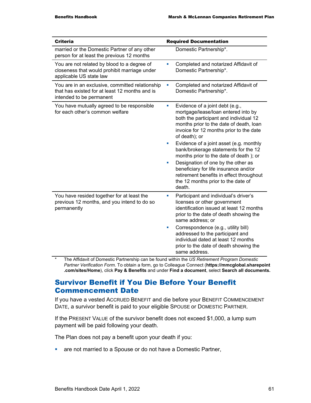| <b>Criteria</b>                                                                                                               | <b>Required Documentation</b>                                                                                                                                                                                                 |
|-------------------------------------------------------------------------------------------------------------------------------|-------------------------------------------------------------------------------------------------------------------------------------------------------------------------------------------------------------------------------|
| married or the Domestic Partner of any other<br>person for at least the previous 12 months                                    | Domestic Partnership*.                                                                                                                                                                                                        |
| You are not related by blood to a degree of<br>closeness that would prohibit marriage under<br>applicable US state law        | Completed and notarized Affidavit of<br>ш<br>Domestic Partnership*.                                                                                                                                                           |
| You are in an exclusive, committed relationship<br>that has existed for at least 12 months and is<br>intended to be permanent | Completed and notarized Affidavit of<br>ш<br>Domestic Partnership*.                                                                                                                                                           |
| You have mutually agreed to be responsible<br>for each other's common welfare                                                 | Evidence of a joint debt (e.g.,<br>a,<br>mortgage/lease/loan entered into by<br>both the participant and individual 12<br>months prior to the date of death, loan<br>invoice for 12 months prior to the date<br>of death); or |
|                                                                                                                               | Evidence of a joint asset (e.g. monthly<br>ш<br>bank/brokerage statements for the 12<br>months prior to the date of death); or                                                                                                |
|                                                                                                                               | Designation of one by the other as<br>×<br>beneficiary for life insurance and/or<br>retirement benefits in effect throughout<br>the 12 months prior to the date of<br>death.                                                  |
| You have resided together for at least the<br>previous 12 months, and you intend to do so<br>permanently                      | Participant and individual's driver's<br>ш<br>licenses or other government<br>identification issued at least 12 months<br>prior to the date of death showing the<br>same address; or                                          |
|                                                                                                                               | Correspondence (e.g., utility bill)<br>×<br>addressed to the participant and<br>individual dated at least 12 months<br>prior to the date of death showing the<br>same address.                                                |

\* The Affidavit of Domestic Partnership can be found within the *US Retirement Program Domestic Partner Verification Form*. To obtain a form, go to Colleague Connect (**https://mmcglobal.sharepoint .com/sites/Home**), click **Pay & Benefits** and under **Find a document**, select **Search all documents.**

# Survivor Benefit if You Die Before Your Benefit Commencement Date

If you have a vested ACCRUED BENEFIT and die before your BENEFIT COMMENCEMENT DATE, a survivor benefit is paid to your eligible SPOUSE or DOMESTIC PARTNER.

If the PRESENT VALUE of the survivor benefit does not exceed \$1,000, a lump sum payment will be paid following your death.

The Plan does not pay a benefit upon your death if you:

**are not married to a Spouse or do not have a Domestic Partner,**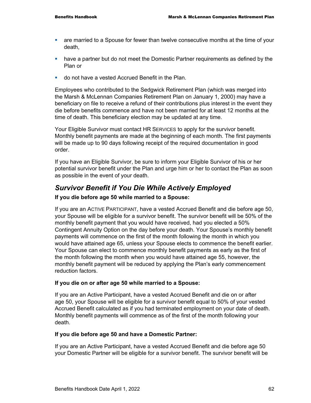- are married to a Spouse for fewer than twelve consecutive months at the time of your death,
- have a partner but do not meet the Domestic Partner requirements as defined by the Plan or
- do not have a vested Accrued Benefit in the Plan.

Employees who contributed to the Sedgwick Retirement Plan (which was merged into the Marsh & McLennan Companies Retirement Plan on January 1, 2000) may have a beneficiary on file to receive a refund of their contributions plus interest in the event they die before benefits commence and have not been married for at least 12 months at the time of death. This beneficiary election may be updated at any time.

Your Eligible Survivor must contact HR SERVICES to apply for the survivor benefit. Monthly benefit payments are made at the beginning of each month. The first payments will be made up to 90 days following receipt of the required documentation in good order.

If you have an Eligible Survivor, be sure to inform your Eligible Survivor of his or her potential survivor benefit under the Plan and urge him or her to contact the Plan as soon as possible in the event of your death.

### *Survivor Benefit if You Die While Actively Employed*

### **If you die before age 50 while married to a Spouse:**

If you are an ACTIVE PARTICIPANT, have a vested Accrued Benefit and die before age 50, your Spouse will be eligible for a survivor benefit. The survivor benefit will be 50% of the monthly benefit payment that you would have received, had you elected a 50% Contingent Annuity Option on the day before your death. Your Spouse's monthly benefit payments will commence on the first of the month following the month in which you would have attained age 65, unless your Spouse elects to commence the benefit earlier. Your Spouse can elect to commence monthly benefit payments as early as the first of the month following the month when you would have attained age 55, however, the monthly benefit payment will be reduced by applying the Plan's early commencement reduction factors.

#### **If you die on or after age 50 while married to a Spouse:**

If you are an Active Participant, have a vested Accrued Benefit and die on or after age 50, your Spouse will be eligible for a survivor benefit equal to 50% of your vested Accrued Benefit calculated as if you had terminated employment on your date of death. Monthly benefit payments will commence as of the first of the month following your death.

#### **If you die before age 50 and have a Domestic Partner:**

If you are an Active Participant, have a vested Accrued Benefit and die before age 50 your Domestic Partner will be eligible for a survivor benefit. The survivor benefit will be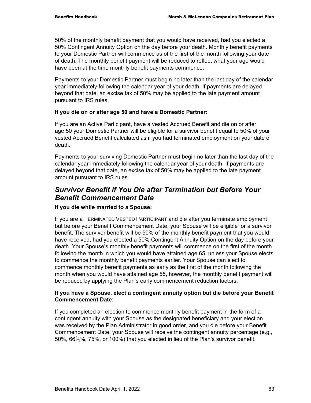50% of the monthly benefit payment that you would have received, had you elected a 50% Contingent Annuity Option on the day before your death. Monthly benefit payments to your Domestic Partner will commence as of the first of the month following your date of death. The monthly benefit payment will be reduced to reflect what your age would have been at the time monthly benefit payments commence.

Payments to your Domestic Partner must begin no later than the last day of the calendar year immediately following the calendar year of your death. If payments are delayed beyond that date, an excise tax of 50% may be applied to the late payment amount pursuant to IRS rules.

### **If you die on or after age 50 and have a Domestic Partner:**

If you are an Active Participant, have a vested Accrued Benefit and die on or after age 50 your Domestic Partner will be eligible for a survivor benefit equal to 50% of your vested Accrued Benefit calculated as if you had terminated employment on your date of death.

Payments to your surviving Domestic Partner must begin no later than the last day of the calendar year immediately following the calendar year of your death. If payments are delayed beyond that date, an excise tax of 50% may be applied to the late payment amount pursuant to IRS rules.

# *Survivor Benefit if You Die after Termination but Before Your Benefit Commencement Date*

### **If you die while married to a Spouse:**

If you are a TERMINATED VESTED PARTICIPANT and die after you terminate employment but before your Benefit Commencement Date, your Spouse will be eligible for a survivor benefit. The survivor benefit will be 50% of the monthly benefit payment that you would have received, had you elected a 50% Contingent Annuity Option on the day before your death. Your Spouse's monthly benefit payments will commence on the first of the month following the month in which you would have attained age 65, unless your Spouse elects to commence the monthly benefit payments earlier. Your Spouse can elect to commence monthly benefit payments as early as the first of the month following the month when you would have attained age 55, however, the monthly benefit payment will be reduced by applying the Plan's early commencement reduction factors.

### **If you have a Spouse, elect a contingent annuity option but die before your Benefit Commencement Date**:

If you completed an election to commence monthly benefit payment in the form of a contingent annuity with your Spouse as the designated beneficiary and your election was received by the Plan Administrator in good order, and you die before your Benefit Commencement Date, your Spouse will receive the contingent annuity percentage (e.g., 50%, 662⁄3%, 75%, or 100%) that you elected in lieu of the Plan's survivor benefit.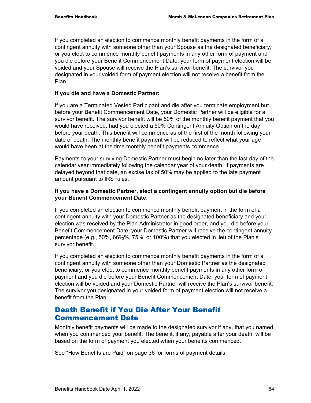If you completed an election to commence monthly benefit payments in the form of a contingent annuity with someone other than your Spouse as the designated beneficiary, or you elect to commence monthly benefit payments in any other form of payment and you die before your Benefit Commencement Date, your form of payment election will be voided and your Spouse will receive the Plan's survivor benefit. The survivor you designated in your voided form of payment election will not receive a benefit from the Plan.

### **If you die and have a Domestic Partner:**

If you are a Terminated Vested Participant and die after you terminate employment but before your Benefit Commencement Date, your Domestic Partner will be eligible for a survivor benefit. The survivor benefit will be 50% of the monthly benefit payment that you would have received, had you elected a 50% Contingent Annuity Option on the day before your death. This benefit will commence as of the first of the month following your date of death. The monthly benefit payment will be reduced to reflect what your age would have been at the time monthly benefit payments commence.

Payments to your surviving Domestic Partner must begin no later than the last day of the calendar year immediately following the calendar year of your death. If payments are delayed beyond that date, an excise tax of 50% may be applied to the late payment amount pursuant to IRS rules.

### **If you have a Domestic Partner, elect a contingent annuity option but die before your Benefit Commencement Date**:

If you completed an election to commence monthly benefit payment in the form of a contingent annuity with your Domestic Partner as the designated beneficiary and your election was received by the Plan Administrator in good order, and you die before your Benefit Commencement Date, your Domestic Partner will receive the contingent annuity percentage (e.g., 50%, 662⁄3%, 75%, or 100%) that you elected in lieu of the Plan's survivor benefit.

If you completed an election to commence monthly benefit payments in the form of a contingent annuity with someone other than your Domestic Partner as the designated beneficiary, or you elect to commence monthly benefit payments in any other form of payment and you die before your Benefit Commencement Date, your form of payment election will be voided and your Domestic Partner will receive the Plan's survivor benefit. The survivor you designated in your voided form of payment election will not receive a benefit from the Plan.

# Death Benefit if You Die After Your Benefit Commencement Date

Monthly benefit payments will be made to the designated survivor if any, that you named when you commenced your benefit. The benefit, if any, payable after your death, will be based on the form of payment you elected when your benefits commenced.

See "How Benefits are Paid" on page 36 for forms of payment details.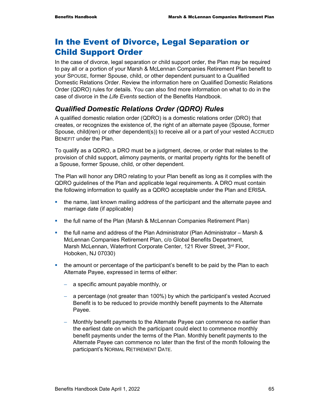# In the Event of Divorce, Legal Separation or Child Support Order

In the case of divorce, legal separation or child support order, the Plan may be required to pay all or a portion of your Marsh & McLennan Companies Retirement Plan benefit to your SPOUSE, former Spouse, child, or other dependent pursuant to a Qualified Domestic Relations Order. Review the information here on Qualified Domestic Relations Order (QDRO) rules for details. You can also find more information on what to do in the case of divorce in the *Life Events* section of the Benefits Handbook.

# *Qualified Domestic Relations Order (QDRO) Rules*

A qualified domestic relation order (QDRO) is a domestic relations order (DRO) that creates, or recognizes the existence of, the right of an alternate payee (Spouse, former Spouse, child(ren) or other dependent(s)) to receive all or a part of your vested ACCRUED BENEFIT under the Plan.

To qualify as a QDRO, a DRO must be a judgment, decree, or order that relates to the provision of child support, alimony payments, or marital property rights for the benefit of a Spouse, former Spouse, child, or other dependent.

The Plan will honor any DRO relating to your Plan benefit as long as it complies with the QDRO guidelines of the Plan and applicable legal requirements. A DRO must contain the following information to qualify as a QDRO acceptable under the Plan and ERISA.

- the name, last known mailing address of the participant and the alternate payee and marriage date (if applicable)
- the full name of the Plan (Marsh & McLennan Companies Retirement Plan)
- the full name and address of the Plan Administrator (Plan Administrator Marsh & McLennan Companies Retirement Plan, c/o Global Benefits Department, Marsh McLennan, Waterfront Corporate Center, 121 River Street, 3rd Floor, Hoboken, NJ 07030)
- the amount or percentage of the participant's benefit to be paid by the Plan to each Alternate Payee, expressed in terms of either:
	- − a specific amount payable monthly, or
	- − a percentage (not greater than 100%) by which the participant's vested Accrued Benefit is to be reduced to provide monthly benefit payments to the Alternate Payee.
	- − Monthly benefit payments to the Alternate Payee can commence no earlier than the earliest date on which the participant could elect to commence monthly benefit payments under the terms of the Plan. Monthly benefit payments to the Alternate Payee can commence no later than the first of the month following the participant's NORMAL RETIREMENT DATE.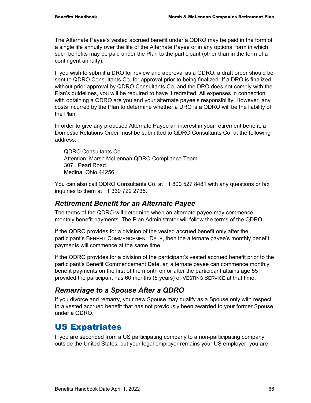The Alternate Payee's vested accrued benefit under a QDRO may be paid in the form of a single life annuity over the life of the Alternate Payee or in any optional form in which such benefits may be paid under the Plan to the participant (other than in the form of a contingent annuity).

If you wish to submit a DRO for review and approval as a QDRO, a draft order should be sent to QDRO Consultants Co. for approval prior to being finalized. If a DRO is finalized without prior approval by QDRO Consultants Co. and the DRO does not comply with the Plan's guidelines, you will be required to have it redrafted. All expenses in connection with obtaining a QDRO are you and your alternate payee's responsibility. However, any costs incurred by the Plan to determine whether a DRO is a QDRO will be the liability of the Plan.

In order to give any proposed Alternate Payee an interest in your retirement benefit, a Domestic Relations Order must be submitted to QDRO Consultants Co. at the following address:

QDRO Consultants Co. Attention: Marsh McLennan QDRO Compliance Team 3071 Pearl Road Medina, Ohio 44256

You can also call QDRO Consultants Co. at +1 800 527 8481 with any questions or fax inquiries to them at +1 330 722 2735.

### *Retirement Benefit for an Alternate Payee*

The terms of the QDRO will determine when an alternate payee may commence monthly benefit payments. The Plan Administrator will follow the terms of the QDRO.

If the QDRO provides for a division of the vested accrued benefit only after the participant's BENEFIT COMMENCEMENT DATE, then the alternate payee's monthly benefit payments will commence at the same time.

If the QDRO provides for a division of the participant's vested accrued benefit prior to the participant's Benefit Commencement Date, an alternate payee can commence monthly benefit payments on the first of the month on or after the participant attains age 55 provided the participant has 60 months (5 years) of VESTING SERVICE at that time.

### *Remarriage to a Spouse After a QDRO*

If you divorce and remarry, your new Spouse may qualify as a Spouse only with respect to a vested accrued benefit that has not previously been awarded to your former Spouse under a QDRO.

# US Expatriates

If you are seconded from a US participating company to a non-participating company outside the United States, but your legal employer remains your US employer, you are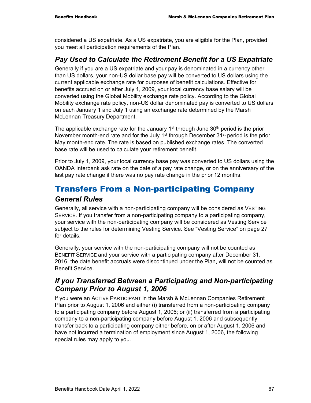considered a US expatriate. As a US expatriate, you are eligible for the Plan, provided you meet all participation requirements of the Plan.

# *Pay Used to Calculate the Retirement Benefit for a US Expatriate*

Generally if you are a US expatriate and your pay is denominated in a currency other than US dollars, your non-US dollar base pay will be converted to US dollars using the current applicable exchange rate for purposes of benefit calculations. Effective for benefits accrued on or after July 1, 2009, your local currency base salary will be converted using the Global Mobility exchange rate policy. According to the Global Mobility exchange rate policy, non-US dollar denominated pay is converted to US dollars on each January 1 and July 1 using an exchange rate determined by the Marsh McLennan Treasury Department.

The applicable exchange rate for the January  $1<sup>st</sup>$  through June  $30<sup>th</sup>$  period is the prior November month-end rate and for the July 1<sup>st</sup> through December  $31<sup>st</sup>$  period is the prior May month-end rate. The rate is based on published exchange rates. The converted base rate will be used to calculate your retirement benefit.

Prior to July 1, 2009, your local currency base pay was converted to US dollars using the OANDA Interbank ask rate on the date of a pay rate change, or on the anniversary of the last pay rate change if there was no pay rate change in the prior 12 months.

# Transfers From a Non-participating Company *General Rules*

Generally, all service with a non-participating company will be considered as VESTING SERVICE. If you transfer from a non-participating company to a participating company, your service with the non-participating company will be considered as Vesting Service subject to the rules for determining Vesting Service. See "Vesting Service" on page 27 for details.

Generally, your service with the non-participating company will not be counted as BENEFIT SERVICE and your service with a participating company after December 31, 2016, the date benefit accruals were discontinued under the Plan, will not be counted as Benefit Service.

# *If you Transferred Between a Participating and Non-participating Company Prior to August 1, 2006*

If you were an ACTIVE PARTICIPANT in the Marsh & McLennan Companies Retirement Plan prior to August 1, 2006 and either (i) transferred from a non-participating company to a participating company before August 1, 2006; or (ii) transferred from a participating company to a non-participating company before August 1, 2006 and subsequently transfer back to a participating company either before, on or after August 1, 2006 and have not incurred a termination of employment since August 1, 2006, the following special rules may apply to you.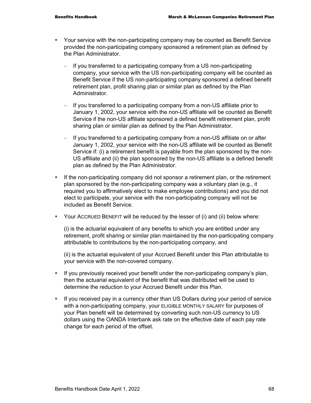- Your service with the non-participating company may be counted as Benefit Service provided the non-participating company sponsored a retirement plan as defined by the Plan Administrator.
	- − If you transferred to a participating company from a US non-participating company, your service with the US non-participating company will be counted as Benefit Service if the US non-participating company sponsored a defined benefit retirement plan, profit sharing plan or similar plan as defined by the Plan Administrator.
	- − If you transferred to a participating company from a non-US affiliate prior to January 1, 2002, your service with the non-US affiliate will be counted as Benefit Service if the non-US affiliate sponsored a defined benefit retirement plan, profit sharing plan or similar plan as defined by the Plan Administrator.
	- − If you transferred to a participating company from a non-US affiliate on or after January 1, 2002, your service with the non-US affiliate will be counted as Benefit Service if: (i) a retirement benefit is payable from the plan sponsored by the non-US affiliate and (ii) the plan sponsored by the non-US affiliate is a defined benefit plan as defined by the Plan Administrator.
- **If the non-participating company did not sponsor a retirement plan, or the retirement** plan sponsored by the non-participating company was a voluntary plan (e.g., it required you to affirmatively elect to make employee contributions) and you did not elect to participate, your service with the non-participating company will not be included as Benefit Service.
- Your ACCRUED BENEFIT will be reduced by the lesser of (i) and (ii) below where:

(i) is the actuarial equivalent of any benefits to which you are entitled under any retirement, profit sharing or similar plan maintained by the non-participating company attributable to contributions by the non-participating company, and

(ii) is the actuarial equivalent of your Accrued Benefit under this Plan attributable to your service with the non-covered company.

- **If you previously received your benefit under the non-participating company's plan,** then the actuarial equivalent of the benefit that was distributed will be used to determine the reduction to your Accrued Benefit under this Plan.
- **If you received pay in a currency other than US Dollars during your period of service** with a non-participating company, your ELIGIBLE MONTHLY SALARY for purposes of your Plan benefit will be determined by converting such non-US currency to US dollars using the OANDA Interbank ask rate on the effective date of each pay rate change for each period of the offset.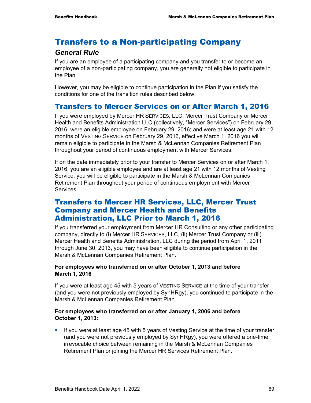# Transfers to a Non-participating Company

## *General Rule*

If you are an employee of a participating company and you transfer to or become an employee of a non-participating company, you are generally not eligible to participate in the Plan.

However, you may be eligible to continue participation in the Plan if you satisfy the conditions for one of the transition rules described below:

# Transfers to Mercer Services on or After March 1, 2016

If you were employed by Mercer HR SERVICES, LLC, Mercer Trust Company or Mercer Health and Benefits Administration LLC (collectively, "Mercer Services") on February 29, 2016; were an eligible employee on February 29, 2016; and were at least age 21 with 12 months of VESTING SERVICE on February 29, 2016, effective March 1, 2016 you will remain eligible to participate in the Marsh & McLennan Companies Retirement Plan throughout your period of continuous employment with Mercer Services.

If on the date immediately prior to your transfer to Mercer Services on or after March 1, 2016, you are an eligible employee and are at least age 21 with 12 months of Vesting Service, you will be eligible to participate in the Marsh & McLennan Companies Retirement Plan throughout your period of continuous employment with Mercer Services.

### Transfers to Mercer HR Services, LLC, Mercer Trust Company and Mercer Health and Benefits Administration, LLC Prior to March 1, 2016

If you transferred your employment from Mercer HR Consulting or any other participating company, directly to (i) Mercer HR SERVICES, LLC, (ii) Mercer Trust Company or (iii) Mercer Health and Benefits Administration, LLC during the period from April 1, 2011 through June 30, 2013, you may have been eligible to continue participation in the Marsh & McLennan Companies Retirement Plan.

### **For employees who transferred on or after October 1, 2013 and before March 1, 2016**

If you were at least age 45 with 5 years of VESTING SERVICE at the time of your transfer (and you were not previously employed by SynHRgy), you continued to participate in the Marsh & McLennan Companies Retirement Plan.

### **For employees who transferred on or after January 1, 2006 and before October 1, 2013:**

If you were at least age 45 with 5 years of Vesting Service at the time of your transfer (and you were not previously employed by SynHRgy), you were offered a one-time irrevocable choice between remaining in the Marsh & McLennan Companies Retirement Plan or joining the Mercer HR Services Retirement Plan.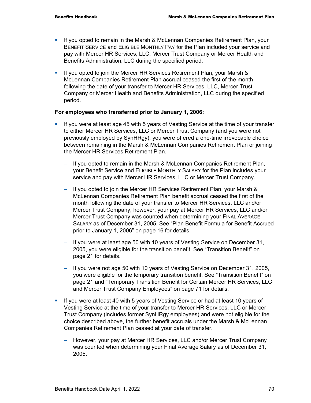- If you opted to remain in the Marsh & McLennan Companies Retirement Plan, your BENEFIT SERVICE and ELIGIBLE MONTHLY PAY for the Plan included your service and pay with Mercer HR Services, LLC, Mercer Trust Company or Mercer Health and Benefits Administration, LLC during the specified period.
- If you opted to join the Mercer HR Services Retirement Plan, your Marsh & McLennan Companies Retirement Plan accrual ceased the first of the month following the date of your transfer to Mercer HR Services, LLC, Mercer Trust Company or Mercer Health and Benefits Administration, LLC during the specified period.

### **For employees who transferred prior to January 1, 2006:**

- If you were at least age 45 with 5 years of Vesting Service at the time of your transfer to either Mercer HR Services, LLC or Mercer Trust Company (and you were not previously employed by SynHRgy), you were offered a one-time irrevocable choice between remaining in the Marsh & McLennan Companies Retirement Plan or joining the Mercer HR Services Retirement Plan.
	- − If you opted to remain in the Marsh & McLennan Companies Retirement Plan, your Benefit Service and ELIGIBLE MONTHLY SALARY for the Plan includes your service and pay with Mercer HR Services, LLC or Mercer Trust Company.
	- − If you opted to join the Mercer HR Services Retirement Plan, your Marsh & McLennan Companies Retirement Plan benefit accrual ceased the first of the month following the date of your transfer to Mercer HR Services, LLC and/or Mercer Trust Company, however, your pay at Mercer HR Services, LLC and/or Mercer Trust Company was counted when determining your FINAL AVERAGE SALARY as of December 31, 2005. See "Plan Benefit Formula for Benefit Accrued prior to January 1, 2006" on page 16 for details.
	- − If you were at least age 50 with 10 years of Vesting Service on December 31, 2005, you were eligible for the transition benefit. See "Transition Benefit" on page 21 for details.
	- − If you were not age 50 with 10 years of Vesting Service on December 31, 2005, you were eligible for the temporary transition benefit. See "Transition Benefit" on page 21 and "Temporary Transition Benefit for Certain Mercer HR Services, LLC and Mercer Trust Company Employees" on page 71 for details.
- If you were at least 40 with 5 years of Vesting Service or had at least 10 years of Vesting Service at the time of your transfer to Mercer HR Services, LLC or Mercer Trust Company (includes former SynHRgy employees) and were not eligible for the choice described above, the further benefit accruals under the Marsh & McLennan Companies Retirement Plan ceased at your date of transfer.
	- However, your pay at Mercer HR Services, LLC and/or Mercer Trust Company was counted when determining your Final Average Salary as of December 31, 2005.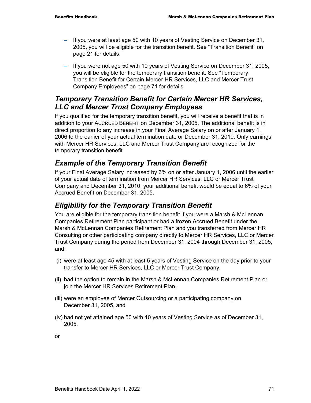- − If you were at least age 50 with 10 years of Vesting Service on December 31, 2005, you will be eligible for the transition benefit. See "Transition Benefit" on page 21 for details.
- − If you were not age 50 with 10 years of Vesting Service on December 31, 2005, you will be eligible for the temporary transition benefit. See "Temporary Transition Benefit for Certain Mercer HR Services, LLC and Mercer Trust Company Employees" on page 71 for details.

### *Temporary Transition Benefit for Certain Mercer HR Services, LLC and Mercer Trust Company Employees*

If you qualified for the temporary transition benefit, you will receive a benefit that is in addition to your ACCRUED BENEFIT on December 31, 2005. The additional benefit is in direct proportion to any increase in your Final Average Salary on or after January 1, 2006 to the earlier of your actual termination date or December 31, 2010. Only earnings with Mercer HR Services, LLC and Mercer Trust Company are recognized for the temporary transition benefit.

## *Example of the Temporary Transition Benefit*

If your Final Average Salary increased by 6% on or after January 1, 2006 until the earlier of your actual date of termination from Mercer HR Services, LLC or Mercer Trust Company and December 31, 2010, your additional benefit would be equal to 6% of your Accrued Benefit on December 31, 2005.

## *Eligibility for the Temporary Transition Benefit*

You are eligible for the temporary transition benefit if you were a Marsh & McLennan Companies Retirement Plan participant or had a frozen Accrued Benefit under the Marsh & McLennan Companies Retirement Plan and you transferred from Mercer HR Consulting or other participating company directly to Mercer HR Services, LLC or Mercer Trust Company during the period from December 31, 2004 through December 31, 2005, and:

- (i) were at least age 45 with at least 5 years of Vesting Service on the day prior to your transfer to Mercer HR Services, LLC or Mercer Trust Company,
- (ii) had the option to remain in the Marsh & McLennan Companies Retirement Plan or join the Mercer HR Services Retirement Plan,
- (iii) were an employee of Mercer Outsourcing or a participating company on December 31, 2005, and
- (iv) had not yet attained age 50 with 10 years of Vesting Service as of December 31, 2005,

or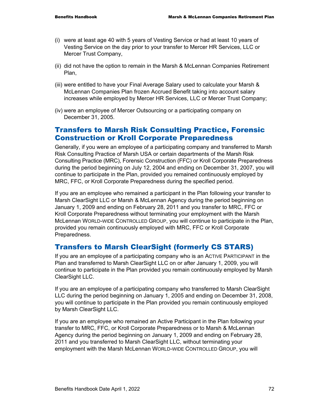- (i) were at least age 40 with 5 years of Vesting Service or had at least 10 years of Vesting Service on the day prior to your transfer to Mercer HR Services, LLC or Mercer Trust Company,
- (ii) did not have the option to remain in the Marsh & McLennan Companies Retirement Plan,
- (iii) were entitled to have your Final Average Salary used to calculate your Marsh & McLennan Companies Plan frozen Accrued Benefit taking into account salary increases while employed by Mercer HR Services, LLC or Mercer Trust Company;
- (iv) were an employee of Mercer Outsourcing or a participating company on December 31, 2005.

### Transfers to Marsh Risk Consulting Practice, Forensic Construction or Kroll Corporate Preparedness

Generally, if you were an employee of a participating company and transferred to Marsh Risk Consulting Practice of Marsh USA or certain departments of the Marsh Risk Consulting Practice (MRC), Forensic Construction (FFC) or Kroll Corporate Preparedness during the period beginning on July 12, 2004 and ending on December 31, 2007, you will continue to participate in the Plan, provided you remained continuously employed by MRC, FFC, or Kroll Corporate Preparedness during the specified period.

If you are an employee who remained a participant in the Plan following your transfer to Marsh ClearSight LLC or Marsh & McLennan Agency during the period beginning on January 1, 2009 and ending on February 28, 2011 and you transfer to MRC, FFC or Kroll Corporate Preparedness without terminating your employment with the Marsh McLennan WORLD-WIDE CONTROLLED GROUP, you will continue to participate in the Plan, provided you remain continuously employed with MRC, FFC or Kroll Corporate Preparedness.

## Transfers to Marsh ClearSight (formerly CS STARS)

If you are an employee of a participating company who is an ACTIVE PARTICIPANT in the Plan and transferred to Marsh ClearSight LLC on or after January 1, 2009, you will continue to participate in the Plan provided you remain continuously employed by Marsh ClearSight LLC.

If you are an employee of a participating company who transferred to Marsh ClearSight LLC during the period beginning on January 1, 2005 and ending on December 31, 2008, you will continue to participate in the Plan provided you remain continuously employed by Marsh ClearSight LLC.

If you are an employee who remained an Active Participant in the Plan following your transfer to MRC, FFC, or Kroll Corporate Preparedness or to Marsh & McLennan Agency during the period beginning on January 1, 2009 and ending on February 28, 2011 and you transferred to Marsh ClearSight LLC, without terminating your employment with the Marsh McLennan WORLD-WIDE CONTROLLED GROUP, you will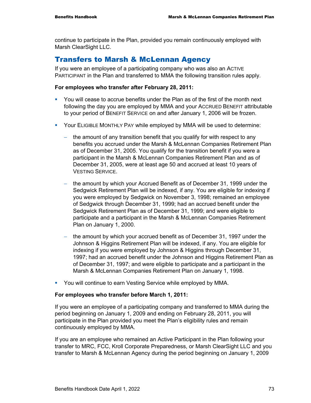continue to participate in the Plan, provided you remain continuously employed with Marsh ClearSight LLC.

### Transfers to Marsh & McLennan Agency

If you were an employee of a participating company who was also an ACTIVE PARTICIPANT in the Plan and transferred to MMA the following transition rules apply.

### **For employees who transfer after February 28, 2011:**

- You will cease to accrue benefits under the Plan as of the first of the month next following the day you are employed by MMA and your ACCRUED BENEFIT attributable to your period of BENEFIT SERVICE on and after January 1, 2006 will be frozen.
- Your ELIGIBLE MONTHLY PAY while employed by MMA will be used to determine:
	- − the amount of any transition benefit that you qualify for with respect to any benefits you accrued under the Marsh & McLennan Companies Retirement Plan as of December 31, 2005. You qualify for the transition benefit if you were a participant in the Marsh & McLennan Companies Retirement Plan and as of December 31, 2005, were at least age 50 and accrued at least 10 years of VESTING SERVICE.
	- − the amount by which your Accrued Benefit as of December 31, 1999 under the Sedgwick Retirement Plan will be indexed, if any. You are eligible for indexing if you were employed by Sedgwick on November 3, 1998; remained an employee of Sedgwick through December 31, 1999; had an accrued benefit under the Sedgwick Retirement Plan as of December 31, 1999; and were eligible to participate and a participant in the Marsh & McLennan Companies Retirement Plan on January 1, 2000.
	- the amount by which your accrued benefit as of December 31, 1997 under the Johnson & Higgins Retirement Plan will be indexed, if any. You are eligible for indexing if you were employed by Johnson & Higgins through December 31, 1997; had an accrued benefit under the Johnson and Higgins Retirement Plan as of December 31, 1997; and were eligible to participate and a participant in the Marsh & McLennan Companies Retirement Plan on January 1, 1998.
- **You will continue to earn Vesting Service while employed by MMA.**

### **For employees who transfer before March 1, 2011:**

If you were an employee of a participating company and transferred to MMA during the period beginning on January 1, 2009 and ending on February 28, 2011, you will participate in the Plan provided you meet the Plan's eligibility rules and remain continuously employed by MMA.

If you are an employee who remained an Active Participant in the Plan following your transfer to MRC, FCC, Kroll Corporate Preparedness, or Marsh ClearSight LLC and you transfer to Marsh & McLennan Agency during the period beginning on January 1, 2009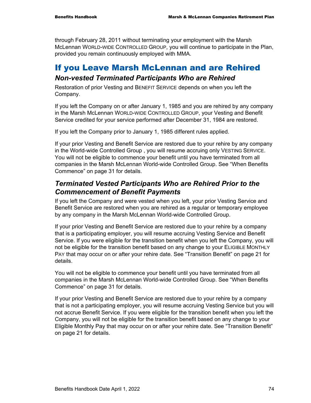through February 28, 2011 without terminating your employment with the Marsh McLennan WORLD-WIDE CONTROLLED GROUP, you will continue to participate in the Plan, provided you remain continuously employed with MMA.

# If you Leave Marsh McLennan and are Rehired *Non-vested Terminated Participants Who are Rehired*

Restoration of prior Vesting and BENEFIT SERVICE depends on when you left the Company.

If you left the Company on or after January 1, 1985 and you are rehired by any company in the Marsh McLennan WORLD-WIDE CONTROLLED GROUP, your Vesting and Benefit Service credited for your service performed after December 31, 1984 are restored.

If you left the Company prior to January 1, 1985 different rules applied.

If your prior Vesting and Benefit Service are restored due to your rehire by any company in the World-wide Controlled Group , you will resume accruing only VESTING SERVICE. You will not be eligible to commence your benefit until you have terminated from all companies in the Marsh McLennan World-wide Controlled Group. See "When Benefits Commence" on page 31 for details.

### *Terminated Vested Participants Who are Rehired Prior to the Commencement of Benefit Payments*

If you left the Company and were vested when you left, your prior Vesting Service and Benefit Service are restored when you are rehired as a regular or temporary employee by any company in the Marsh McLennan World-wide Controlled Group.

If your prior Vesting and Benefit Service are restored due to your rehire by a company that is a participating employer, you will resume accruing Vesting Service and Benefit Service. If you were eligible for the transition benefit when you left the Company, you will not be eligible for the transition benefit based on any change to your ELIGIBLE MONTHLY PAY that may occur on or after your rehire date. See "Transition Benefit" on page 21 for details.

You will not be eligible to commence your benefit until you have terminated from all companies in the Marsh McLennan World-wide Controlled Group. See "When Benefits Commence" on page 31 for details.

If your prior Vesting and Benefit Service are restored due to your rehire by a company that is not a participating employer, you will resume accruing Vesting Service but you will not accrue Benefit Service. If you were eligible for the transition benefit when you left the Company, you will not be eligible for the transition benefit based on any change to your Eligible Monthly Pay that may occur on or after your rehire date. See "Transition Benefit" on page 21 for details.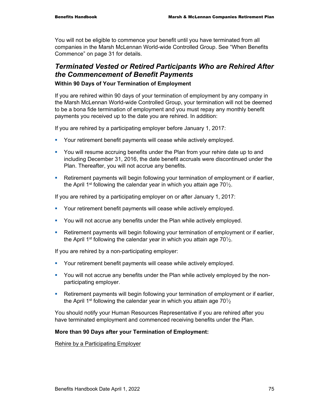You will not be eligible to commence your benefit until you have terminated from all companies in the Marsh McLennan World-wide Controlled Group. See "When Benefits Commence" on page 31 for details.

### *Terminated Vested or Retired Participants Who are Rehired After the Commencement of Benefit Payments*  **Within 90 Days of Your Termination of Employment**

If you are rehired within 90 days of your termination of employment by any company in the Marsh McLennan World-wide Controlled Group, your termination will not be deemed to be a bona fide termination of employment and you must repay any monthly benefit payments you received up to the date you are rehired. In addition:

If you are rehired by a participating employer before January 1, 2017:

- **Your retirement benefit payments will cease while actively employed.**
- You will resume accruing benefits under the Plan from your rehire date up to and including December 31, 2016, the date benefit accruals were discontinued under the Plan. Thereafter, you will not accrue any benefits.
- Retirement payments will begin following your termination of employment or if earlier, the April 1<sup>st</sup> following the calendar year in which you attain age  $70\frac{1}{2}$ .

If you are rehired by a participating employer on or after January 1, 2017:

- **Your retirement benefit payments will cease while actively employed.**
- You will not accrue any benefits under the Plan while actively employed.
- Retirement payments will begin following your termination of employment or if earlier, the April 1<sup>st</sup> following the calendar year in which you attain age  $70\frac{1}{2}$ .

If you are rehired by a non-participating employer:

- **Your retirement benefit payments will cease while actively employed.**
- You will not accrue any benefits under the Plan while actively employed by the nonparticipating employer.
- Retirement payments will begin following your termination of employment or if earlier, the April 1<sup>st</sup> following the calendar year in which you attain age  $70\frac{1}{2}$

You should notify your Human Resources Representative if you are rehired after you have terminated employment and commenced receiving benefits under the Plan.

### **More than 90 Days after your Termination of Employment:**

Rehire by a Participating Employer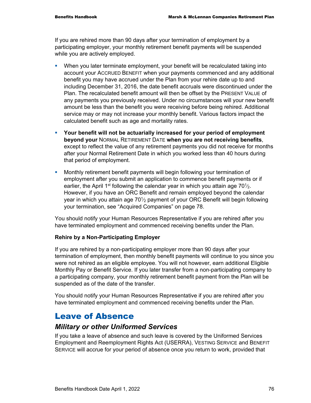If you are rehired more than 90 days after your termination of employment by a participating employer, your monthly retirement benefit payments will be suspended while you are actively employed.

- When you later terminate employment, your benefit will be recalculated taking into account your ACCRUED BENEFIT when your payments commenced and any additional benefit you may have accrued under the Plan from your rehire date up to and including December 31, 2016, the date benefit accruals were discontinued under the Plan. The recalculated benefit amount will then be offset by the PRESENT VALUE of any payments you previously received. Under no circumstances will your new benefit amount be less than the benefit you were receiving before being rehired. Additional service may or may not increase your monthly benefit. Various factors impact the calculated benefit such as age and mortality rates.
- **Your benefit will not be actuarially increased for your period of employment beyond your** NORMAL RETIREMENT DATE **when you are not receiving benefits**, except to reflect the value of any retirement payments you did not receive for months after your Normal Retirement Date in which you worked less than 40 hours during that period of employment.
- Monthly retirement benefit payments will begin following your termination of employment after you submit an application to commence benefit payments or if earlier, the April 1<sup>st</sup> following the calendar year in which you attain age  $70\%$ . However, if you have an ORC Benefit and remain employed beyond the calendar year in which you attain age 701/<sub>2</sub> payment of your ORC Benefit will begin following your termination, see "Acquired Companies" on page 78.

You should notify your Human Resources Representative if you are rehired after you have terminated employment and commenced receiving benefits under the Plan.

### **Rehire by a Non-Participating Employer**

If you are rehired by a non-participating employer more than 90 days after your termination of employment, then monthly benefit payments will continue to you since you were not rehired as an eligible employee. You will not however, earn additional Eligible Monthly Pay or Benefit Service. If you later transfer from a non-participating company to a participating company, your monthly retirement benefit payment from the Plan will be suspended as of the date of the transfer.

You should notify your Human Resources Representative if you are rehired after you have terminated employment and commenced receiving benefits under the Plan.

## Leave of Absence

### *Military or other Uniformed Services*

If you take a leave of absence and such leave is covered by the Uniformed Services Employment and Reemployment Rights Act (USERRA), VESTING SERVICE and BENEFIT SERVICE will accrue for your period of absence once you return to work, provided that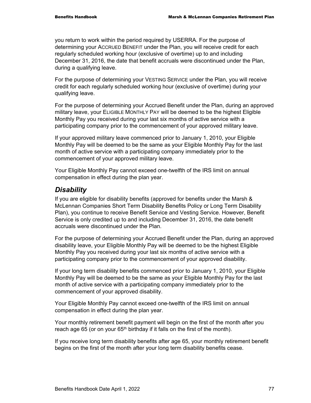you return to work within the period required by USERRA. For the purpose of determining your ACCRUED BENEFIT under the Plan, you will receive credit for each regularly scheduled working hour (exclusive of overtime) up to and including December 31, 2016, the date that benefit accruals were discontinued under the Plan, during a qualifying leave.

For the purpose of determining your VESTING SERVICE under the Plan, you will receive credit for each regularly scheduled working hour (exclusive of overtime) during your qualifying leave.

For the purpose of determining your Accrued Benefit under the Plan, during an approved military leave, your ELIGIBLE MONTHLY PAY will be deemed to be the highest Eligible Monthly Pay you received during your last six months of active service with a participating company prior to the commencement of your approved military leave.

If your approved military leave commenced prior to January 1, 2010, your Eligible Monthly Pay will be deemed to be the same as your Eligible Monthly Pay for the last month of active service with a participating company immediately prior to the commencement of your approved military leave.

Your Eligible Monthly Pay cannot exceed one-twelfth of the IRS limit on annual compensation in effect during the plan year.

### *Disability*

If you are eligible for disability benefits (approved for benefits under the Marsh & McLennan Companies Short Term Disability Benefits Policy or Long Term Disability Plan), you continue to receive Benefit Service and Vesting Service. However, Benefit Service is only credited up to and including December 31, 2016, the date benefit accruals were discontinued under the Plan.

For the purpose of determining your Accrued Benefit under the Plan, during an approved disability leave, your Eligible Monthly Pay will be deemed to be the highest Eligible Monthly Pay you received during your last six months of active service with a participating company prior to the commencement of your approved disability.

If your long term disability benefits commenced prior to January 1, 2010, your Eligible Monthly Pay will be deemed to be the same as your Eligible Monthly Pay for the last month of active service with a participating company immediately prior to the commencement of your approved disability.

Your Eligible Monthly Pay cannot exceed one-twelfth of the IRS limit on annual compensation in effect during the plan year.

Your monthly retirement benefit payment will begin on the first of the month after you reach age 65 (or on your  $65<sup>th</sup>$  birthday if it falls on the first of the month).

If you receive long term disability benefits after age 65, your monthly retirement benefit begins on the first of the month after your long term disability benefits cease.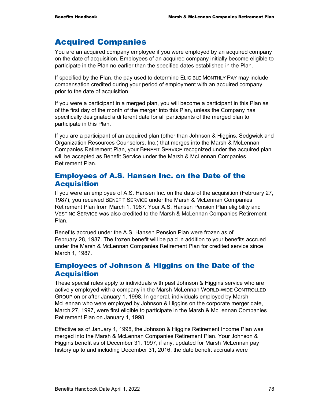# Acquired Companies

You are an acquired company employee if you were employed by an acquired company on the date of acquisition. Employees of an acquired company initially become eligible to participate in the Plan no earlier than the specified dates established in the Plan.

If specified by the Plan, the pay used to determine ELIGIBLE MONTHLY PAY may include compensation credited during your period of employment with an acquired company prior to the date of acquisition.

If you were a participant in a merged plan, you will become a participant in this Plan as of the first day of the month of the merger into this Plan, unless the Company has specifically designated a different date for all participants of the merged plan to participate in this Plan.

If you are a participant of an acquired plan (other than Johnson & Higgins, Sedgwick and Organization Resources Counselors, Inc.) that merges into the Marsh & McLennan Companies Retirement Plan, your BENEFIT SERVICE recognized under the acquired plan will be accepted as Benefit Service under the Marsh & McLennan Companies Retirement Plan.

### Employees of A.S. Hansen Inc. on the Date of the **Acquisition**

If you were an employee of A.S. Hansen Inc. on the date of the acquisition (February 27, 1987), you received BENEFIT SERVICE under the Marsh & McLennan Companies Retirement Plan from March 1, 1987. Your A.S. Hansen Pension Plan eligibility and VESTING SERVICE was also credited to the Marsh & McLennan Companies Retirement Plan.

Benefits accrued under the A.S. Hansen Pension Plan were frozen as of February 28, 1987. The frozen benefit will be paid in addition to your benefits accrued under the Marsh & McLennan Companies Retirement Plan for credited service since March 1, 1987.

## Employees of Johnson & Higgins on the Date of the Acquisition

These special rules apply to individuals with past Johnson & Higgins service who are actively employed with a company in the Marsh McLennan WORLD-WIDE CONTROLLED GROUP on or after January 1, 1998. In general, individuals employed by Marsh McLennan who were employed by Johnson & Higgins on the corporate merger date, March 27, 1997, were first eligible to participate in the Marsh & McLennan Companies Retirement Plan on January 1, 1998.

Effective as of January 1, 1998, the Johnson & Higgins Retirement Income Plan was merged into the Marsh & McLennan Companies Retirement Plan. Your Johnson & Higgins benefit as of December 31, 1997, if any, updated for Marsh McLennan pay history up to and including December 31, 2016, the date benefit accruals were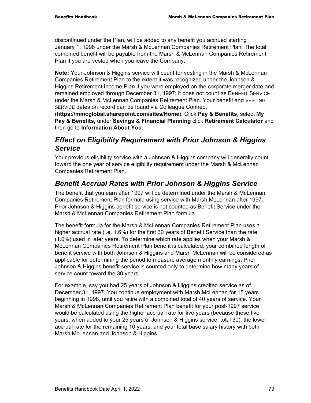discontinued under the Plan, will be added to any benefit you accrued starting January 1, 1998 under the Marsh & McLennan Companies Retirement Plan. The total combined benefit will be payable from the Marsh & McLennan Companies Retirement Plan if you are vested when you leave the Company.

**Note:** Your Johnson & Higgins service will count for vesting in the Marsh & McLennan Companies Retirement Plan to the extent it was recognized under the Johnson & Higgins Retirement Income Plan if you were employed on the corporate merger date and remained employed through December 31, 1997; it does not count as BENEFIT SERVICE under the Marsh & McLennan Companies Retirement Plan. Your benefit and VESTING SERVICE dates on record can be found via Colleague Connect

(**https://mmcglobal.sharepoint.com/sites/Home**). Click **Pay & Benefits**, select **My Pay & Benefits,** under **Savings & Financial Planning** click **Retirement Calculator** and then go to **Information About You**.

### *Effect on Eligibility Requirement with Prior Johnson & Higgins Service*

Your previous eligibility service with a Johnson & Higgins company will generally count toward the one year of service eligibility requirement under the Marsh & McLennan Companies Retirement Plan.

## *Benefit Accrual Rates with Prior Johnson & Higgins Service*

The benefit that you earn after 1997 will be determined under the Marsh & McLennan Companies Retirement Plan formula using service with Marsh McLennan after 1997. Prior Johnson & Higgins benefit service is not counted as Benefit Service under the Marsh & McLennan Companies Retirement Plan formula.

The benefit formula for the Marsh & McLennan Companies Retirement Plan uses a higher accrual rate (i.e. 1.6%) for the first 30 years of Benefit Service than the rate (1.0%) used in later years. To determine which rate applies when your Marsh & McLennan Companies Retirement Plan benefit is calculated, your combined length of benefit service with both Johnson & Higgins and Marsh McLennan will be considered as applicable for determining the period to measure average monthly earnings. Prior Johnson & Higgins benefit service is counted only to determine how many years of service count toward the 30 years.

For example, say you had 25 years of Johnson & Higgins credited service as of December 31, 1997. You continue employment with Marsh McLennan for 15 years beginning in 1998, until you retire with a combined total of 40 years of service. Your Marsh & McLennan Companies Retirement Plan benefit for your post-1997 service would be calculated using the higher accrual rate for five years (because these five years, when added to your 25 years of Johnson & Higgins service, total 30), the lower accrual rate for the remaining 10 years, and your total base salary history with both Marsh McLennan and Johnson & Higgins.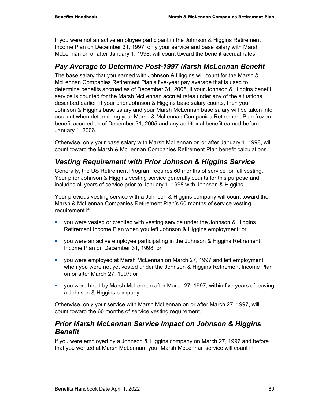If you were not an active employee participant in the Johnson & Higgins Retirement Income Plan on December 31, 1997, only your service and base salary with Marsh McLennan on or after January 1, 1998, will count toward the benefit accrual rates.

## *Pay Average to Determine Post-1997 Marsh McLennan Benefit*

The base salary that you earned with Johnson & Higgins will count for the Marsh & McLennan Companies Retirement Plan's five-year pay average that is used to determine benefits accrued as of December 31, 2005, if your Johnson & Higgins benefit service is counted for the Marsh McLennan accrual rates under any of the situations described earlier. If your prior Johnson & Higgins base salary counts, then your Johnson & Higgins base salary and your Marsh McLennan base salary will be taken into account when determining your Marsh & McLennan Companies Retirement Plan frozen benefit accrued as of December 31, 2005 and any additional benefit earned before January 1, 2006.

Otherwise, only your base salary with Marsh McLennan on or after January 1, 1998, will count toward the Marsh & McLennan Companies Retirement Plan benefit calculations.

## *Vesting Requirement with Prior Johnson & Higgins Service*

Generally, the US Retirement Program requires 60 months of service for full vesting. Your prior Johnson & Higgins vesting service generally counts for this purpose and includes all years of service prior to January 1, 1998 with Johnson & Higgins.

Your previous vesting service with a Johnson & Higgins company will count toward the Marsh & McLennan Companies Retirement Plan's 60 months of service vesting requirement if:

- you were vested or credited with vesting service under the Johnson & Higgins Retirement Income Plan when you left Johnson & Higgins employment; or
- you were an active employee participating in the Johnson & Higgins Retirement Income Plan on December 31, 1998; or
- you were employed at Marsh McLennan on March 27, 1997 and left employment when you were not yet vested under the Johnson & Higgins Retirement Income Plan on or after March 27, 1997; or
- you were hired by Marsh McLennan after March 27, 1997, within five years of leaving a Johnson & Higgins company.

Otherwise, only your service with Marsh McLennan on or after March 27, 1997, will count toward the 60 months of service vesting requirement.

### *Prior Marsh McLennan Service Impact on Johnson & Higgins Benefit*

If you were employed by a Johnson & Higgins company on March 27, 1997 and before that you worked at Marsh McLennan, your Marsh McLennan service will count in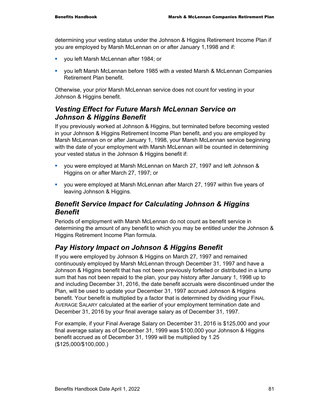determining your vesting status under the Johnson & Higgins Retirement Income Plan if you are employed by Marsh McLennan on or after January 1,1998 and if:

- you left Marsh McLennan after 1984; or
- you left Marsh McLennan before 1985 with a vested Marsh & McLennan Companies Retirement Plan benefit.

Otherwise, your prior Marsh McLennan service does not count for vesting in your Johnson & Higgins benefit.

## *Vesting Effect for Future Marsh McLennan Service on Johnson & Higgins Benefit*

If you previously worked at Johnson & Higgins, but terminated before becoming vested in your Johnson & Higgins Retirement Income Plan benefit, and you are employed by Marsh McLennan on or after January 1, 1998, your Marsh McLennan service beginning with the date of your employment with Marsh McLennan will be counted in determining your vested status in the Johnson & Higgins benefit if:

- you were employed at Marsh McLennan on March 27, 1997 and left Johnson & Higgins on or after March 27, 1997; or
- you were employed at Marsh McLennan after March 27, 1997 within five years of leaving Johnson & Higgins.

### *Benefit Service Impact for Calculating Johnson & Higgins Benefit*

Periods of employment with Marsh McLennan do not count as benefit service in determining the amount of any benefit to which you may be entitled under the Johnson & Higgins Retirement Income Plan formula.

## *Pay History Impact on Johnson & Higgins Benefit*

If you were employed by Johnson & Higgins on March 27, 1997 and remained continuously employed by Marsh McLennan through December 31, 1997 and have a Johnson & Higgins benefit that has not been previously forfeited or distributed in a lump sum that has not been repaid to the plan, your pay history after January 1, 1998 up to and including December 31, 2016, the date benefit accruals were discontinued under the Plan, will be used to update your December 31, 1997 accrued Johnson & Higgins benefit. Your benefit is multiplied by a factor that is determined by dividing your FINAL AVERAGE SALARY calculated at the earlier of your employment termination date and December 31, 2016 by your final average salary as of December 31, 1997.

For example, if your Final Average Salary on December 31, 2016 is \$125,000 and your final average salary as of December 31, 1999 was \$100,000 your Johnson & Higgins benefit accrued as of December 31, 1999 will be multiplied by 1.25 (\$125,000/\$100,000.)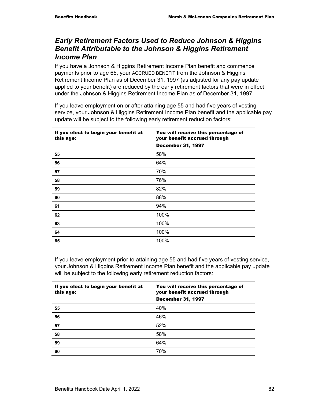## *Early Retirement Factors Used to Reduce Johnson & Higgins Benefit Attributable to the Johnson & Higgins Retirement Income Plan*

If you have a Johnson & Higgins Retirement Income Plan benefit and commence payments prior to age 65, your ACCRUED BENEFIT from the Johnson & Higgins Retirement Income Plan as of December 31, 1997 (as adjusted for any pay update applied to your benefit) are reduced by the early retirement factors that were in effect under the Johnson & Higgins Retirement Income Plan as of December 31, 1997.

If you leave employment on or after attaining age 55 and had five years of vesting service, your Johnson & Higgins Retirement Income Plan benefit and the applicable pay update will be subject to the following early retirement reduction factors:

| If you elect to begin your benefit at<br>this age: | You will receive this percentage of<br>your benefit accrued through |
|----------------------------------------------------|---------------------------------------------------------------------|
|                                                    | <b>December 31, 1997</b>                                            |
| 55                                                 | 58%                                                                 |
| 56                                                 | 64%                                                                 |
| 57                                                 | 70%                                                                 |
| 58                                                 | 76%                                                                 |
| 59                                                 | 82%                                                                 |
| 60                                                 | 88%                                                                 |
| 61                                                 | 94%                                                                 |
| 62                                                 | 100%                                                                |
| 63                                                 | 100%                                                                |
| 64                                                 | 100%                                                                |
| 65                                                 | 100%                                                                |

If you leave employment prior to attaining age 55 and had five years of vesting service, your Johnson & Higgins Retirement Income Plan benefit and the applicable pay update will be subject to the following early retirement reduction factors:

| If you elect to begin your benefit at<br>this age: | You will receive this percentage of<br>your benefit accrued through |
|----------------------------------------------------|---------------------------------------------------------------------|
|                                                    | <b>December 31, 1997</b>                                            |
| 55                                                 | 40%                                                                 |
| 56                                                 | 46%                                                                 |
| 57                                                 | 52%                                                                 |
| 58                                                 | 58%                                                                 |
| 59                                                 | 64%                                                                 |
| 60                                                 | 70%                                                                 |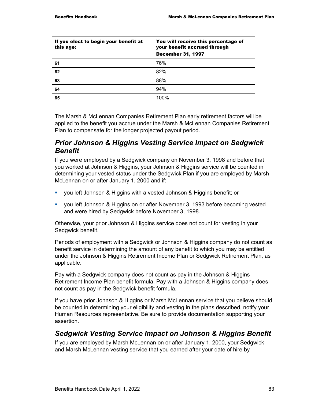| If you elect to begin your benefit at<br>this age: | You will receive this percentage of<br>your benefit accrued through |
|----------------------------------------------------|---------------------------------------------------------------------|
|                                                    | <b>December 31, 1997</b>                                            |
| 61                                                 | 76%                                                                 |
| 62                                                 | 82%                                                                 |
| 63                                                 | 88%                                                                 |
| 64                                                 | 94%                                                                 |
| 65                                                 | 100%                                                                |

The Marsh & McLennan Companies Retirement Plan early retirement factors will be applied to the benefit you accrue under the Marsh & McLennan Companies Retirement Plan to compensate for the longer projected payout period.

## *Prior Johnson & Higgins Vesting Service Impact on Sedgwick Benefit*

If you were employed by a Sedgwick company on November 3, 1998 and before that you worked at Johnson & Higgins, your Johnson & Higgins service will be counted in determining your vested status under the Sedgwick Plan if you are employed by Marsh McLennan on or after January 1, 2000 and if:

- you left Johnson & Higgins with a vested Johnson & Higgins benefit; or
- you left Johnson & Higgins on or after November 3, 1993 before becoming vested and were hired by Sedgwick before November 3, 1998.

Otherwise, your prior Johnson & Higgins service does not count for vesting in your Sedgwick benefit.

Periods of employment with a Sedgwick or Johnson & Higgins company do not count as benefit service in determining the amount of any benefit to which you may be entitled under the Johnson & Higgins Retirement Income Plan or Sedgwick Retirement Plan, as applicable.

Pay with a Sedgwick company does not count as pay in the Johnson & Higgins Retirement Income Plan benefit formula. Pay with a Johnson & Higgins company does not count as pay in the Sedgwick benefit formula.

If you have prior Johnson & Higgins or Marsh McLennan service that you believe should be counted in determining your eligibility and vesting in the plans described, notify your Human Resources representative. Be sure to provide documentation supporting your assertion.

### *Sedgwick Vesting Service Impact on Johnson & Higgins Benefit*

If you are employed by Marsh McLennan on or after January 1, 2000, your Sedgwick and Marsh McLennan vesting service that you earned after your date of hire by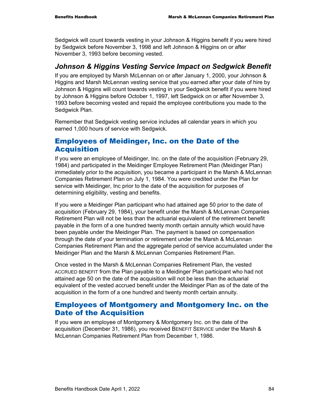Sedgwick will count towards vesting in your Johnson & Higgins benefit if you were hired by Sedgwick before November 3, 1998 and left Johnson & Higgins on or after November 3, 1993 before becoming vested.

### *Johnson & Higgins Vesting Service Impact on Sedgwick Benefit*

If you are employed by Marsh McLennan on or after January 1, 2000, your Johnson & Higgins and Marsh McLennan vesting service that you earned after your date of hire by Johnson & Higgins will count towards vesting in your Sedgwick benefit if you were hired by Johnson & Higgins before October 1, 1997, left Sedgwick on or after November 3, 1993 before becoming vested and repaid the employee contributions you made to the Sedgwick Plan.

Remember that Sedgwick vesting service includes all calendar years in which you earned 1,000 hours of service with Sedgwick.

### Employees of Meidinger, Inc. on the Date of the Acquisition

If you were an employee of Meidinger, Inc. on the date of the acquisition (February 29, 1984) and participated in the Meidinger Employee Retirement Plan (Meidinger Plan) immediately prior to the acquisition, you became a participant in the Marsh & McLennan Companies Retirement Plan on July 1, 1984. You were credited under the Plan for service with Meidinger, Inc prior to the date of the acquisition for purposes of determining eligibility, vesting and benefits.

If you were a Meidinger Plan participant who had attained age 50 prior to the date of acquisition (February 29, 1984), your benefit under the Marsh & McLennan Companies Retirement Plan will not be less than the actuarial equivalent of the retirement benefit payable in the form of a one hundred twenty month certain annuity which would have been payable under the Meidinger Plan. The payment is based on compensation through the date of your termination or retirement under the Marsh & McLennan Companies Retirement Plan and the aggregate period of service accumulated under the Meidinger Plan and the Marsh & McLennan Companies Retirement Plan.

Once vested in the Marsh & McLennan Companies Retirement Plan, the vested ACCRUED BENEFIT from the Plan payable to a Meidinger Plan participant who had not attained age 50 on the date of the acquisition will not be less than the actuarial equivalent of the vested accrued benefit under the Meidinger Plan as of the date of the acquisition in the form of a one hundred and twenty month certain annuity.

### Employees of Montgomery and Montgomery Inc. on the Date of the Acquisition

If you were an employee of Montgomery & Montgomery Inc. on the date of the acquisition (December 31, 1986), you received BENEFIT SERVICE under the Marsh & McLennan Companies Retirement Plan from December 1, 1986.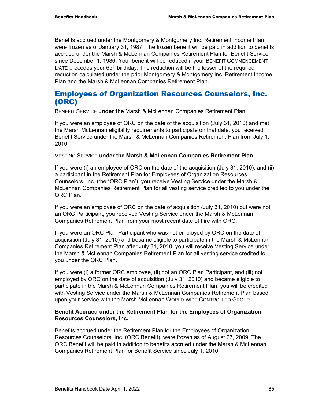Benefits accrued under the Montgomery & Montgomery Inc. Retirement Income Plan were frozen as of January 31, 1987. The frozen benefit will be paid in addition to benefits accrued under the Marsh & McLennan Companies Retirement Plan for Benefit Service since December 1, 1986. Your benefit will be reduced if your BENEFIT COMMENCEMENT DATE precedes your  $65<sup>th</sup>$  birthday. The reduction will be the lesser of the required reduction calculated under the prior Montgomery & Montgomery Inc. Retirement Income Plan and the Marsh & McLennan Companies Retirement Plan.

## Employees of Organization Resources Counselors, Inc. (ORC)

BENEFIT SERVICE **under the** Marsh & McLennan Companies Retirement Plan.

If you were an employee of ORC on the date of the acquisition (July 31, 2010) and met the Marsh McLennan eligibility requirements to participate on that date, you received Benefit Service under the Marsh & McLennan Companies Retirement Plan from July 1, 2010.

### VESTING SERVICE **under the Marsh & McLennan Companies Retirement Plan**

If you were (i) an employee of ORC on the date of the acquisition (July 31, 2010), and (ii) a participant in the Retirement Plan for Employees of Organization Resources Counselors, Inc. (the "ORC Plan'), you receive Vesting Service under the Marsh & McLennan Companies Retirement Plan for all vesting service credited to you under the ORC Plan.

If you were an employee of ORC on the date of acquisition (July 31, 2010) but were not an ORC Participant, you received Vesting Service under the Marsh & McLennan Companies Retirement Plan from your most recent date of hire with ORC.

If you were an ORC Plan Participant who was not employed by ORC on the date of acquisition (July 31, 2010) and became eligible to participate in the Marsh & McLennan Companies Retirement Plan after July 31, 2010, you will receive Vesting Service under the Marsh & McLennan Companies Retirement Plan for all vesting service credited to you under the ORC Plan.

If you were (i) a former ORC employee, (ii) not an ORC Plan Participant, and (iii) not employed by ORC on the date of acquisition (July 31, 2010) and became eligible to participate in the Marsh & McLennan Companies Retirement Plan, you will be credited with Vesting Service under the Marsh & McLennan Companies Retirement Plan based upon your service with the Marsh McLennan WORLD-WIDE CONTROLLED GROUP.

### **Benefit Accrued under the Retirement Plan for the Employees of Organization Resources Counselors, Inc.**

Benefits accrued under the Retirement Plan for the Employees of Organization Resources Counselors, Inc. (ORC Benefit), were frozen as of August 27, 2009. The ORC Benefit will be paid in addition to benefits accrued under the Marsh & McLennan Companies Retirement Plan for Benefit Service since July 1, 2010.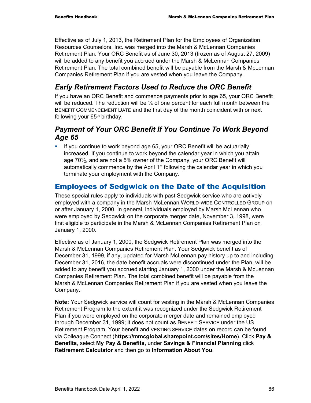Effective as of July 1, 2013, the Retirement Plan for the Employees of Organization Resources Counselors, Inc. was merged into the Marsh & McLennan Companies Retirement Plan. Your ORC Benefit as of June 30, 2013 (frozen as of August 27, 2009) will be added to any benefit you accrued under the Marsh & McLennan Companies Retirement Plan. The total combined benefit will be payable from the Marsh & McLennan Companies Retirement Plan if you are vested when you leave the Company.

# *Early Retirement Factors Used to Reduce the ORC Benefit*

If you have an ORC Benefit and commence payments prior to age 65, your ORC Benefit will be reduced. The reduction will be  $\frac{1}{4}$  of one percent for each full month between the BENEFIT COMMENCEMENT DATE and the first day of the month coincident with or next following your 65<sup>th</sup> birthday.

## *Payment of Your ORC Benefit If You Continue To Work Beyond Age 65*

**If you continue to work beyond age 65, your ORC Benefit will be actuarially** increased. If you continue to work beyond the calendar year in which you attain age  $70\frac{1}{2}$ , and are not a 5% owner of the Company, your ORC Benefit will automatically commence by the April 1<sup>st</sup> following the calendar year in which you terminate your employment with the Company.

# Employees of Sedgwick on the Date of the Acquisition

These special rules apply to individuals with past Sedgwick service who are actively employed with a company in the Marsh McLennan WORLD-WIDE CONTROLLED GROUP on or after January 1, 2000. In general, individuals employed by Marsh McLennan who were employed by Sedgwick on the corporate merger date, November 3, 1998, were first eligible to participate in the Marsh & McLennan Companies Retirement Plan on January 1, 2000.

Effective as of January 1, 2000, the Sedgwick Retirement Plan was merged into the Marsh & McLennan Companies Retirement Plan. Your Sedgwick benefit as of December 31, 1999, if any, updated for Marsh McLennan pay history up to and including December 31, 2016, the date benefit accruals were discontinued under the Plan, will be added to any benefit you accrued starting January 1, 2000 under the Marsh & McLennan Companies Retirement Plan. The total combined benefit will be payable from the Marsh & McLennan Companies Retirement Plan if you are vested when you leave the Company.

**Note:** Your Sedgwick service will count for vesting in the Marsh & McLennan Companies Retirement Program to the extent it was recognized under the Sedgwick Retirement Plan if you were employed on the corporate merger date and remained employed through December 31, 1999; it does not count as BENEFIT SERVICE under the US Retirement Program. Your benefit and VESTING SERVICE dates on record can be found via Colleague Connect (**https://mmcglobal.sharepoint.com/sites/Home**). Click **Pay & Benefits**, select **My Pay & Benefits,** under **Savings & Financial Planning** click **Retirement Calculator** and then go to **Information About You**.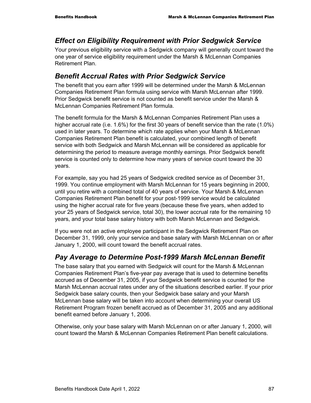### *Effect on Eligibility Requirement with Prior Sedgwick Service*

Your previous eligibility service with a Sedgwick company will generally count toward the one year of service eligibility requirement under the Marsh & McLennan Companies Retirement Plan.

### *Benefit Accrual Rates with Prior Sedgwick Service*

The benefit that you earn after 1999 will be determined under the Marsh & McLennan Companies Retirement Plan formula using service with Marsh McLennan after 1999. Prior Sedgwick benefit service is not counted as benefit service under the Marsh & McLennan Companies Retirement Plan formula.

The benefit formula for the Marsh & McLennan Companies Retirement Plan uses a higher accrual rate (i.e. 1.6%) for the first 30 years of benefit service than the rate (1.0%) used in later years. To determine which rate applies when your Marsh & McLennan Companies Retirement Plan benefit is calculated, your combined length of benefit service with both Sedgwick and Marsh McLennan will be considered as applicable for determining the period to measure average monthly earnings. Prior Sedgwick benefit service is counted only to determine how many years of service count toward the 30 years.

For example, say you had 25 years of Sedgwick credited service as of December 31, 1999. You continue employment with Marsh McLennan for 15 years beginning in 2000, until you retire with a combined total of 40 years of service. Your Marsh & McLennan Companies Retirement Plan benefit for your post-1999 service would be calculated using the higher accrual rate for five years (because these five years, when added to your 25 years of Sedgwick service, total 30), the lower accrual rate for the remaining 10 years, and your total base salary history with both Marsh McLennan and Sedgwick.

If you were not an active employee participant in the Sedgwick Retirement Plan on December 31, 1999, only your service and base salary with Marsh McLennan on or after January 1, 2000, will count toward the benefit accrual rates.

## *Pay Average to Determine Post-1999 Marsh McLennan Benefit*

The base salary that you earned with Sedgwick will count for the Marsh & McLennan Companies Retirement Plan's five-year pay average that is used to determine benefits accrued as of December 31, 2005, if your Sedgwick benefit service is counted for the Marsh McLennan accrual rates under any of the situations described earlier. If your prior Sedgwick base salary counts, then your Sedgwick base salary and your Marsh McLennan base salary will be taken into account when determining your overall US Retirement Program frozen benefit accrued as of December 31, 2005 and any additional benefit earned before January 1, 2006.

Otherwise, only your base salary with Marsh McLennan on or after January 1, 2000, will count toward the Marsh & McLennan Companies Retirement Plan benefit calculations.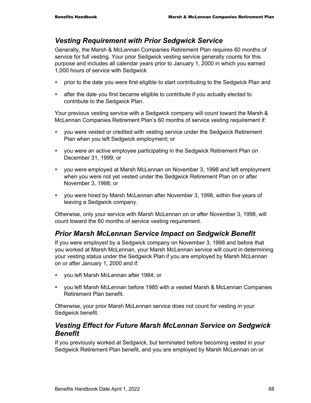### *Vesting Requirement with Prior Sedgwick Service*

Generally, the Marsh & McLennan Companies Retirement Plan requires 60 months of service for full vesting. Your prior Sedgwick vesting service generally counts for this purpose and includes all calendar years prior to January 1, 2000 in which you earned 1,000 hours of service with Sedgwick

- **•** prior to the date you were first eligible to start contributing to the Sedgwick Plan and
- after the date you first became eligible to contribute if you actually elected to contribute to the Sedgwick Plan.

Your previous vesting service with a Sedgwick company will count toward the Marsh & McLennan Companies Retirement Plan's 60 months of service vesting requirement if:

- you were vested or credited with vesting service under the Sedgwick Retirement Plan when you left Sedgwick employment; or
- you were an active employee participating in the Sedgwick Retirement Plan on December 31, 1999; or
- you were employed at Marsh McLennan on November 3, 1998 and left employment when you were not yet vested under the Sedgwick Retirement Plan on or after November 3, 1998; or
- you were hired by Marsh McLennan after November 3, 1998, within five years of leaving a Sedgwick company.

Otherwise, only your service with Marsh McLennan on or after November 3, 1998, will count toward the 60 months of service vesting requirement.

## *Prior Marsh McLennan Service Impact on Sedgwick Benefit*

If you were employed by a Sedgwick company on November 3, 1998 and before that you worked at Marsh McLennan, your Marsh McLennan service will count in determining your vesting status under the Sedgwick Plan if you are employed by Marsh McLennan on or after January 1, 2000 and if:

- **vou left Marsh McLennan after 1984; or**
- you left Marsh McLennan before 1985 with a vested Marsh & McLennan Companies Retirement Plan benefit.

Otherwise, your prior Marsh McLennan service does not count for vesting in your Sedgwick benefit.

### *Vesting Effect for Future Marsh McLennan Service on Sedgwick Benefit*

If you previously worked at Sedgwick, but terminated before becoming vested in your Sedgwick Retirement Plan benefit, and you are employed by Marsh McLennan on or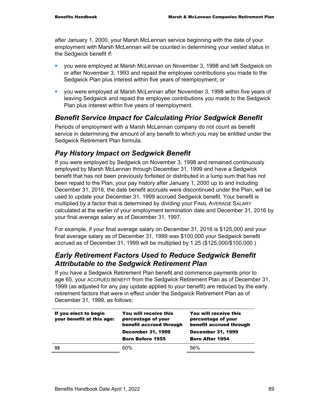after January 1, 2000, your Marsh McLennan service beginning with the date of your employment with Marsh McLennan will be counted in determining your vested status in the Sedgwick benefit if:

- you were employed at Marsh McLennan on November 3, 1998 and left Sedgwick on or after November 3, 1993 and repaid the employee contributions you made to the Sedgwick Plan plus interest within five years of reemployment; or
- you were employed at Marsh McLennan after November 3, 1998 within five years of leaving Sedgwick and repaid the employee contributions you made to the Sedgwick Plan plus interest within five years of reemployment.

### *Benefit Service Impact for Calculating Prior Sedgwick Benefit*

Periods of employment with a Marsh McLennan company do not count as benefit service in determining the amount of any benefit to which you may be entitled under the Sedgwick Retirement Plan formula.

## *Pay History Impact on Sedgwick Benefit*

If you were employed by Sedgwick on November 3, 1998 and remained continuously employed by Marsh McLennan through December 31, 1999 and have a Sedgwick benefit that has not been previously forfeited or distributed in a lump sum that has not been repaid to the Plan, your pay history after January 1, 2000 up to and including December 31, 2016, the date benefit accruals were discontinued under the Plan, will be used to update your December 31, 1999 accrued Sedgwick benefit. Your benefit is multiplied by a factor that is determined by dividing your FINAL AVERAGE SALARY calculated at the earlier of your employment termination date and December 31, 2016 by your final average salary as of December 31, 1997.

For example, if your final average salary on December 31, 2016 is \$125,000 and your final average salary as of December 31, 1999 was \$100,000 your Sedgwick benefit accrued as of December 31, 1999 will be multiplied by 1.25 (\$125,000/\$100,000.)

### *Early Retirement Factors Used to Reduce Sedgwick Benefit Attributable to the Sedgwick Retirement Plan*

If you have a Sedgwick Retirement Plan benefit and commence payments prior to age 65, your ACCRUED BENEFIT from the Sedgwick Retirement Plan as of December 31, 1999 (as adjusted for any pay update applied to your benefit) are reduced by the early retirement factors that were in effect under the Sedgwick Retirement Plan as of December 31, 1999, as follows:

| If you elect to begin<br>your benefit at this age: | You will receive this<br>percentage of your<br>benefit accrued through<br><b>December 31, 1999</b><br><b>Born Before 1955</b> | You will receive this<br>percentage of your<br>benefit accrued through<br><b>December 31, 1999</b><br><b>Born After 1954</b> |
|----------------------------------------------------|-------------------------------------------------------------------------------------------------------------------------------|------------------------------------------------------------------------------------------------------------------------------|
| 55                                                 | 60%                                                                                                                           | 56%                                                                                                                          |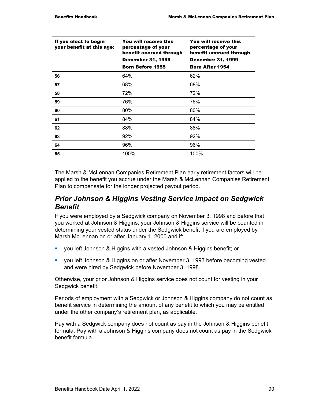| If you elect to begin<br>your benefit at this age: | You will receive this<br>percentage of your<br>benefit accrued through<br><b>December 31, 1999</b><br><b>Born Before 1955</b> | You will receive this<br>percentage of your<br>benefit accrued through<br><b>December 31, 1999</b><br><b>Born After 1954</b> |
|----------------------------------------------------|-------------------------------------------------------------------------------------------------------------------------------|------------------------------------------------------------------------------------------------------------------------------|
|                                                    |                                                                                                                               |                                                                                                                              |
| 56                                                 | 64%                                                                                                                           | 62%                                                                                                                          |
| 57                                                 | 68%                                                                                                                           | 68%                                                                                                                          |
| 58                                                 | 72%                                                                                                                           | 72%                                                                                                                          |
| 59                                                 | 76%                                                                                                                           | 76%                                                                                                                          |
| 60                                                 | 80%                                                                                                                           | 80%                                                                                                                          |
| 61                                                 | 84%                                                                                                                           | 84%                                                                                                                          |
| 62                                                 | 88%                                                                                                                           | 88%                                                                                                                          |
| 63                                                 | 92%                                                                                                                           | 92%                                                                                                                          |
| 64                                                 | 96%                                                                                                                           | 96%                                                                                                                          |
| 65                                                 | 100%                                                                                                                          | 100%                                                                                                                         |

The Marsh & McLennan Companies Retirement Plan early retirement factors will be applied to the benefit you accrue under the Marsh & McLennan Companies Retirement Plan to compensate for the longer projected payout period.

### *Prior Johnson & Higgins Vesting Service Impact on Sedgwick Benefit*

If you were employed by a Sedgwick company on November 3, 1998 and before that you worked at Johnson & Higgins, your Johnson & Higgins service will be counted in determining your vested status under the Sedgwick benefit if you are employed by Marsh McLennan on or after January 1, 2000 and if:

- you left Johnson & Higgins with a vested Johnson & Higgins benefit; or
- you left Johnson & Higgins on or after November 3, 1993 before becoming vested and were hired by Sedgwick before November 3, 1998.

Otherwise, your prior Johnson & Higgins service does not count for vesting in your Sedgwick benefit.

Periods of employment with a Sedgwick or Johnson & Higgins company do not count as benefit service in determining the amount of any benefit to which you may be entitled under the other company's retirement plan, as applicable.

Pay with a Sedgwick company does not count as pay in the Johnson & Higgins benefit formula. Pay with a Johnson & Higgins company does not count as pay in the Sedgwick benefit formula.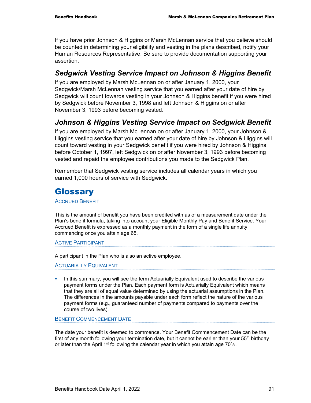If you have prior Johnson & Higgins or Marsh McLennan service that you believe should be counted in determining your eligibility and vesting in the plans described, notify your Human Resources Representative. Be sure to provide documentation supporting your assertion.

### *Sedgwick Vesting Service Impact on Johnson & Higgins Benefit*

If you are employed by Marsh McLennan on or after January 1, 2000, your Sedgwick/Marsh McLennan vesting service that you earned after your date of hire by Sedgwick will count towards vesting in your Johnson & Higgins benefit if you were hired by Sedgwick before November 3, 1998 and left Johnson & Higgins on or after November 3, 1993 before becoming vested.

## *Johnson & Higgins Vesting Service Impact on Sedgwick Benefit*

If you are employed by Marsh McLennan on or after January 1, 2000, your Johnson & Higgins vesting service that you earned after your date of hire by Johnson & Higgins will count toward vesting in your Sedgwick benefit if you were hired by Johnson & Higgins before October 1, 1997, left Sedgwick on or after November 3, 1993 before becoming vested and repaid the employee contributions you made to the Sedgwick Plan.

Remember that Sedgwick vesting service includes all calendar years in which you earned 1,000 hours of service with Sedgwick.

# **Glossary**

ACCRUED BENEFIT

This is the amount of benefit you have been credited with as of a measurement date under the Plan's benefit formula, taking into account your Eligible Monthly Pay and Benefit Service. Your Accrued Benefit is expressed as a monthly payment in the form of a single life annuity commencing once you attain age 65.

ACTIVE PARTICIPANT

A participant in the Plan who is also an active employee.

ACTUARIALLY EQUIVALENT

In this summary, you will see the term Actuarially Equivalent used to describe the various payment forms under the Plan. Each payment form is Actuarially Equivalent which means that they are all of equal value determined by using the actuarial assumptions in the Plan. The differences in the amounts payable under each form reflect the nature of the various payment forms (e.g., guaranteed number of payments compared to payments over the course of two lives).

BENEFIT COMMENCEMENT DATE

The date your benefit is deemed to commence. Your Benefit Commencement Date can be the first of any month following your termination date, but it cannot be earlier than your  $55<sup>th</sup>$  birthday or later than the April 1<sup>st</sup> following the calendar year in which you attain age  $70\frac{1}{2}$ .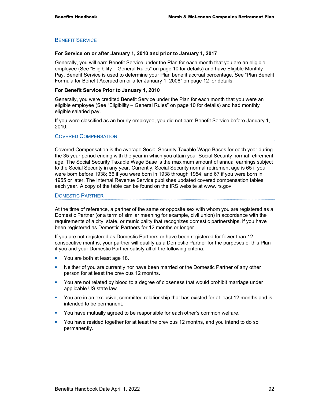### BENEFIT SERVICE

### **For Service on or after January 1, 2010 and prior to January 1, 2017**

Generally, you will earn Benefit Service under the Plan for each month that you are an eligible employee (See "Eligibility – General Rules" on page 10 for details) and have Eligible Monthly Pay. Benefit Service is used to determine your Plan benefit accrual percentage. See "Plan Benefit Formula for Benefit Accrued on or after January 1, 2006" on page 12 for details.

### **For Benefit Service Prior to January 1, 2010**

Generally, you were credited Benefit Service under the Plan for each month that you were an eligible employee (See "Eligibility – General Rules" on page 10 for details) and had monthly eligible salaried pay.

If you were classified as an hourly employee, you did not earn Benefit Service before January 1, 2010.

#### COVERED COMPENSATION

Covered Compensation is the average Social Security Taxable Wage Bases for each year during the 35 year period ending with the year in which you attain your Social Security normal retirement age. The Social Security Taxable Wage Base is the maximum amount of annual earnings subject to the Social Security in any year. Currently, Social Security normal retirement age is 65 if you were born before 1938; 66 if you were born in 1938 through 1954; and 67 if you were born in 1955 or later. The Internal Revenue Service publishes updated covered compensation tables each year. A copy of the table can be found on the IRS website at www.irs.gov.

#### DOMESTIC PARTNER

At the time of reference, a partner of the same or opposite sex with whom you are registered as a Domestic Partner (or a term of similar meaning for example, civil union) in accordance with the requirements of a city, state, or municipality that recognizes domestic partnerships, if you have been registered as Domestic Partners for 12 months or longer.

If you are not registered as Domestic Partners or have been registered for fewer than 12 consecutive months, your partner will qualify as a Domestic Partner for the purposes of this Plan if you and your Domestic Partner satisfy all of the following criteria:

- You are both at least age 18.
- **•** Neither of you are currently nor have been married or the Domestic Partner of any other person for at least the previous 12 months.
- **•** You are not related by blood to a degree of closeness that would prohibit marriage under applicable US state law.
- You are in an exclusive, committed relationship that has existed for at least 12 months and is intended to be permanent.
- You have mutually agreed to be responsible for each other's common welfare.
- You have resided together for at least the previous 12 months, and you intend to do so permanently.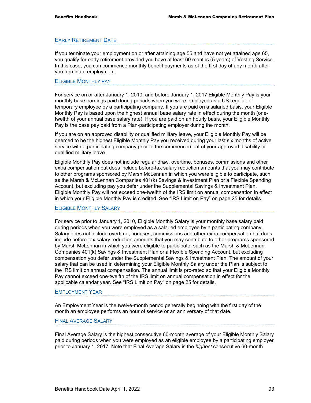### EARLY RETIREMENT DATE

If you terminate your employment on or after attaining age 55 and have not yet attained age 65, you qualify for early retirement provided you have at least 60 months (5 years) of Vesting Service. In this case, you can commence monthly benefit payments as of the first day of any month after you terminate employment.

### ELIGIBLE MONTHLY PAY

For service on or after January 1, 2010, and before January 1, 2017 Eligible Monthly Pay is your monthly base earnings paid during periods when you were employed as a US regular or temporary employee by a participating company. If you are paid on a salaried basis, your Eligible Monthly Pay is based upon the highest annual base salary rate in effect during the month (onetwelfth of your annual base salary rate). If you are paid on an hourly basis, your Eligible Monthly Pay is the base pay paid from a Plan-participating employer during the month.

If you are on an approved disability or qualified military leave, your Eligible Monthly Pay will be deemed to be the highest Eligible Monthly Pay you received during your last six months of active service with a participating company prior to the commencement of your approved disability or qualified military leave.

Eligible Monthly Pay does not include regular draw, overtime, bonuses, commissions and other extra compensation but does include before-tax salary reduction amounts that you may contribute to other programs sponsored by Marsh McLennan in which you were eligible to participate, such as the Marsh & McLennan Companies 401(k) Savings & Investment Plan or a Flexible Spending Account, but excluding pay you defer under the Supplemental Savings & Investment Plan. Eligible Monthly Pay will not exceed one-twelfth of the IRS limit on annual compensation in effect in which your Eligible Monthly Pay is credited. See "IRS Limit on Pay" on page 25 for details.

### ELIGIBLE MONTHLY SALARY

For service prior to January 1, 2010, Eligible Monthly Salary is your monthly base salary paid during periods when you were employed as a salaried employee by a participating company. Salary does not include overtime, bonuses, commissions and other extra compensation but does include before-tax salary reduction amounts that you may contribute to other programs sponsored by Marsh McLennan in which you were eligible to participate, such as the Marsh & McLennan Companies 401(k) Savings & Investment Plan or a Flexible Spending Account, but excluding compensation you defer under the Supplemental Savings & Investment Plan. The amount of your salary that can be used in determining your Eligible Monthly Salary under the Plan is subject to the IRS limit on annual compensation. The annual limit is pro-rated so that your Eligible Monthly Pay cannot exceed one-twelfth of the IRS limit on annual compensation in effect for the applicable calendar year. See "IRS Limit on Pay" on page 25 for details.

### EMPLOYMENT YEAR

An Employment Year is the twelve-month period generally beginning with the first day of the month an employee performs an hour of service or an anniversary of that date.

#### FINAL AVERAGE SALARY

Final Average Salary is the highest consecutive 60-month average of your Eligible Monthly Salary paid during periods when you were employed as an eligible employee by a participating employer prior to January 1, 2017. Note that Final Average Salary is the *highest* consecutive 60-month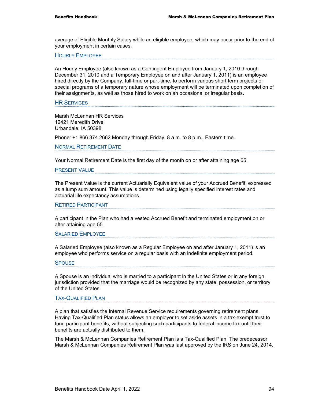average of Eligible Monthly Salary while an eligible employee, which may occur prior to the end of your employment in certain cases.

HOURLY EMPLOYEE

An Hourly Employee (also known as a Contingent Employee from January 1, 2010 through December 31, 2010 and a Temporary Employee on and after January 1, 2011) is an employee hired directly by the Company, full-time or part-time, to perform various short term projects or special programs of a temporary nature whose employment will be terminated upon completion of their assignments, as well as those hired to work on an occasional or irregular basis.

HR SERVICES

Marsh McLennan HR Services 12421 Meredith Drive Urbandale, IA 50398

Phone: +1 866 374 2662 Monday through Friday, 8 a.m. to 8 p.m., Eastern time.

NORMAL RETIREMENT DATE

Your Normal Retirement Date is the first day of the month on or after attaining age 65.

PRESENT VALUE

The Present Value is the current Actuarially Equivalent value of your Accrued Benefit, expressed as a lump sum amount. This value is determined using legally specified interest rates and actuarial life expectancy assumptions.

#### RETIRED PARTICIPANT

A participant in the Plan who had a vested Accrued Benefit and terminated employment on or after attaining age 55.

### SALARIED EMPLOYEE

A Salaried Employee (also known as a Regular Employee on and after January 1, 2011) is an employee who performs service on a regular basis with an indefinite employment period.

### **SPOUSE**

A Spouse is an individual who is married to a participant in the United States or in any foreign jurisdiction provided that the marriage would be recognized by any state, possession, or territory of the United States.

### TAX-QUALIFIED PLAN

A plan that satisfies the Internal Revenue Service requirements governing retirement plans. Having Tax-Qualified Plan status allows an employer to set aside assets in a tax-exempt trust to fund participant benefits, without subjecting such participants to federal income tax until their benefits are actually distributed to them.

The Marsh & McLennan Companies Retirement Plan is a Tax-Qualified Plan. The predecessor Marsh & McLennan Companies Retirement Plan was last approved by the IRS on June 24, 2014.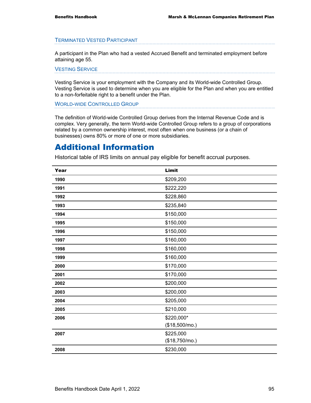#### TERMINATED VESTED PARTICIPANT

A participant in the Plan who had a vested Accrued Benefit and terminated employment before attaining age 55.

#### VESTING SERVICE

Vesting Service is your employment with the Company and its World-wide Controlled Group. Vesting Service is used to determine when you are eligible for the Plan and when you are entitled to a non-forfeitable right to a benefit under the Plan.

WORLD-WIDE CONTROLLED GROUP

The definition of World-wide Controlled Group derives from the Internal Revenue Code and is complex. Very generally, the term World-wide Controlled Group refers to a group of corporations related by a common ownership interest, most often when one business (or a chain of businesses) owns 80% or more of one or more subsidiaries.

# Additional Information

Historical table of IRS limits on annual pay eligible for benefit accrual purposes.

| Year | Limit          |
|------|----------------|
| 1990 | \$209,200      |
| 1991 | \$222,220      |
| 1992 | \$228,860      |
| 1993 | \$235,840      |
| 1994 | \$150,000      |
| 1995 | \$150,000      |
| 1996 | \$150,000      |
| 1997 | \$160,000      |
| 1998 | \$160,000      |
| 1999 | \$160,000      |
| 2000 | \$170,000      |
| 2001 | \$170,000      |
| 2002 | \$200,000      |
| 2003 | \$200,000      |
| 2004 | \$205,000      |
| 2005 | \$210,000      |
| 2006 | \$220,000*     |
|      | (\$18,500/mo.) |
| 2007 | \$225,000      |
|      | (\$18,750/mo.) |
| 2008 | \$230,000      |